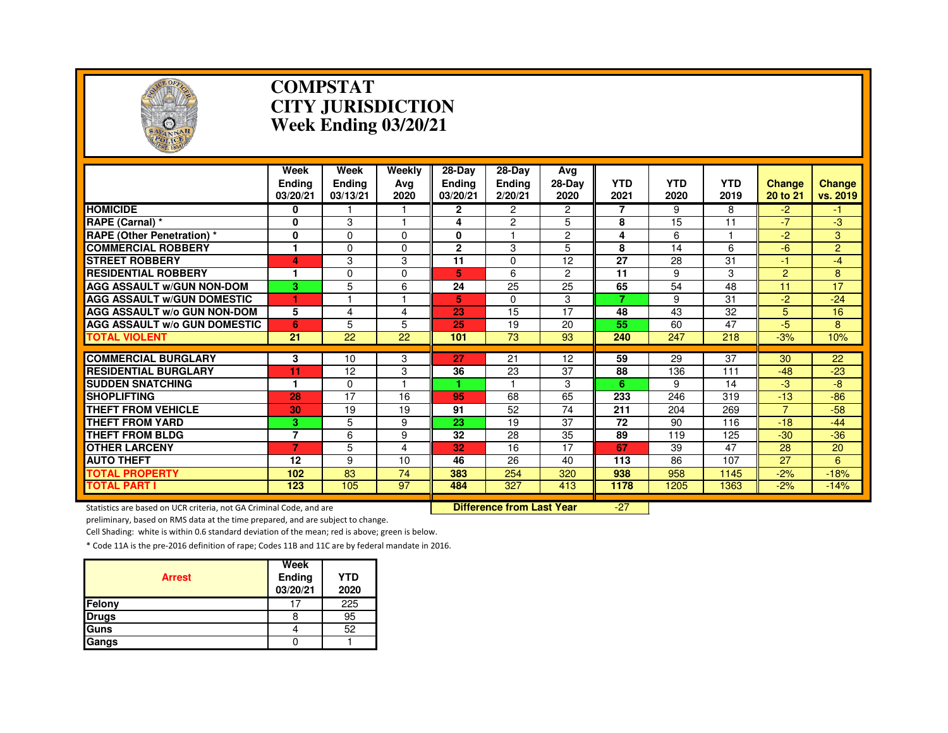

#### **COMPSTAT CITY JURISDICTIONWeek Ending 03/20/21**

|                                                                     | Week           | Week          | Weekly      | $28$ -Day       | 28-Day                           | Avg             |                 |            |            |                |                |
|---------------------------------------------------------------------|----------------|---------------|-------------|-----------------|----------------------------------|-----------------|-----------------|------------|------------|----------------|----------------|
|                                                                     | <b>Endina</b>  | <b>Ending</b> | Avg         | <b>Ending</b>   | <b>Ending</b>                    | $28-Dav$        | <b>YTD</b>      | <b>YTD</b> | <b>YTD</b> | <b>Change</b>  | <b>Change</b>  |
|                                                                     | 03/20/21       | 03/13/21      | 2020        | 03/20/21        | 2/20/21                          | 2020            | 2021            | 2020       | 2019       | 20 to 21       | vs. 2019       |
| <b>HOMICIDE</b>                                                     | 0              |               |             | $\mathbf{2}$    | 2                                | $\mathbf{2}$    | 7               | 9          | 8          | -2             | -1.            |
| <b>RAPE (Carnal) *</b>                                              | 0              | 3             |             | 4               | 2                                | 5               | 8               | 15         | 11         | $-7$           | $-3$           |
| <b>RAPE (Other Penetration) *</b>                                   | 0              | $\Omega$      | $\Omega$    | 0               |                                  | $\overline{2}$  | 4               | 6          |            | $-2$           | 3              |
| <b>COMMERCIAL ROBBERY</b>                                           | 1              | 0             | $\Omega$    | $\mathbf{2}$    | 3                                | 5               | 8               | 14         | 6          | $-6$           | $\overline{2}$ |
| <b>STREET ROBBERY</b>                                               | 4              | 3             | 3           | 11              | $\Omega$                         | 12              | $\overline{27}$ | 28         | 31         | $-1$           | $-4$           |
| <b>RESIDENTIAL ROBBERY</b>                                          | 1              | 0             | $\mathbf 0$ | 5               | 6                                | $\overline{2}$  | 11              | 9          | 3          | $\overline{2}$ | 8              |
| <b>AGG ASSAULT W/GUN NON-DOM</b>                                    | 3              | 5             | 6           | 24              | 25                               | 25              | 65              | 54         | 48         | 11             | 17             |
| <b>AGG ASSAULT W/GUN DOMESTIC</b>                                   |                |               |             | 5.              | $\Omega$                         | 3               | 7               | 9          | 31         | $-2$           | $-24$          |
| <b>AGG ASSAULT W/o GUN NON-DOM</b>                                  | 5              | 4             | 4           | 23              | 15                               | $\overline{17}$ | 48              | 43         | 32         | 5              | 16             |
| <b>AGG ASSAULT w/o GUN DOMESTIC</b>                                 | 6              | 5             | 5           | 25              | 19                               | 20              | 55              | 60         | 47         | $-5$           | 8              |
| <b>TOTAL VIOLENT</b>                                                | 21             | 22            | 22          | 101             | 73                               | 93              | 240             | 247        | 218        | $-3%$          | 10%            |
|                                                                     |                |               | 3           | 27              | 21                               | 12              | 59              | 29         | 37         | 30             | 22             |
| <b>COMMERCIAL BURGLARY</b>                                          | 3              | 10            |             |                 |                                  |                 |                 |            |            |                |                |
| <b>RESIDENTIAL BURGLARY</b>                                         | 11             | 12            | 3           | 36              | 23                               | 37              | 88              | 136        | 111        | $-48$          | $-23$          |
| <b>SUDDEN SNATCHING</b>                                             | 1              | 0             |             |                 |                                  | 3               | 6               | 9          | 14         | $-3$           | -8             |
| <b>SHOPLIFTING</b>                                                  | 28             | 17            | 16          | 95              | 68                               | 65              | 233             | 246        | 319        | $-13$          | $-86$          |
| <b>THEFT FROM VEHICLE</b>                                           | 30             | 19            | 19          | 91              | 52                               | 74              | 211             | 204        | 269        |                | $-58$          |
| <b>THEFT FROM YARD</b>                                              | 3.             | 5             | 9           | $\overline{23}$ | 19                               | 37              | 72              | 90         | 116        | $-18$          | $-44$          |
| <b>THEFT FROM BLDG</b>                                              | $\overline{7}$ | 6             | 9           | 32              | 28                               | 35              | 89              | 119        | 125        | $-30$          | $-36$          |
| <b>OTHER LARCENY</b>                                                | $\overline{7}$ | 5             | 4           | 32              | 16                               | 17              | 67              | 39         | 47         | 28             | 20             |
| <b>AUTO THEFT</b>                                                   | 12             | 9             | 10          | 46              | 26                               | 40              | 113             | 86         | 107        | 27             | 6              |
| <b>TOTAL PROPERTY</b>                                               | 102            | 83            | 74          | 383             | 254                              | 320             | 938             | 958        | 1145       | $-2%$          | $-18%$         |
| <b>TOTAL PART I</b>                                                 | 123            | 105           | 97          | 484             | 327                              | 413             | 1178            | 1205       | 1363       | $-2%$          | $-14%$         |
| Statistics are based on UCR criteria, not GA Criminal Code, and are |                |               |             |                 | <b>Difference from Last Year</b> |                 | $-27$           |            |            |                |                |

preliminary, based on RMS data at the time prepared, and are subject to change.

Cell Shading: white is within 0.6 standard deviation of the mean; red is above; green is below.

| <b>Arrest</b> | Week<br>Ending<br>03/20/21 | YTD<br>2020 |
|---------------|----------------------------|-------------|
| Felony        | 17                         | 225         |
| <b>Drugs</b>  |                            | 95          |
| Guns          |                            | 52          |
| Gangs         |                            |             |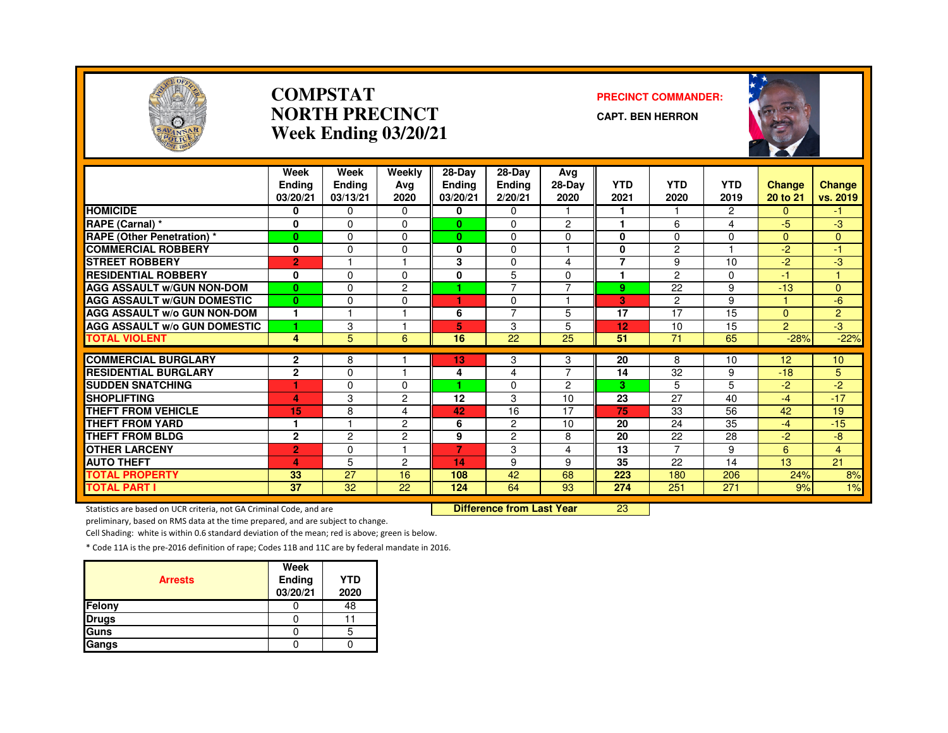

#### **COMPSTATNORTH PRECINCTWeek Ending 03/20/21**

#### **PRECINCT COMMANDER:**

**CAPT. BEN HERRON**



|                                     | Week<br><b>Endina</b><br>03/20/21 | Week<br><b>Ending</b><br>03/13/21 | Weekly<br>Avg<br>2020 | $28 - Day$<br><b>Ending</b><br>03/20/21 | 28-Day<br><b>Ending</b><br>2/20/21 | Avg<br>$28-Dav$<br>2020 | <b>YTD</b><br>2021 | <b>YTD</b><br>2020 | <b>YTD</b><br>2019 | <b>Change</b><br>20 to 21 | <b>Change</b><br>vs. 2019 |
|-------------------------------------|-----------------------------------|-----------------------------------|-----------------------|-----------------------------------------|------------------------------------|-------------------------|--------------------|--------------------|--------------------|---------------------------|---------------------------|
| <b>HOMICIDE</b>                     | 0                                 | $\Omega$                          | $\Omega$              | 0                                       | $\Omega$                           |                         |                    |                    | $\overline{2}$     | $\Omega$                  | -1                        |
| RAPE (Carnal) *                     | $\bf{0}$                          | $\Omega$                          | $\Omega$              | $\mathbf{0}$                            | $\Omega$                           | $\overline{2}$          | 1                  | 6                  | 4                  | $-5$                      | $-3$                      |
| RAPE (Other Penetration) *          | $\bf{0}$                          | $\Omega$                          | $\Omega$              | $\bf{0}$                                | $\Omega$                           | $\Omega$                | 0                  | $\Omega$           | $\Omega$           | $\Omega$                  | $\Omega$                  |
| <b>COMMERCIAL ROBBERY</b>           | 0                                 | $\Omega$                          | 0                     | 0                                       | $\Omega$                           |                         | 0                  | $\overline{2}$     |                    | $-2$                      | 47                        |
| <b>STREET ROBBERY</b>               | $\overline{2}$                    |                                   |                       | 3                                       | $\mathbf 0$                        | 4                       | 7                  | 9                  | 10                 | $-2$                      | -3                        |
| <b>RESIDENTIAL ROBBERY</b>          | 0                                 | $\Omega$                          | 0                     | 0                                       | 5                                  | $\Omega$                | 1                  | 2                  | $\Omega$           | 47                        |                           |
| <b>AGG ASSAULT w/GUN NON-DOM</b>    | $\bf{0}$                          | $\Omega$                          | 2                     |                                         | 7                                  | $\overline{7}$          | 9                  | 22                 | 9                  | $-13$                     | $\mathbf{0}$              |
| <b>AGG ASSAULT W/GUN DOMESTIC</b>   | $\bf{0}$                          | $\Omega$                          | $\Omega$              | ٠                                       | $\Omega$                           |                         | 3                  | $\overline{2}$     | 9                  | и                         | $-6$                      |
| <b>AGG ASSAULT W/o GUN NON-DOM</b>  | 1                                 |                                   |                       | 6                                       | $\overline{7}$                     | 5                       | 17                 | 17                 | 15                 | $\Omega$                  | $\overline{2}$            |
| <b>AGG ASSAULT W/o GUN DOMESTIC</b> | ۴                                 | 3                                 |                       | 5                                       | 3                                  | 5                       | 12                 | 10                 | 15                 | $\overline{2}$            | -3                        |
| <b>TOTAL VIOLENT</b>                | 4                                 | 5 <sup>5</sup>                    | 6                     | 16                                      | 22                                 | 25                      | 51                 | 71                 | 65                 | $-28%$                    | $-22%$                    |
|                                     |                                   |                                   |                       |                                         |                                    |                         |                    |                    |                    |                           |                           |
| <b>COMMERCIAL BURGLARY</b>          | 2                                 | 8                                 |                       | 13                                      | 3                                  | 3<br>$\overline{7}$     | 20                 | 8                  | 10                 | 12 <sup>2</sup>           | 10 <sup>°</sup>           |
| <b>RESIDENTIAL BURGLARY</b>         | $\mathbf{2}$                      | $\Omega$                          |                       | 4                                       | 4                                  |                         | 14                 | 32                 | 9                  | $-18$                     | 5                         |
| <b>SUDDEN SNATCHING</b>             | ۴                                 | $\Omega$                          | 0                     |                                         | $\Omega$                           | $\overline{2}$          | з                  | 5                  | 5                  | $-2$                      | $-2$                      |
| <b>SHOPLIFTING</b>                  | 4                                 | 3                                 | 2                     | 12                                      | 3                                  | 10                      | 23                 | 27                 | 40                 | $-4$                      | $-17$                     |
| <b>THEFT FROM VEHICLE</b>           | 15                                | 8                                 | 4                     | 42                                      | 16                                 | 17                      | 75                 | 33                 | 56                 | 42                        | 19                        |
| <b>THEFT FROM YARD</b>              | 1                                 |                                   | 2                     | 6                                       | 2                                  | 10                      | 20                 | 24                 | 35                 | $-4$                      | $-15$                     |
| <b>THEFT FROM BLDG</b>              | $\overline{2}$                    | $\overline{2}$                    | $\overline{c}$        | 9                                       | $\overline{c}$                     | 8                       | 20                 | 22                 | 28                 | $-2$                      | $-8$                      |
| <b>OTHER LARCENY</b>                | $\overline{2}$                    | $\Omega$                          |                       | 7                                       | 3                                  | 4                       | 13                 | $\overline{7}$     | 9                  | 6                         | $\overline{4}$            |
| <b>AUTO THEFT</b>                   | 4                                 | 5                                 | 2                     | 14                                      | 9                                  | 9                       | 35                 | 22                 | 14                 | 13                        | 21                        |
| <b>TOTAL PROPERTY</b>               | 33                                | 27                                | 16                    | 108                                     | 42                                 | 68                      | 223                | 180                | 206                | 24%                       | 8%                        |
| <b>TOTAL PART I</b>                 | $\overline{37}$                   | $\overline{32}$                   | $\overline{22}$       | 124                                     | 64                                 | 93                      | 274                | 251                | 271                | 9%                        | 1%                        |

Statistics are based on UCR criteria, not GA Criminal Code, and are **Difference from Last Year** 

<sup>23</sup>

preliminary, based on RMS data at the time prepared, and are subject to change.

Cell Shading: white is within 0.6 standard deviation of the mean; red is above; green is below.

| <b>Arrests</b> | Week<br><b>Ending</b><br>03/20/21 | <b>YTD</b><br>2020 |
|----------------|-----------------------------------|--------------------|
| Felony         |                                   | 48                 |
| <b>Drugs</b>   |                                   |                    |
| Guns           |                                   | 5                  |
| Gangs          |                                   |                    |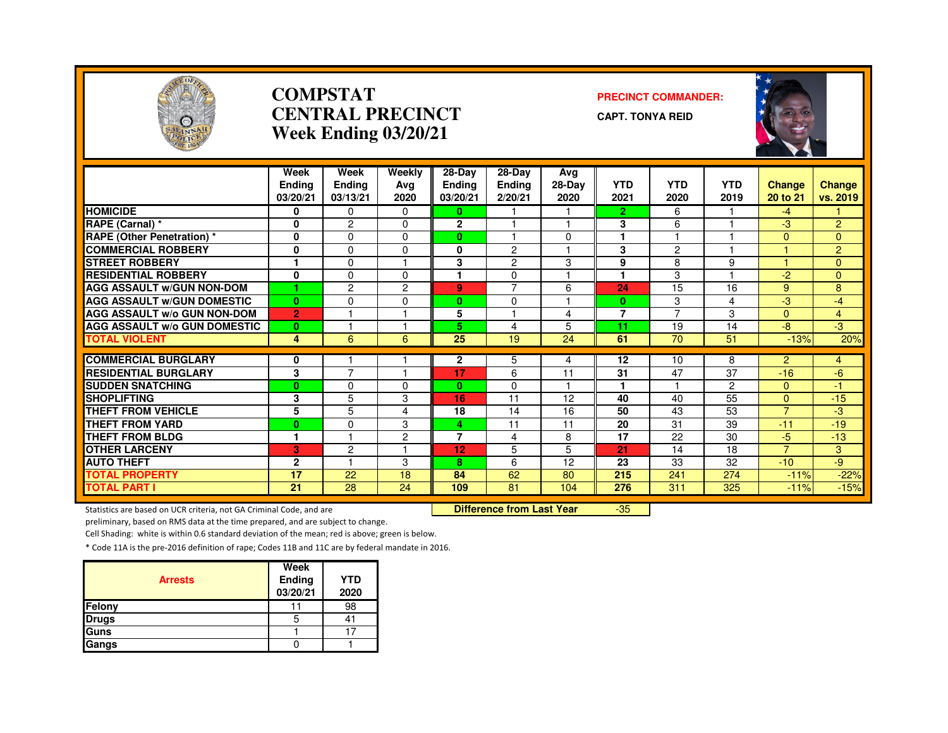

#### **COMPSTATCENTRAL PRECINCTWeek Ending 03/20/21**

#### **PRECINCT COMMANDER:**

**CAPT. TONYA REID**



|                                     | Week<br><b>Ending</b><br>03/20/21 | Week<br><b>Ending</b><br>03/13/21 | Weekly<br>Ava<br>2020 | 28-Day<br><b>Ending</b><br>03/20/21 | 28-Day<br><b>Ending</b><br>2/20/21 | Avg<br>$28-Dav$<br>2020 | <b>YTD</b><br>2021 | <b>YTD</b><br>2020 | <b>YTD</b><br>2019 | <b>Change</b><br>20 to 21 | Change<br>vs. 2019   |
|-------------------------------------|-----------------------------------|-----------------------------------|-----------------------|-------------------------------------|------------------------------------|-------------------------|--------------------|--------------------|--------------------|---------------------------|----------------------|
| <b>HOMICIDE</b>                     | 0                                 | $\Omega$                          | 0                     | 0                                   |                                    |                         | 2 <sup>1</sup>     | 6                  |                    | $-4$                      |                      |
| RAPE (Carnal) *                     | 0                                 | $\overline{2}$                    | $\Omega$              | $\mathbf{2}$                        | м                                  | $\overline{4}$          | 3                  | 6                  |                    | -3                        | $\overline{2}$       |
| <b>RAPE (Other Penetration)</b> *   | 0                                 | 0                                 | 0                     | $\bf{0}$                            |                                    | $\Omega$                | 1                  |                    |                    | $\Omega$                  | $\mathbf{0}$         |
| <b>COMMERCIAL ROBBERY</b>           | 0                                 | 0                                 | 0                     | 0                                   | 2                                  |                         | 3                  | $\overline{2}$     |                    |                           | $\overline{2}$       |
| <b>STREET ROBBERY</b>               | 1                                 | 0                                 |                       | 3                                   | $\overline{c}$                     | 3                       | 9                  | 8                  | 9                  |                           | $\Omega$             |
| <b>RESIDENTIAL ROBBERY</b>          | $\bf{0}$                          | $\Omega$                          | $\Omega$              | 1                                   | 0                                  |                         | 1                  | 3                  |                    | $-2$                      | $\Omega$             |
| <b>AGG ASSAULT W/GUN NON-DOM</b>    |                                   | $\overline{c}$                    | $\overline{2}$        | 9                                   | $\overline{7}$                     | 6                       | 24                 | 15                 | 16                 | 9                         | 8                    |
| <b>AGG ASSAULT W/GUN DOMESTIC</b>   | $\bf{0}$                          | 0                                 | 0                     | $\bf{0}$                            | $\Omega$                           |                         | $\bf{0}$           | 3                  | 4                  | -3                        | $-4$                 |
| <b>AGG ASSAULT W/o GUN NON-DOM</b>  | $\overline{2}$                    |                                   |                       | 5                                   |                                    | 4                       | 7                  | 7                  | 3                  | $\Omega$                  | $\overline{4}$       |
| <b>AGG ASSAULT W/o GUN DOMESTIC</b> | $\bf{0}$                          |                                   |                       | 5                                   | 4                                  | 5                       | 11                 | 19                 | 14                 | -8                        | $-3$                 |
| <b>TOTAL VIOLENT</b>                | 4                                 | 6                                 | 6                     | 25                                  | 19                                 | 24                      | 61                 | 70                 | 51                 | $-13%$                    | 20%                  |
|                                     |                                   |                                   |                       |                                     |                                    |                         |                    |                    |                    |                           |                      |
| <b>COMMERCIAL BURGLARY</b>          | 0                                 | $\overline{7}$                    |                       | $\mathbf{2}$                        | 5                                  | 4                       | 12                 | 10                 | 8                  | $\overline{2}$            | 4                    |
| <b>RESIDENTIAL BURGLARY</b>         | 3                                 |                                   |                       | 17                                  | 6                                  | 11                      | 31                 | 47                 | 37                 | $-16$                     | -6                   |
| <b>SUDDEN SNATCHING</b>             | $\bf{0}$                          | 0                                 | 0                     | $\mathbf{0}$                        | 0                                  |                         |                    |                    | 2                  | $\mathbf{0}$              | $\blacktriangleleft$ |
| <b>SHOPLIFTING</b>                  | 3                                 | 5                                 | 3                     | 16                                  | 11                                 | 12                      | 40                 | 40                 | $\overline{55}$    | $\Omega$                  | $-15$                |
| THEFT FROM VEHICLE                  | 5                                 | 5                                 | 4                     | 18                                  | 14                                 | 16                      | 50                 | 43                 | 53                 | $\overline{7}$            | -3                   |
| <b>THEFT FROM YARD</b>              | $\bf{0}$                          | 0                                 | 3                     | 4                                   | 11                                 | 11                      | 20                 | 31                 | 39                 | $-11$                     | $-19$                |
| <b>THEFT FROM BLDG</b>              | 1                                 | м                                 | $\overline{2}$        | $\overline{7}$                      | 4                                  | 8                       | 17                 | 22                 | 30                 | -5                        | $-13$                |
| <b>OTHER LARCENY</b>                | 3                                 | $\overline{2}$                    |                       | 12                                  | 5                                  | 5                       | 21                 | 14                 | 18                 | $\overline{7}$            | 3                    |
| <b>AUTO THEFT</b>                   | $\overline{2}$                    | ٠                                 | 3                     | 8                                   | 6                                  | 12                      | 23                 | 33                 | 32                 | $-10$                     | -9                   |
| <b>TOTAL PROPERTY</b>               | 17                                | 22                                | 18                    | 84                                  | 62                                 | 80                      | 215                | 241                | 274                | $-11%$                    | $-22%$               |
| <b>TOTAL PART I</b>                 | 21                                | 28                                | 24                    | 109                                 | 81                                 | 104                     | 276                | 311                | 325                | $-11%$                    | $-15%$               |

Statistics are based on UCR criteria, not GA Criminal Code, and are **Difference from Last Year** 

-35

preliminary, based on RMS data at the time prepared, and are subject to change.

Cell Shading: white is within 0.6 standard deviation of the mean; red is above; green is below.

| <b>Arrests</b> | Week<br>Ending<br>03/20/21 | <b>YTD</b><br>2020 |
|----------------|----------------------------|--------------------|
| Felony         |                            | 98                 |
| <b>Drugs</b>   | 'n                         |                    |
| Guns           |                            |                    |
| Gangs          |                            |                    |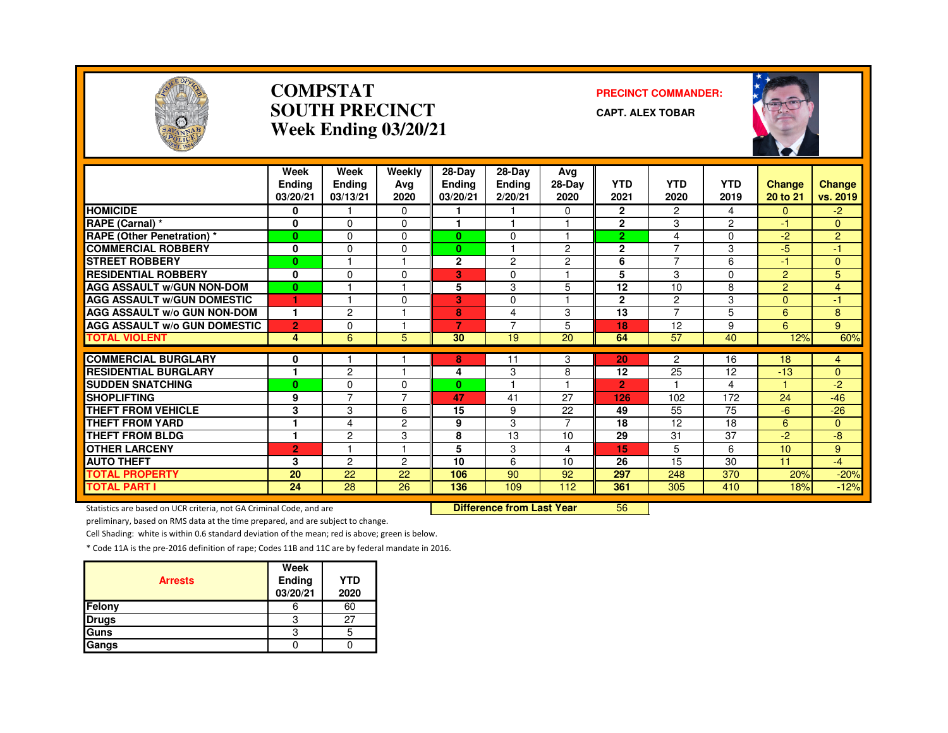

#### **COMPSTATSOUTH PRECINCTWeek Ending 03/20/21**

#### **PRECINCT COMMANDER:**

**CAPT. ALEX TOBAR**



|                                     | Week<br><b>Endina</b><br>03/20/21 | Week<br><b>Ending</b><br>03/13/21 | Weekly<br>Ava<br>2020 | $28-Dav$<br><b>Ending</b><br>03/20/21 | $28-Dav$<br><b>Ending</b><br>2/20/21 | Avg<br>28-Day<br>2020 | <b>YTD</b><br>2021 | <b>YTD</b><br>2020 | <b>YTD</b><br>2019 | <b>Change</b><br>20 to 21 | <b>Change</b><br>vs. 2019 |
|-------------------------------------|-----------------------------------|-----------------------------------|-----------------------|---------------------------------------|--------------------------------------|-----------------------|--------------------|--------------------|--------------------|---------------------------|---------------------------|
| <b>HOMICIDE</b>                     | 0                                 |                                   | $\Omega$              |                                       |                                      | $\Omega$              | $\mathbf{2}$       | $\overline{2}$     | 4                  | $\Omega$                  | $-2$                      |
| RAPE (Carnal) *                     | 0                                 | $\Omega$                          | $\Omega$              |                                       |                                      |                       | $\overline{2}$     | 3                  | $\overline{2}$     | $-1$                      | $\Omega$                  |
| <b>RAPE (Other Penetration) *</b>   | $\bf{0}$                          | $\Omega$                          | 0                     | $\mathbf{0}$                          | $\Omega$                             |                       | $\overline{2}$     | 4                  | 0                  | -2                        | 2                         |
| <b>COMMERCIAL ROBBERY</b>           | 0                                 | $\Omega$                          | $\Omega$              | $\mathbf{0}$                          |                                      | 2                     | $\overline{2}$     | ⇁                  | 3                  | $-5$                      | 4                         |
| <b>STREET ROBBERY</b>               | $\mathbf{0}$                      |                                   |                       | $\mathbf{2}$                          | 2                                    | $\overline{c}$        | 6                  | $\overline{ }$     | 6                  | $-1$                      | $\Omega$                  |
| <b>RESIDENTIAL ROBBERY</b>          | 0                                 | $\Omega$                          | $\Omega$              | 3                                     | $\Omega$                             |                       | 5                  | 3                  | 0                  | $\overline{2}$            | 5                         |
| <b>AGG ASSAULT W/GUN NON-DOM</b>    | $\bf{0}$                          |                                   |                       | 5                                     | 3                                    | 5                     | 12                 | 10                 | 8                  | $\overline{2}$            | 4                         |
| <b>AGG ASSAULT W/GUN DOMESTIC</b>   | 1                                 |                                   | $\Omega$              | 3                                     | $\Omega$                             |                       | $\mathbf{2}$       | 2                  | 3                  | $\Omega$                  | $-1$                      |
| <b>AGG ASSAULT W/o GUN NON-DOM</b>  | 1                                 | $\overline{c}$                    |                       | 8                                     | 4                                    | 3                     | 13                 | $\overline{ }$     | 5                  | 6                         | 8                         |
| <b>AGG ASSAULT W/o GUN DOMESTIC</b> | $\overline{2}$                    | $\Omega$                          |                       | 7                                     | $\overline{7}$                       | 5                     | 18                 | 12                 | 9                  | 6                         | 9                         |
| <b>TOTAL VIOLENT</b>                | 4                                 | 6                                 | 5                     | 30                                    | 19                                   | 20                    | 64                 | 57                 | 40                 | 12%                       | 60%                       |
| <b>COMMERCIAL BURGLARY</b>          |                                   |                                   |                       |                                       |                                      |                       |                    |                    |                    |                           |                           |
|                                     | 0<br>1                            |                                   | -1                    | 8                                     | 11                                   | 3                     | 20                 | $\overline{c}$     | 16                 | 18                        | $\overline{4}$            |
| <b>RESIDENTIAL BURGLARY</b>         |                                   | $\overline{c}$                    |                       | 4                                     | 3                                    | 8                     | 12                 | 25                 | 12                 | $-13$                     | $\Omega$                  |
| <b>ISUDDEN SNATCHING</b>            | $\bf{0}$                          | $\Omega$<br>7                     | 0<br>7                | $\mathbf{0}$                          |                                      |                       | $\overline{2}$     |                    | 4                  |                           | $-2$                      |
| <b>SHOPLIFTING</b>                  | 9                                 |                                   |                       | 47                                    | 41                                   | 27                    | 126                | 102                | 172                | 24                        | $-46$                     |
| <b>THEFT FROM VEHICLE</b>           | 3                                 | 3                                 | 6                     | 15                                    | 9                                    | 22                    | 49                 | 55                 | 75                 | -6                        | $-26$                     |
| <b>THEFT FROM YARD</b>              | $\mathbf{1}$                      | 4                                 | $\overline{2}$        | 9                                     | 3                                    | $\overline{7}$        | 18                 | 12                 | 18                 | 6                         | $\overline{0}$            |
| <b>THEFT FROM BLDG</b>              | 1                                 | 2                                 | 3                     | 8                                     | 13                                   | 10                    | 29                 | 31                 | 37                 | $-2$                      | -8                        |
| <b>OTHER LARCENY</b>                | $\overline{2}$                    |                                   | -1                    | 5                                     | 3                                    | 4                     | 15                 | 5                  | 6                  | 10                        | 9                         |
| <b>AUTO THEFT</b>                   | 3                                 | $\overline{2}$                    | $\overline{c}$        | 10                                    | 6                                    | 10                    | 26                 | 15                 | 30                 | 11                        | $-4$                      |
| <b>TOTAL PROPERTY</b>               | 20                                | 22                                | 22                    | 106                                   | 90                                   | 92                    | 297                | 248                | 370                | 20%                       | $-20%$                    |
| <b>TOTAL PART I</b>                 | 24                                | 28                                | 26                    | 136                                   | 109                                  | 112                   | 361                | 305                | 410                | 18%                       | $-12%$                    |

Statistics are based on UCR criteria, not GA Criminal Code, and are **Difference from Last Year** 

<sup>56</sup>

preliminary, based on RMS data at the time prepared, and are subject to change.

Cell Shading: white is within 0.6 standard deviation of the mean; red is above; green is below.

| <b>Arrests</b> | Week<br><b>Ending</b><br>03/20/21 | <b>YTD</b><br>2020 |
|----------------|-----------------------------------|--------------------|
| Felony         |                                   | 60                 |
| <b>Drugs</b>   | з                                 | 27                 |
| <b>Guns</b>    |                                   |                    |
| Gangs          |                                   |                    |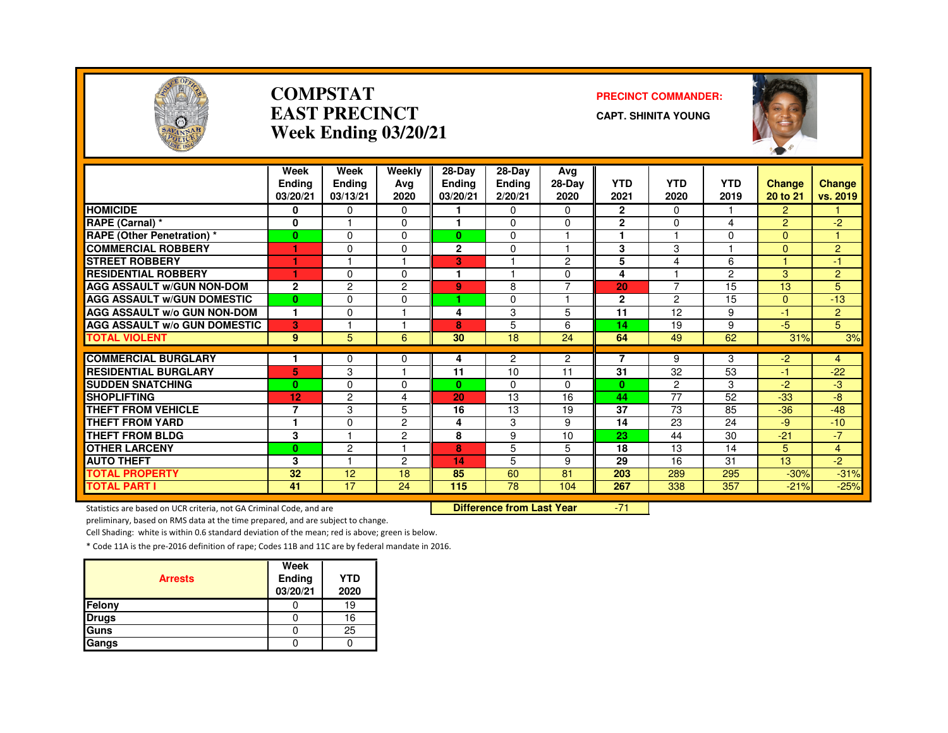

#### **COMPSTATEAST PRECINCTWeek Ending 03/20/21**

#### **PRECINCT COMMANDER:**

**CAPT. SHINITA YOUNG**



|                                     | Week           | Week           | Weekly         | $28-Dav$     | $28-Dav$      | Avg            |                |                         |                |                |                |
|-------------------------------------|----------------|----------------|----------------|--------------|---------------|----------------|----------------|-------------------------|----------------|----------------|----------------|
|                                     | <b>Endina</b>  | <b>Ending</b>  | Avg            | Ending       | <b>Ending</b> | 28-Day         | <b>YTD</b>     | <b>YTD</b>              | <b>YTD</b>     | <b>Change</b>  | <b>Change</b>  |
|                                     | 03/20/21       | 03/13/21       | 2020           | 03/20/21     | 2/20/21       | 2020           | 2021           | 2020                    | 2019           | 20 to 21       | vs. 2019       |
| <b>HOMICIDE</b>                     | 0              | 0              | $\Omega$       |              | 0             | $\Omega$       | $\mathbf{2}$   | $\Omega$                |                | 2              |                |
| RAPE (Carnal) *                     | 0              |                | $\Omega$       |              | $\Omega$      | 0              | $\overline{2}$ | $\mathbf 0$             | 4              | $\overline{2}$ | $-2$           |
| <b>RAPE (Other Penetration) *</b>   | $\mathbf{0}$   | 0              | $\Omega$       | $\mathbf{0}$ | $\Omega$      | $\overline{1}$ | $\blacksquare$ | $\overline{\mathbf{1}}$ | $\Omega$       | $\Omega$       | м              |
| <b>COMMERCIAL ROBBERY</b>           |                | 0              | $\Omega$       | $\mathbf{2}$ | $\Omega$      | -1             | 3              | 3                       |                | $\Omega$       | $\overline{2}$ |
| <b>STREET ROBBERY</b>               |                |                |                | G.           |               | $\overline{c}$ | 5              | 4                       | 6              |                | 47             |
| <b>RESIDENTIAL ROBBERY</b>          |                | 0              | $\Omega$       |              |               | $\Omega$       | 4              |                         | $\overline{c}$ | 3              | $\overline{2}$ |
| <b>AGG ASSAULT w/GUN NON-DOM</b>    | $\mathbf{2}$   | $\overline{c}$ | 2              | 9            | 8             | $\overline{7}$ | 20             | $\overline{7}$          | 15             | 13             | 5              |
| <b>AGG ASSAULT W/GUN DOMESTIC</b>   | $\mathbf{0}$   | 0              | $\Omega$       | ٠            | $\Omega$      | 1              | $\mathbf{2}$   | $\overline{c}$          | 15             | 0              | $-13$          |
| <b>AGG ASSAULT W/o GUN NON-DOM</b>  | 1              | 0              |                | 4            | 3             | 5              | 11             | 12                      | 9              | $\bullet$      | $\overline{2}$ |
| <b>AGG ASSAULT W/o GUN DOMESTIC</b> | 3              | ٠              |                | 8            | 5             | 6              | 14             | 19                      | 9              | $-5$           | 5              |
| <b>TOTAL VIOLENT</b>                | 9              | 5              | 6              | 30           | 18            | 24             | 64             | 49                      | 62             | 31%            | 3%             |
|                                     |                |                |                |              |               |                | $\overline{7}$ |                         |                |                |                |
| <b>COMMERCIAL BURGLARY</b>          |                | 0              | 0              | 4            | 2             | $\overline{c}$ | 31             | 9<br>32                 | 3              | $-2$           | 4              |
| <b>RESIDENTIAL BURGLARY</b>         | 5              | 3              |                | 11           | 10            | 11             |                |                         | 53             | $-1$           | $-22$          |
| <b>SUDDEN SNATCHING</b>             | $\mathbf{0}$   | 0              | $\Omega$       | $\mathbf{0}$ | 0             | $\Omega$       | $\bf{0}$       | 2                       | 3              | $-2$           | -3             |
| <b>SHOPLIFTING</b>                  | 12             | 2              | 4              | 20           | 13            | 16             | 44             | 77                      | 52             | $-33$          | -8             |
| <b>THEFT FROM VEHICLE</b>           | $\overline{7}$ | 3              | 5              | 16           | 13            | 19             | 37             | 73                      | 85             | $-36$          | $-48$          |
| <b>THEFT FROM YARD</b>              | и              | 0              | 2              | 4            | 3             | 9              | 14             | 23                      | 24             | -9             | $-10$          |
| <b>THEFT FROM BLDG</b>              | 3              | н              | $\overline{c}$ | 8            | 9             | 10             | 23             | 44                      | 30             | $-21$          | $-7$           |
| <b>OTHER LARCENY</b>                | $\mathbf{0}$   | $\overline{c}$ |                | 8            | 5             | 5              | 18             | 13                      | 14             | 5              | 4              |
| <b>AUTO THEFT</b>                   | 3              | 1              | 2              | 14           | 5             | 9              | 29             | 16                      | 31             | 13             | $-2$           |
| <b>TOTAL PROPERTY</b>               | 32             | 12             | 18             | 85           | 60            | 81             | 203            | 289                     | 295            | $-30%$         | $-31%$         |
| <b>TOTAL PART I</b>                 | 41             | 17             | 24             | 115          | 78            | 104            | 267            | 338                     | 357            | $-21%$         | $-25%$         |

Statistics are based on UCR criteria, not GA Criminal Code, and are **Difference from Last Year** 

-71

preliminary, based on RMS data at the time prepared, and are subject to change.

Cell Shading: white is within 0.6 standard deviation of the mean; red is above; green is below.

| <b>Arrests</b> | Week<br>Ending<br>03/20/21 | <b>YTD</b><br>2020 |
|----------------|----------------------------|--------------------|
| Felony         |                            | 19                 |
| <b>Drugs</b>   |                            | 16                 |
| Guns           |                            | 25                 |
| Gangs          |                            |                    |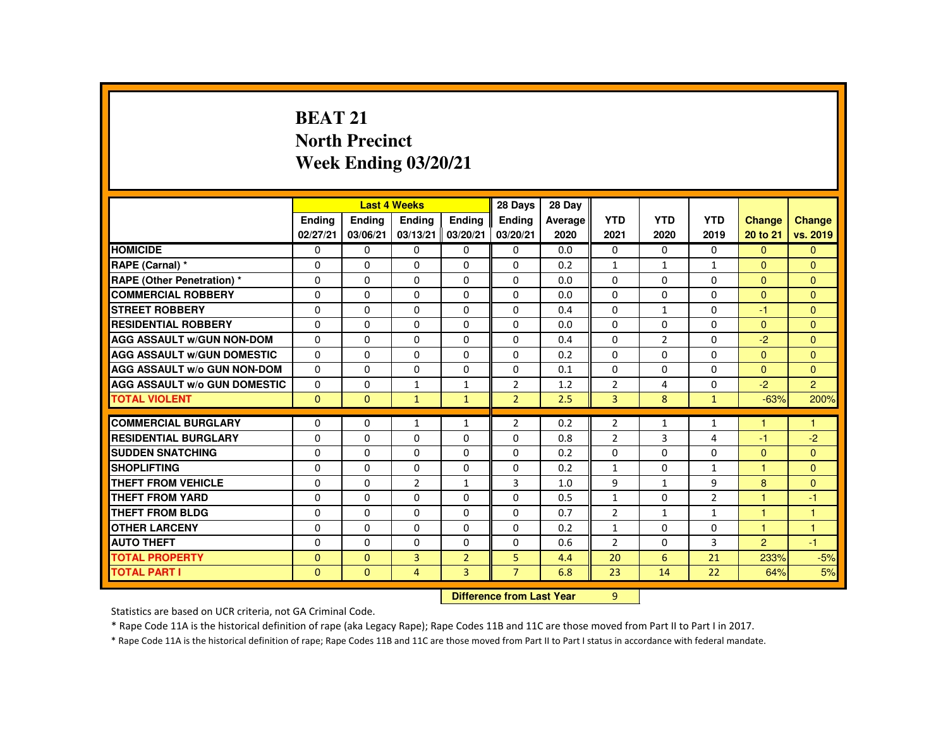# **BEAT 21 North PrecinctWeek Ending 03/20/21**

|                                     |               |                           | <b>Last 4 Weeks</b> |                | 28 Days        | 28 Day  |                |                |                |                      |                |
|-------------------------------------|---------------|---------------------------|---------------------|----------------|----------------|---------|----------------|----------------|----------------|----------------------|----------------|
|                                     | <b>Endina</b> | <b>Ending</b>             | <b>Endina</b>       | <b>Endina</b>  | <b>Endina</b>  | Average | <b>YTD</b>     | <b>YTD</b>     | <b>YTD</b>     | <b>Change</b>        | <b>Change</b>  |
|                                     | 02/27/21      | 03/06/21                  | 03/13/21            | 03/20/21       | 03/20/21       | 2020    | 2021           | 2020           | 2019           | 20 to 21             | vs. 2019       |
| <b>HOMICIDE</b>                     | $\mathbf{0}$  | 0                         | $\Omega$            | 0              | 0              | 0.0     | 0              | $\Omega$       | $\Omega$       | $\Omega$             | $\mathbf{0}$   |
| RAPE (Carnal) *                     | 0             | $\Omega$                  | $\Omega$            | $\Omega$       | $\Omega$       | 0.2     | $\mathbf{1}$   | 1              | $\mathbf{1}$   | $\Omega$             | $\Omega$       |
| <b>RAPE (Other Penetration) *</b>   | $\Omega$      | $\Omega$                  | $\Omega$            | $\Omega$       | $\Omega$       | 0.0     | $\Omega$       | $\Omega$       | $\Omega$       | $\Omega$             | $\Omega$       |
| <b>COMMERCIAL ROBBERY</b>           | $\Omega$      | $\Omega$                  | $\Omega$            | $\Omega$       | $\Omega$       | 0.0     | $\Omega$       | $\Omega$       | $\Omega$       | $\Omega$             | $\Omega$       |
| <b>STREET ROBBERY</b>               | $\Omega$      | $\Omega$                  | $\Omega$            | $\Omega$       | $\Omega$       | 0.4     | $\Omega$       | $\mathbf{1}$   | $\Omega$       | -1                   | $\mathbf{0}$   |
| <b>RESIDENTIAL ROBBERY</b>          | $\Omega$      | $\Omega$                  | $\Omega$            | $\Omega$       | $\Omega$       | 0.0     | $\Omega$       | $\Omega$       | $\Omega$       | $\Omega$             | $\Omega$       |
| <b>AGG ASSAULT W/GUN NON-DOM</b>    | $\Omega$      | $\Omega$                  | $\Omega$            | $\Omega$       | $\Omega$       | 0.4     | $\Omega$       | $\overline{2}$ | $\Omega$       | $-2$                 | $\Omega$       |
| <b>AGG ASSAULT W/GUN DOMESTIC</b>   | $\Omega$      | $\Omega$                  | $\Omega$            | $\Omega$       | $\Omega$       | 0.2     | $\Omega$       | $\Omega$       | $\Omega$       | $\Omega$             | $\Omega$       |
| AGG ASSAULT W/o GUN NON-DOM         | 0             | 0                         | 0                   | 0              | 0              | 0.1     | $\Omega$       | 0              | $\Omega$       | $\Omega$             | $\mathbf{0}$   |
| <b>AGG ASSAULT W/o GUN DOMESTIC</b> | $\Omega$      | 0                         | 1                   | $\mathbf{1}$   | $\overline{2}$ | 1.2     | $\overline{2}$ | 4              | $\Omega$       | $-2$                 | $\overline{2}$ |
| <b>TOTAL VIOLENT</b>                | $\Omega$      | $\mathbf{0}$              | $\mathbf{1}$        | $\mathbf{1}$   | $\overline{2}$ | 2.5     | $\overline{3}$ | 8              | $\mathbf{1}$   | $-63%$               | 200%           |
| <b>COMMERCIAL BURGLARY</b>          | 0             | 0                         | 1                   | 1              | 2              | 0.2     | 2              | 1              | $\mathbf{1}$   | 1                    | 1              |
| <b>RESIDENTIAL BURGLARY</b>         | $\Omega$      | $\Omega$                  | $\Omega$            | $\Omega$       | 0              | 0.8     | $\overline{2}$ | 3              | 4              | -1                   | $-2$           |
| <b>SUDDEN SNATCHING</b>             | $\Omega$      | $\Omega$                  | $\Omega$            | $\Omega$       | $\Omega$       | 0.2     | $\Omega$       | $\Omega$       | $\Omega$       | $\Omega$             | $\Omega$       |
| <b>SHOPLIFTING</b>                  | 0             | 0                         | $\Omega$            | 0              | 0              | 0.2     | $\mathbf{1}$   | 0              | $\mathbf{1}$   | 1                    | $\mathbf{0}$   |
| <b>THEFT FROM VEHICLE</b>           | $\Omega$      | $\Omega$                  | $\overline{2}$      | $\mathbf{1}$   | 3              | 1.0     | 9              | $\mathbf{1}$   | 9              | 8                    | $\Omega$       |
| <b>THEFT FROM YARD</b>              | $\Omega$      | $\Omega$                  | $\Omega$            | $\Omega$       | $\Omega$       | 0.5     | $\mathbf{1}$   | $\Omega$       | $\overline{2}$ | $\overline{1}$       | $-1$           |
| <b>THEFT FROM BLDG</b>              | 0             | $\Omega$                  | $\Omega$            | $\Omega$       | $\Omega$       | 0.7     | $\overline{2}$ | $\mathbf{1}$   | $\mathbf{1}$   | $\blacktriangleleft$ | $\mathbf{1}$   |
| <b>OTHER LARCENY</b>                | $\Omega$      | $\Omega$                  | $\Omega$            | $\Omega$       | $\Omega$       | 0.2     | $\mathbf{1}$   | $\Omega$       | $\Omega$       | $\blacktriangleleft$ | $\overline{1}$ |
| <b>AUTO THEFT</b>                   | $\Omega$      | $\Omega$                  | $\Omega$            | $\Omega$       | $\Omega$       | 0.6     | $\overline{2}$ | $\Omega$       | 3              | 2                    | $-1$           |
| <b>TOTAL PROPERTY</b>               | $\Omega$      | $\mathbf{0}$              | $\overline{3}$      | $\overline{2}$ | 5              | 4.4     | 20             | 6              | 21             | 233%                 | $-5%$          |
| <b>TOTAL PART I</b>                 | $\mathbf{0}$  | $\mathbf{0}$              | $\overline{4}$      | $\overline{3}$ | $\overline{7}$ | 6.8     | 23             | 14             | 22             | 64%                  | 5%             |
|                                     |               | Difference from Last Year |                     | $\overline{9}$ |                |         |                |                |                |                      |                |

 **Difference from Last Year**

Statistics are based on UCR criteria, not GA Criminal Code.

\* Rape Code 11A is the historical definition of rape (aka Legacy Rape); Rape Codes 11B and 11C are those moved from Part II to Part I in 2017.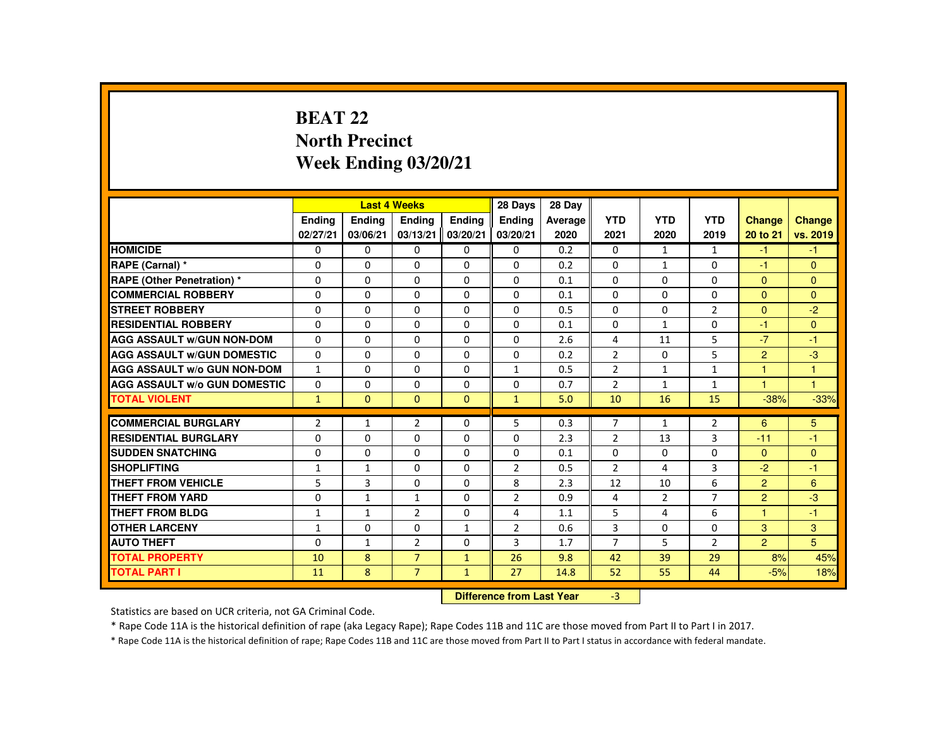# **BEAT 22 North PrecinctWeek Ending 03/20/21**

|                                     |                |                           | <b>Last 4 Weeks</b> |               | 28 Days        | 28 Day  |                |              |                |                |               |
|-------------------------------------|----------------|---------------------------|---------------------|---------------|----------------|---------|----------------|--------------|----------------|----------------|---------------|
|                                     | Ending         | Ending                    | Ending              | <b>Endina</b> | <b>Endina</b>  | Average | <b>YTD</b>     | <b>YTD</b>   | <b>YTD</b>     | Change         | <b>Change</b> |
|                                     | 02/27/21       | 03/06/21                  | 03/13/21            | 03/20/21      | 03/20/21       | 2020    | 2021           | 2020         | 2019           | 20 to 21       | vs. 2019      |
| <b>HOMICIDE</b>                     | $\mathbf{0}$   | $\Omega$                  | $\Omega$            | $\Omega$      | 0              | 0.2     | 0              | $\mathbf{1}$ | $\mathbf{1}$   | $-1$           | $-1$          |
| RAPE (Carnal) *                     | 0              | $\Omega$                  | $\Omega$            | $\Omega$      | 0              | 0.2     | $\Omega$       | $\mathbf{1}$ | 0              | $-1$           | $\mathbf{0}$  |
| <b>RAPE (Other Penetration) *</b>   | $\Omega$       | $\Omega$                  | $\Omega$            | $\Omega$      | $\Omega$       | 0.1     | $\Omega$       | $\Omega$     | $\Omega$       | $\mathbf{0}$   | $\mathbf{0}$  |
| <b>COMMERCIAL ROBBERY</b>           | $\Omega$       | $\Omega$                  | $\Omega$            | $\Omega$      | $\Omega$       | 0.1     | $\Omega$       | $\Omega$     | $\Omega$       | $\mathbf{0}$   | $\Omega$      |
| <b>STREET ROBBERY</b>               | $\Omega$       | $\Omega$                  | $\Omega$            | $\Omega$      | $\Omega$       | 0.5     | $\Omega$       | $\Omega$     | $\overline{2}$ | $\Omega$       | $-2$          |
| <b>RESIDENTIAL ROBBERY</b>          | $\Omega$       | $\Omega$                  | $\mathbf{0}$        | 0             | 0              | 0.1     | $\Omega$       | $\mathbf{1}$ | 0              | $-1$           | $\Omega$      |
| <b>AGG ASSAULT W/GUN NON-DOM</b>    | $\Omega$       | $\Omega$                  | $\Omega$            | $\Omega$      | $\Omega$       | 2.6     | 4              | 11           | 5              | $-7$           | $-1$          |
| <b>AGG ASSAULT W/GUN DOMESTIC</b>   | $\Omega$       | $\Omega$                  | $\Omega$            | $\Omega$      | $\Omega$       | 0.2     | $\overline{2}$ | $\Omega$     | 5              | $\overline{2}$ | $-3$          |
| <b>AGG ASSAULT W/o GUN NON-DOM</b>  | $\mathbf{1}$   | $\Omega$                  | $\Omega$            | $\Omega$      | $\mathbf{1}$   | 0.5     | $\overline{2}$ | $\mathbf{1}$ | $\mathbf{1}$   | $\mathbf{1}$   | $\mathbf{1}$  |
| <b>AGG ASSAULT w/o GUN DOMESTIC</b> | $\mathbf{0}$   | 0                         | 0                   | $\Omega$      | 0              | 0.7     | 2              | $\mathbf{1}$ | $\mathbf{1}$   | $\mathbf{1}$   | $\mathbf{1}$  |
| <b>TOTAL VIOLENT</b>                | $\mathbf{1}$   | $\mathbf{0}$              | $\mathbf{0}$        | $\mathbf{0}$  | $\mathbf{1}$   | 5.0     | 10             | 16           | 15             | $-38%$         | $-33%$        |
| <b>COMMERCIAL BURGLARY</b>          | $\overline{2}$ | $\mathbf{1}$              | $\overline{2}$      | $\Omega$      | 5              | 0.3     | $\overline{7}$ | $\mathbf{1}$ | $\overline{2}$ | 6              | 5             |
| <b>RESIDENTIAL BURGLARY</b>         | 0              | $\Omega$                  | $\Omega$            | $\Omega$      | $\Omega$       | 2.3     | $\overline{2}$ | 13           | 3              | $-11$          | -1            |
| <b>SUDDEN SNATCHING</b>             | $\Omega$       | $\Omega$                  | $\Omega$            | $\Omega$      | $\Omega$       | 0.1     | 0              | 0            | $\Omega$       | $\mathbf{0}$   | $\mathbf{0}$  |
| <b>SHOPLIFTING</b>                  | $\mathbf{1}$   | $\mathbf{1}$              | $\Omega$            | $\Omega$      | $\overline{2}$ | 0.5     | $\overline{2}$ | 4            | 3              | $-2$           | $-1$          |
| <b>THEFT FROM VEHICLE</b>           | 5              | 3                         | $\Omega$            | $\Omega$      | 8              | 2.3     | 12             | 10           | 6              | $\overline{2}$ | 6             |
| <b>THEFT FROM YARD</b>              | $\Omega$       | $\mathbf{1}$              | $\mathbf{1}$        | $\Omega$      | 2              | 0.9     | 4              | 2            | $\overline{7}$ | $\overline{2}$ | $-3$          |
| <b>THEFT FROM BLDG</b>              | 1              | $\mathbf{1}$              | $\overline{2}$      | $\Omega$      | 4              | 1.1     | 5              | 4            | 6              | $\overline{1}$ | $-1$          |
| <b>OTHER LARCENY</b>                | $\mathbf{1}$   | $\Omega$                  | $\Omega$            | $\mathbf{1}$  | $\overline{2}$ | 0.6     | $\overline{3}$ | $\Omega$     | $\Omega$       | 3              | 3             |
| <b>AUTO THEFT</b>                   | $\Omega$       | $\mathbf{1}$              | $\overline{2}$      | $\Omega$      | 3              | 1.7     | $\overline{7}$ | 5            | $\overline{2}$ | $\overline{2}$ | 5             |
| <b>TOTAL PROPERTY</b>               | 10             | 8                         | $\overline{7}$      | $\mathbf{1}$  | 26             | 9.8     | 42             | 39           | 29             | 8%             | 45%           |
| <b>TOTAL PART I</b>                 | 11             | 8                         | $\overline{7}$      | $\mathbf{1}$  | 27             | 14.8    | 52             | 55           | 44             | $-5%$          | 18%           |
|                                     |                | Difference from Loot Voor |                     | $\mathcal{D}$ |                |         |                |              |                |                |               |

 **Difference from Last Year**r -3

Statistics are based on UCR criteria, not GA Criminal Code.

\* Rape Code 11A is the historical definition of rape (aka Legacy Rape); Rape Codes 11B and 11C are those moved from Part II to Part I in 2017.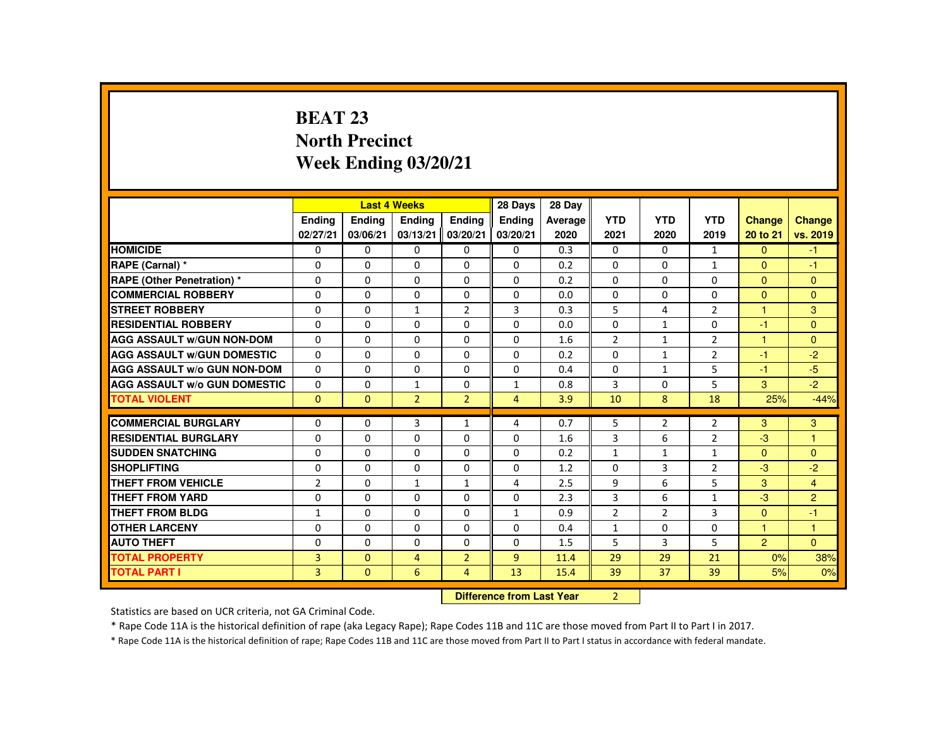# **BEAT 23 North PrecinctWeek Ending 03/20/21**

|                                     |                |               | <b>Last 4 Weeks</b> |                | 28 Days                   | 28 Day  |                |                |                |                |                |
|-------------------------------------|----------------|---------------|---------------------|----------------|---------------------------|---------|----------------|----------------|----------------|----------------|----------------|
|                                     | <b>Ending</b>  | <b>Ending</b> | <b>Endina</b>       | <b>Endina</b>  | <b>Endina</b>             | Average | <b>YTD</b>     | <b>YTD</b>     | <b>YTD</b>     | <b>Change</b>  | Change         |
|                                     | 02/27/21       | 03/06/21      | 03/13/21            | 03/20/21       | 03/20/21                  | 2020    | 2021           | 2020           | 2019           | 20 to 21       | vs. 2019       |
| <b>HOMICIDE</b>                     | 0              | $\mathbf{0}$  | $\mathbf{0}$        | $\mathbf{0}$   | 0                         | 0.3     | 0              | $\Omega$       | $\mathbf{1}$   | $\Omega$       | $-1$           |
| RAPE (Carnal) *                     | $\Omega$       | $\Omega$      | $\Omega$            | $\Omega$       | $\Omega$                  | 0.2     | $\Omega$       | $\Omega$       | $\mathbf{1}$   | $\Omega$       | $-1$           |
| <b>RAPE (Other Penetration) *</b>   | $\mathbf{0}$   | $\Omega$      | $\mathbf{0}$        | $\Omega$       | 0                         | 0.2     | 0              | $\Omega$       | 0              | $\Omega$       | $\mathbf{0}$   |
| <b>COMMERCIAL ROBBERY</b>           | $\Omega$       | $\Omega$      | $\Omega$            | $\Omega$       | $\Omega$                  | 0.0     | $\Omega$       | $\Omega$       | $\Omega$       | $\Omega$       | $\Omega$       |
| <b>STREET ROBBERY</b>               | $\mathbf{0}$   | $\Omega$      | $\mathbf{1}$        | $\overline{2}$ | 3                         | 0.3     | 5              | 4              | $\overline{2}$ | $\overline{1}$ | 3              |
| <b>RESIDENTIAL ROBBERY</b>          | $\mathbf{0}$   | $\Omega$      | $\Omega$            | $\Omega$       | $\Omega$                  | 0.0     | $\Omega$       | $\mathbf{1}$   | $\Omega$       | $-1$           | $\Omega$       |
| <b>AGG ASSAULT W/GUN NON-DOM</b>    | $\mathbf{0}$   | $\Omega$      | $\Omega$            | $\Omega$       | $\Omega$                  | 1.6     | $\overline{2}$ | $\mathbf{1}$   | $\overline{2}$ | 1              | $\Omega$       |
| <b>AGG ASSAULT W/GUN DOMESTIC</b>   | $\Omega$       | $\Omega$      | $\Omega$            | $\Omega$       | $\Omega$                  | 0.2     | $\Omega$       | $\mathbf{1}$   | $\overline{2}$ | $-1$           | $-2$           |
| <b>AGG ASSAULT W/o GUN NON-DOM</b>  | $\Omega$       | $\Omega$      | $\Omega$            | $\Omega$       | $\Omega$                  | 0.4     | $\Omega$       | $\mathbf{1}$   | 5              | $-1$           | $-5$           |
| <b>AGG ASSAULT W/o GUN DOMESTIC</b> | 0              | 0             | 1                   | 0              | 1                         | 0.8     | 3              | 0              | 5              | 3              | $-2$           |
| <b>TOTAL VIOLENT</b>                | $\Omega$       | $\Omega$      | $\overline{2}$      | $\overline{2}$ | $\overline{4}$            | 3.9     | 10             | 8              | 18             | 25%            | $-44%$         |
| <b>COMMERCIAL BURGLARY</b>          | $\mathbf{0}$   | $\Omega$      | 3                   | $\mathbf{1}$   | 4                         | 0.7     | 5              | $\overline{2}$ | $\overline{2}$ | 3              | 3              |
| <b>RESIDENTIAL BURGLARY</b>         | $\Omega$       | $\Omega$      | $\Omega$            | $\Omega$       | $\Omega$                  | 1.6     | 3              | 6              | $\overline{2}$ | $-3$           |                |
| <b>SUDDEN SNATCHING</b>             | $\Omega$       | $\Omega$      | $\Omega$            | $\Omega$       | $\Omega$                  | 0.2     | $\mathbf{1}$   | $\mathbf{1}$   | $\mathbf{1}$   | $\Omega$       | $\Omega$       |
| <b>SHOPLIFTING</b>                  | $\Omega$       | $\Omega$      | $\Omega$            | $\Omega$       | $\Omega$                  | 1.2     | $\Omega$       | 3              | $\overline{2}$ | $-3$           | $-2$           |
| THEFT FROM VEHICLE                  | $\overline{2}$ | $\Omega$      | $\mathbf{1}$        | $\mathbf{1}$   | 4                         | 2.5     | 9              | 6              | 5              | $\mathcal{R}$  | $\overline{4}$ |
| <b>THEFT FROM YARD</b>              | $\Omega$       | $\Omega$      | $\Omega$            | $\Omega$       | $\Omega$                  | 2.3     | 3              | 6              | $\mathbf{1}$   | $-3$           | $\overline{2}$ |
| <b>THEFT FROM BLDG</b>              | $\mathbf{1}$   | $\Omega$      | $\Omega$            | $\Omega$       | $\mathbf{1}$              | 0.9     | $\overline{2}$ | $\overline{2}$ | $\overline{3}$ | $\Omega$       | $-1$           |
| <b>OTHER LARCENY</b>                | $\Omega$       | $\Omega$      | $\Omega$            | $\Omega$       | $\Omega$                  | 0.4     | $\mathbf{1}$   | $\Omega$       | $\Omega$       | 1              | $\mathbf{1}$   |
| <b>AUTO THEFT</b>                   | $\Omega$       | $\Omega$      | $\Omega$            | $\Omega$       | $\Omega$                  | 1.5     | 5              | 3              | 5              | $\overline{2}$ | $\Omega$       |
| <b>TOTAL PROPERTY</b>               | 3              | $\Omega$      | $\overline{a}$      | $\overline{2}$ | $\overline{9}$            | 11.4    | 29             | 29             | 21             | 0%             | 38%            |
| <b>TOTAL PART I</b>                 | $\overline{3}$ | $\mathbf{0}$  | 6                   | $\overline{4}$ | 13                        | 15.4    | 39             | 37             | 39             | 5%             | 0%             |
|                                     |                |               |                     |                | Difference from Loot Voor |         | $\mathcal{D}$  |                |                |                |                |

 **Difference from Last Year**r 2

Statistics are based on UCR criteria, not GA Criminal Code.

\* Rape Code 11A is the historical definition of rape (aka Legacy Rape); Rape Codes 11B and 11C are those moved from Part II to Part I in 2017.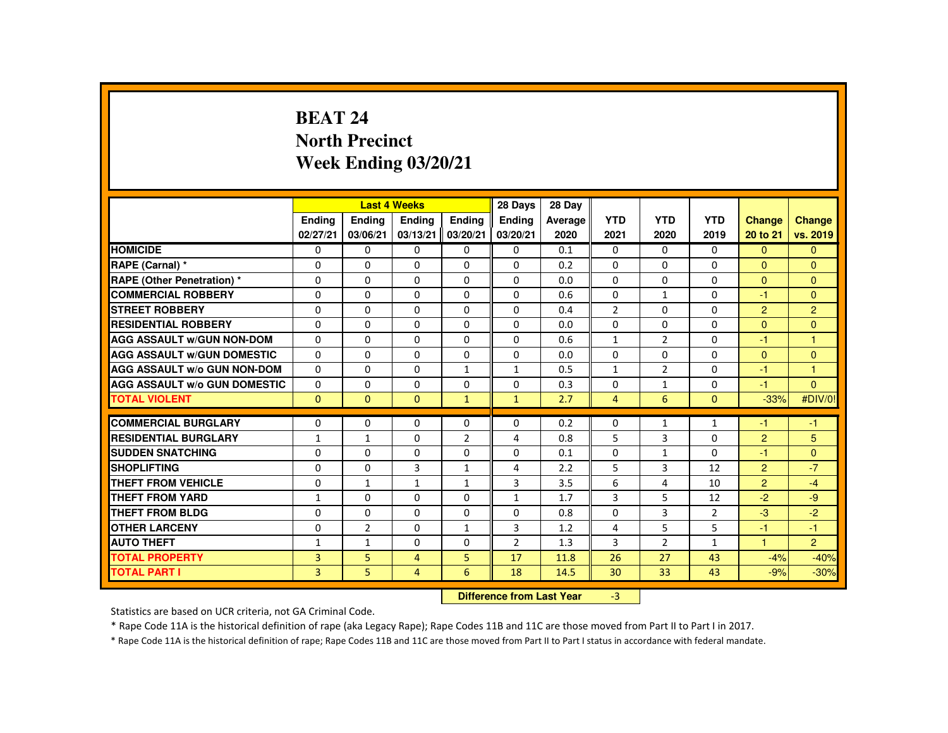# **BEAT 24 North PrecinctWeek Ending 03/20/21**

|                                     |              |              | <b>Last 4 Weeks</b> |                | 28 Days                   | 28 Day  |                |                |                |                |                |
|-------------------------------------|--------------|--------------|---------------------|----------------|---------------------------|---------|----------------|----------------|----------------|----------------|----------------|
|                                     | Ending       | Ending       | Ending              | <b>Endina</b>  | <b>Endina</b>             | Average | <b>YTD</b>     | <b>YTD</b>     | <b>YTD</b>     | <b>Change</b>  | Change         |
|                                     | 02/27/21     | 03/06/21     | 03/13/21            | 03/20/21       | 03/20/21                  | 2020    | 2021           | 2020           | 2019           | 20 to 21       | vs. 2019       |
| <b>HOMICIDE</b>                     | 0            | $\mathbf{0}$ | $\Omega$            | $\Omega$       | 0                         | 0.1     | 0              | $\Omega$       | 0              | $\Omega$       | $\mathbf{0}$   |
| RAPE (Carnal) *                     | $\Omega$     | $\Omega$     | $\Omega$            | $\Omega$       | 0                         | 0.2     | 0              | 0              | 0              | $\Omega$       | $\mathbf{0}$   |
| <b>RAPE (Other Penetration) *</b>   | $\mathbf{0}$ | $\mathbf{0}$ | $\mathbf{0}$        | $\Omega$       | 0                         | 0.0     | $\Omega$       | $\Omega$       | $\Omega$       | $\Omega$       | $\mathbf{0}$   |
| <b>COMMERCIAL ROBBERY</b>           | $\mathbf{0}$ | $\Omega$     | $\Omega$            | $\Omega$       | $\Omega$                  | 0.6     | $\Omega$       | $\mathbf{1}$   | $\mathbf{0}$   | $-1$           | $\Omega$       |
| <b>STREET ROBBERY</b>               | $\Omega$     | $\Omega$     | $\Omega$            | $\Omega$       | $\Omega$                  | 0.4     | $\overline{2}$ | $\Omega$       | $\Omega$       | $\overline{2}$ | $\overline{2}$ |
| <b>RESIDENTIAL ROBBERY</b>          | $\mathbf{0}$ | $\mathbf{0}$ | $\mathbf{0}$        | 0              | 0                         | 0.0     | $\Omega$       | 0              | $\Omega$       | $\Omega$       | $\Omega$       |
| <b>AGG ASSAULT W/GUN NON-DOM</b>    | $\mathbf{0}$ | $\Omega$     | $\Omega$            | $\Omega$       | 0                         | 0.6     | 1              | $\overline{2}$ | $\Omega$       | -1             | $\mathbf{1}$   |
| <b>AGG ASSAULT W/GUN DOMESTIC</b>   | $\Omega$     | $\Omega$     | $\Omega$            | $\Omega$       | $\Omega$                  | 0.0     | $\Omega$       | $\Omega$       | $\Omega$       | $\Omega$       | $\overline{0}$ |
| <b>AGG ASSAULT W/o GUN NON-DOM</b>  | $\Omega$     | $\Omega$     | $\Omega$            | $\mathbf{1}$   | $\mathbf{1}$              | 0.5     | $\mathbf{1}$   | $\overline{2}$ | $\Omega$       | $-1$           | $\mathbf{1}$   |
| <b>AGG ASSAULT W/o GUN DOMESTIC</b> | 0            | $\Omega$     | $\mathbf{0}$        | 0              | 0                         | 0.3     | 0              | $\mathbf{1}$   | 0              | -1             | $\mathbf{0}$   |
| <b>TOTAL VIOLENT</b>                | $\Omega$     | $\mathbf{0}$ | $\Omega$            | $\mathbf{1}$   | $\mathbf{1}$              | 2.7     | $\overline{4}$ | 6              | $\mathbf{0}$   | $-33%$         | #DIV/0!        |
| <b>COMMERCIAL BURGLARY</b>          | $\Omega$     | $\Omega$     | $\Omega$            | $\Omega$       | $\Omega$                  | 0.2     | 0              | $\mathbf{1}$   | $\mathbf{1}$   | $-1$           | $-1$           |
| <b>RESIDENTIAL BURGLARY</b>         | $\mathbf{1}$ | $\mathbf{1}$ | $\Omega$            | $\overline{2}$ | 4                         | 0.8     | 5              | 3              | 0              | 2              | 5              |
| <b>SUDDEN SNATCHING</b>             | $\Omega$     | $\Omega$     | $\Omega$            | $\Omega$       | $\Omega$                  | 0.1     | 0              | 1              | $\Omega$       | -1             | $\Omega$       |
| <b>SHOPLIFTING</b>                  | $\Omega$     | $\Omega$     | 3                   | $\mathbf{1}$   | 4                         | 2.2     | 5              | 3              | 12             | 2              | $-7$           |
| <b>THEFT FROM VEHICLE</b>           | $\mathbf{0}$ | $\mathbf{1}$ | $\mathbf{1}$        | $\mathbf{1}$   | 3                         | 3.5     | 6              | 4              | 10             | $\overline{2}$ | $-4$           |
| <b>THEFT FROM YARD</b>              | 1            | $\Omega$     | $\Omega$            | $\Omega$       | $\mathbf{1}$              | 1.7     | 3              | 5              | 12             | $-2$           | $-9$           |
| THEFT FROM BLDG                     | $\mathbf{0}$ | $\Omega$     | $\Omega$            | $\Omega$       | 0                         | 0.8     | $\Omega$       | 3              | $\overline{2}$ | $-3$           | $-2$           |
| <b>OTHER LARCENY</b>                | $\Omega$     | 2            | $\Omega$            | $\mathbf{1}$   | 3                         | 1.2     | 4              | 5              | 5              | -1             | $-1$           |
| <b>AUTO THEFT</b>                   | $\mathbf{1}$ | $\mathbf{1}$ | $\Omega$            | $\Omega$       | $\overline{2}$            | 1.3     | 3              | $\overline{2}$ | $\mathbf{1}$   | $\overline{1}$ | $\overline{2}$ |
| <b>TOTAL PROPERTY</b>               | 3            | 5            | $\overline{4}$      | 5              | 17                        | 11.8    | 26             | 27             | 43             | $-4%$          | $-40%$         |
| <b>TOTAL PART I</b>                 | 3            | 5            | $\overline{4}$      | 6              | 18                        | 14.5    | 30             | 33             | 43             | $-9%$          | $-30%$         |
|                                     |              |              |                     |                | Difference from Loot Voor |         | $\mathcal{D}$  |                |                |                |                |

 **Difference from Last Year**r -3

Statistics are based on UCR criteria, not GA Criminal Code.

\* Rape Code 11A is the historical definition of rape (aka Legacy Rape); Rape Codes 11B and 11C are those moved from Part II to Part I in 2017.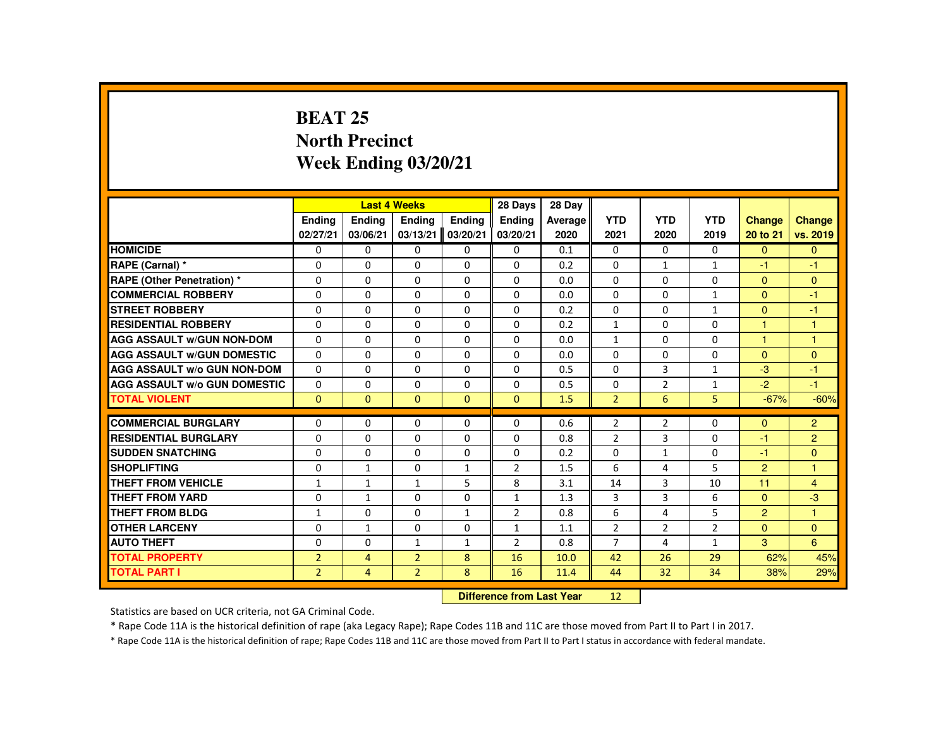# **BEAT 25 North PrecinctWeek Ending 03/20/21**

|                                     |                | <b>Last 4 Weeks</b> |                |              | 28 Days        | 28 Day  |                |                |                |                |                |
|-------------------------------------|----------------|---------------------|----------------|--------------|----------------|---------|----------------|----------------|----------------|----------------|----------------|
|                                     | Ending         | Ending              | Ending         | Ending       | <b>Endina</b>  | Average | <b>YTD</b>     | <b>YTD</b>     | <b>YTD</b>     | <b>Change</b>  | <b>Change</b>  |
|                                     | 02/27/21       | 03/06/21            | 03/13/21       | 03/20/21     | 03/20/21       | 2020    | 2021           | 2020           | 2019           | 20 to 21       | vs. 2019       |
| <b>HOMICIDE</b>                     | 0              | $\mathbf{0}$        | $\Omega$       | $\Omega$     | $\Omega$       | 0.1     | $\Omega$       | $\Omega$       | $\Omega$       | $\Omega$       | $\Omega$       |
| RAPE (Carnal) *                     | 0              | $\Omega$            | $\Omega$       | $\Omega$     | $\Omega$       | 0.2     | $\Omega$       | $\mathbf{1}$   | $\mathbf{1}$   | $-1$           | $-1$           |
| RAPE (Other Penetration) *          | 0              | $\Omega$            | $\Omega$       | $\Omega$     | $\Omega$       | 0.0     | $\Omega$       | $\Omega$       | $\Omega$       | $\mathbf{0}$   | $\Omega$       |
| <b>COMMERCIAL ROBBERY</b>           | $\Omega$       | $\Omega$            | $\Omega$       | $\Omega$     | $\Omega$       | 0.0     | $\Omega$       | $\Omega$       | $\mathbf{1}$   | $\Omega$       | $-1$           |
| <b>STREET ROBBERY</b>               | $\Omega$       | $\Omega$            | $\Omega$       | $\Omega$     | $\Omega$       | 0.2     | $\Omega$       | $\Omega$       | $\mathbf{1}$   | $\Omega$       | $-1$           |
| <b>RESIDENTIAL ROBBERY</b>          | 0              | $\Omega$            | 0              | 0            | $\mathbf{0}$   | 0.2     | $\mathbf{1}$   | $\mathbf{0}$   | $\Omega$       | 1              | $\overline{1}$ |
| <b>AGG ASSAULT W/GUN NON-DOM</b>    | $\Omega$       | $\Omega$            | $\Omega$       | $\Omega$     | $\mathbf{0}$   | 0.0     | $\mathbf{1}$   | $\Omega$       | $\Omega$       | -1             | 1              |
| <b>AGG ASSAULT W/GUN DOMESTIC</b>   | $\Omega$       | $\Omega$            | $\Omega$       | $\Omega$     | $\Omega$       | 0.0     | $\Omega$       | $\Omega$       | $\Omega$       | $\Omega$       | $\Omega$       |
| <b>AGG ASSAULT W/o GUN NON-DOM</b>  | $\Omega$       | $\Omega$            | $\Omega$       | $\Omega$     | $\Omega$       | 0.5     | $\Omega$       | $\overline{3}$ | $\mathbf{1}$   | $-3$           | $-1$           |
| <b>AGG ASSAULT W/o GUN DOMESTIC</b> | $\Omega$       | $\Omega$            | $\Omega$       | $\Omega$     | $\Omega$       | 0.5     | $\Omega$       | $\overline{2}$ | $\mathbf{1}$   | $-2$           | $-1$           |
| <b>TOTAL VIOLENT</b>                | $\Omega$       | $\Omega$            | $\Omega$       | $\Omega$     | $\Omega$       | 1.5     | 2 <sup>1</sup> | 6              | 5 <sup>1</sup> | $-67%$         | $-60%$         |
| <b>COMMERCIAL BURGLARY</b>          | 0              | $\Omega$            | $\Omega$       | $\Omega$     | $\Omega$       | 0.6     | $\overline{2}$ | $\overline{2}$ | $\Omega$       | $\mathbf{0}$   | $\overline{2}$ |
| <b>RESIDENTIAL BURGLARY</b>         | 0              | $\Omega$            | $\Omega$       | $\Omega$     | $\Omega$       | 0.8     | $\overline{2}$ | 3              | $\Omega$       | -1             | $\overline{2}$ |
| <b>SUDDEN SNATCHING</b>             | 0              | $\Omega$            | $\mathbf{0}$   | $\Omega$     | $\Omega$       | 0.2     | $\Omega$       | $\mathbf{1}$   | $\Omega$       | $-1$           | $\Omega$       |
| <b>SHOPLIFTING</b>                  | $\Omega$       | $\mathbf{1}$        | $\Omega$       | $\mathbf{1}$ | $\overline{2}$ | 1.5     | 6              | 4              | 5              | $\overline{2}$ | $\overline{1}$ |
| <b>THEFT FROM VEHICLE</b>           | $\mathbf{1}$   | $\mathbf{1}$        | $\mathbf{1}$   | 5            | 8              | 3.1     | 14             | 3              | 10             | 11             | $\overline{4}$ |
| <b>THEFT FROM YARD</b>              | $\Omega$       | $\mathbf{1}$        | $\Omega$       | $\Omega$     | $\mathbf{1}$   | 1.3     | $\overline{3}$ | 3              | 6              | $\Omega$       | $-3$           |
| <b>THEFT FROM BLDG</b>              | $\mathbf{1}$   | $\Omega$            | $\Omega$       | $\mathbf{1}$ | $\overline{2}$ | 0.8     | 6              | 4              | 5              | $\overline{2}$ | $\overline{1}$ |
| <b>OTHER LARCENY</b>                | $\Omega$       | $\mathbf{1}$        | $\Omega$       | $\Omega$     |                |         | $\overline{2}$ | $\overline{2}$ | $\overline{2}$ | $\mathbf{0}$   | $\Omega$       |
|                                     |                |                     |                |              | 1              | 1.1     |                |                |                |                |                |
| <b>AUTO THEFT</b>                   | 0              | $\Omega$            | $\mathbf{1}$   | $\mathbf{1}$ | $\overline{2}$ | 0.8     | $\overline{7}$ | 4              | $\mathbf{1}$   | 3              | 6              |
| <b>TOTAL PROPERTY</b>               | $\overline{2}$ | $\overline{4}$      | $\overline{2}$ | 8            | 16             | 10.0    | 42             | 26             | 29             | 62%            | 45%            |
| <b>TOTAL PART I</b>                 | $\overline{2}$ | 4                   | $\overline{2}$ | 8            | 16             | 11.4    | 44             | 32             | 34             | 38%            | 29%            |
|                                     |                |                     |                |              |                |         |                |                |                |                |                |

 **Difference from Last Year**<sup>12</sup>

Statistics are based on UCR criteria, not GA Criminal Code.

\* Rape Code 11A is the historical definition of rape (aka Legacy Rape); Rape Codes 11B and 11C are those moved from Part II to Part I in 2017.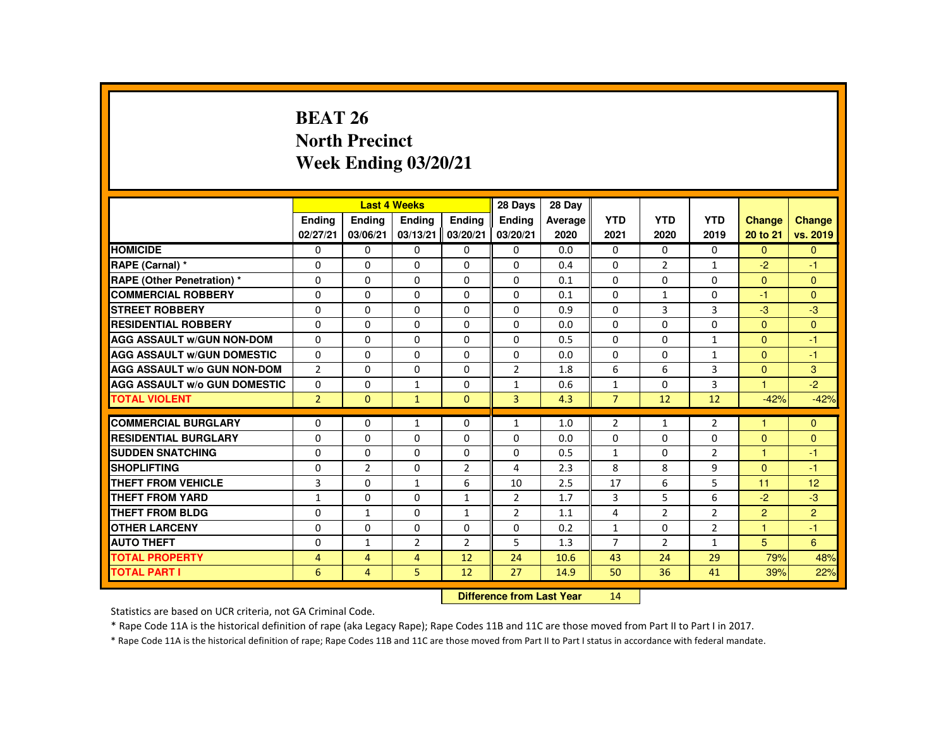# **BEAT 26 North PrecinctWeek Ending 03/20/21**

|                                     |                |                | <b>Last 4 Weeks</b> |                | 28 Days        | 28 Day  |                |                |                |                |                |
|-------------------------------------|----------------|----------------|---------------------|----------------|----------------|---------|----------------|----------------|----------------|----------------|----------------|
|                                     | Ending         | Ending         | Ending              | <b>Endina</b>  | <b>Endina</b>  | Average | <b>YTD</b>     | <b>YTD</b>     | <b>YTD</b>     | <b>Change</b>  | Change         |
|                                     | 02/27/21       | 03/06/21       | 03/13/21            | 03/20/21       | 03/20/21       | 2020    | 2021           | 2020           | 2019           | 20 to 21       | vs. 2019       |
| <b>HOMICIDE</b>                     | 0              | $\Omega$       | $\Omega$            | $\Omega$       | 0              | 0.0     | 0              | $\Omega$       | $\Omega$       | $\Omega$       | $\mathbf{0}$   |
| RAPE (Carnal) *                     | $\Omega$       | $\Omega$       | $\Omega$            | $\Omega$       | $\Omega$       | 0.4     | $\Omega$       | $\overline{2}$ | $\mathbf{1}$   | $-2$           | $-1$           |
| <b>RAPE (Other Penetration) *</b>   | 0              | $\Omega$       | $\Omega$            | $\Omega$       | $\Omega$       | 0.1     | $\Omega$       | $\Omega$       | $\Omega$       | $\Omega$       | $\mathbf{0}$   |
| <b>COMMERCIAL ROBBERY</b>           | $\Omega$       | $\Omega$       | $\Omega$            | $\Omega$       | $\Omega$       | 0.1     | $\Omega$       | $\mathbf{1}$   | $\Omega$       | $-1$           | $\Omega$       |
| <b>STREET ROBBERY</b>               | $\Omega$       | $\Omega$       | $\Omega$            | $\Omega$       | $\Omega$       | 0.9     | $\Omega$       | $\mathbf{3}$   | 3              | $-3$           | $-3$           |
| <b>RESIDENTIAL ROBBERY</b>          | $\mathbf{0}$   | $\Omega$       | $\mathbf{0}$        | 0              | 0              | 0.0     | 0              | 0              | 0              | $\Omega$       | $\mathbf{0}$   |
| <b>AGG ASSAULT W/GUN NON-DOM</b>    | $\Omega$       | $\Omega$       | $\Omega$            | $\Omega$       | 0              | 0.5     | $\Omega$       | $\Omega$       | $\mathbf{1}$   | $\mathbf{0}$   | $-1$           |
| <b>AGG ASSAULT W/GUN DOMESTIC</b>   | $\Omega$       | $\Omega$       | $\Omega$            | $\Omega$       | $\Omega$       | 0.0     | $\Omega$       | $\Omega$       | $\mathbf{1}$   | $\Omega$       | $-1$           |
| <b>AGG ASSAULT W/o GUN NON-DOM</b>  | $\overline{2}$ | $\Omega$       | $\Omega$            | $\Omega$       | $\overline{2}$ | 1.8     | 6              | 6              | $\overline{3}$ | $\Omega$       | $\overline{3}$ |
| <b>AGG ASSAULT W/o GUN DOMESTIC</b> | $\Omega$       | $\Omega$       | $\mathbf{1}$        | $\Omega$       | $\mathbf{1}$   | 0.6     | $\mathbf{1}$   | $\Omega$       | 3              | $\overline{1}$ | $-2$           |
| <b>TOTAL VIOLENT</b>                | $\overline{2}$ | $\Omega$       | $\mathbf{1}$        | $\mathbf{0}$   | $\overline{3}$ | 4.3     | $\overline{7}$ | 12             | 12             | $-42%$         | $-42%$         |
| <b>COMMERCIAL BURGLARY</b>          | $\Omega$       | $\Omega$       | $\mathbf{1}$        | $\Omega$       | $\mathbf{1}$   | 1.0     | $\overline{2}$ | $\mathbf{1}$   | $\overline{2}$ | м              | $\Omega$       |
| <b>RESIDENTIAL BURGLARY</b>         | $\Omega$       | $\Omega$       | $\Omega$            | $\Omega$       | $\Omega$       | 0.0     | $\Omega$       | 0              | 0              | $\Omega$       | $\mathbf{0}$   |
| <b>SUDDEN SNATCHING</b>             | $\mathbf{0}$   | $\Omega$       | $\Omega$            | $\Omega$       | $\Omega$       | 0.5     | $\mathbf{1}$   | $\Omega$       | $\overline{2}$ | 1              | $-1$           |
| <b>SHOPLIFTING</b>                  | $\Omega$       | $\overline{2}$ | $\Omega$            | $\overline{2}$ | 4              | 2.3     | 8              | 8              | 9              | $\Omega$       | $-1$           |
| <b>THEFT FROM VEHICLE</b>           | 3              | $\Omega$       | $\mathbf{1}$        | 6              | 10             | 2.5     | 17             | 6              | 5              | 11             | 12             |
| <b>THEFT FROM YARD</b>              | $\mathbf{1}$   | $\Omega$       | $\Omega$            | $\mathbf{1}$   | $\overline{2}$ | 1.7     | 3              | 5              | 6              | $-2$           | $-3$           |
| THEFT FROM BLDG                     | $\mathbf{0}$   | $\mathbf{1}$   | $\mathbf{0}$        | $\mathbf{1}$   | $\overline{2}$ | 1.1     | 4              | $\overline{2}$ | $\overline{2}$ | $\overline{2}$ | $\overline{2}$ |
| <b>OTHER LARCENY</b>                | $\Omega$       | $\Omega$       | $\Omega$            | $\Omega$       | 0              | 0.2     | $\mathbf{1}$   | $\Omega$       | $\overline{2}$ | 1              | $-1$           |
| <b>AUTO THEFT</b>                   | $\Omega$       | $\mathbf{1}$   | $\overline{2}$      | $\overline{2}$ | 5              | 1.3     | $\overline{7}$ | $\overline{2}$ | $\mathbf{1}$   | 5              | 6              |
| <b>TOTAL PROPERTY</b>               | $\overline{4}$ | $\overline{4}$ | $\overline{4}$      | 12             | 24             | 10.6    | 43             | 24             | 29             | 79%            | 48%            |
| <b>TOTAL PART I</b>                 | 6              | $\overline{4}$ | 5                   | 12             | 27             | 14.9    | 50             | 36             | 41             | 39%            | 22%            |
|                                     |                |                |                     |                |                |         |                |                |                |                |                |

 **Difference from Last Year**<sup>14</sup>

Statistics are based on UCR criteria, not GA Criminal Code.

\* Rape Code 11A is the historical definition of rape (aka Legacy Rape); Rape Codes 11B and 11C are those moved from Part II to Part I in 2017.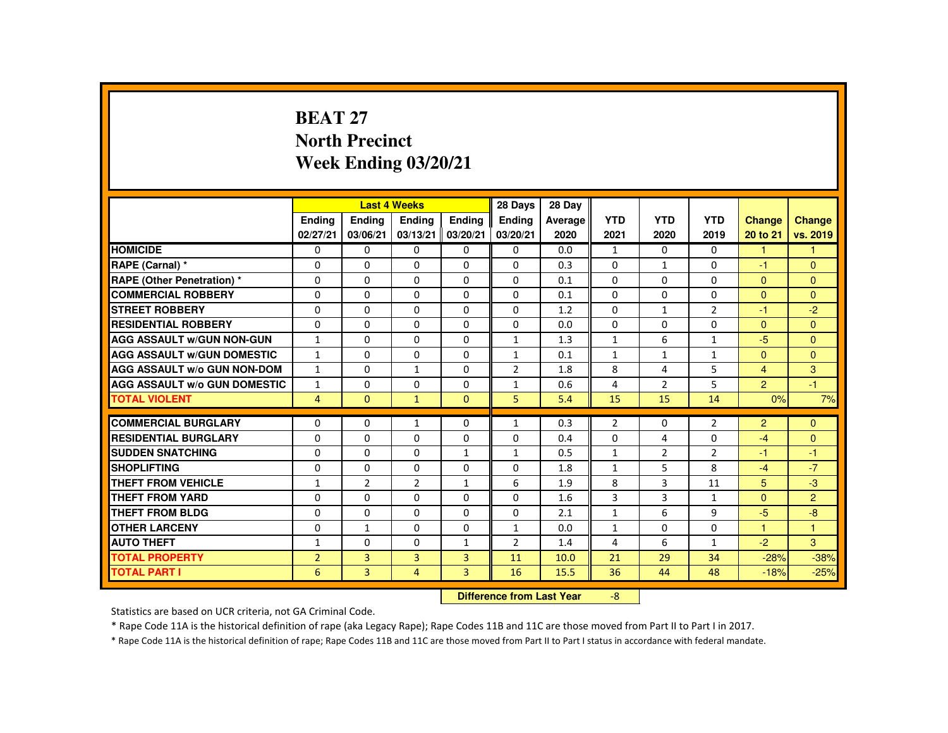## **BEAT 27 North PrecinctWeek Ending 03/20/21**

|                                     |                |                           | <b>Last 4 Weeks</b> |                | 28 Days        | 28 Day  |                |                |                |                |                |
|-------------------------------------|----------------|---------------------------|---------------------|----------------|----------------|---------|----------------|----------------|----------------|----------------|----------------|
|                                     | <b>Ending</b>  | <b>Ending</b>             | Ending              | <b>Endina</b>  | <b>Endina</b>  | Average | <b>YTD</b>     | <b>YTD</b>     | <b>YTD</b>     | <b>Change</b>  | <b>Change</b>  |
|                                     | 02/27/21       | 03/06/21                  | 03/13/21            | 03/20/21       | 03/20/21       | 2020    | 2021           | 2020           | 2019           | 20 to 21       | vs. 2019       |
| <b>HOMICIDE</b>                     | $\Omega$       | $\Omega$                  | $\mathbf{0}$        | $\Omega$       | 0              | 0.0     | $\mathbf{1}$   | $\Omega$       | $\Omega$       | $\mathbf{1}$   | $\mathbf{1}$   |
| RAPE (Carnal) *                     | 0              | $\Omega$                  | $\Omega$            | $\Omega$       | $\Omega$       | 0.3     | $\Omega$       | 1              | $\Omega$       | -1             | $\mathbf{0}$   |
| <b>RAPE (Other Penetration) *</b>   | $\Omega$       | $\Omega$                  | $\Omega$            | $\Omega$       | $\Omega$       | 0.1     | $\Omega$       | $\Omega$       | $\Omega$       | $\Omega$       | $\Omega$       |
| <b>COMMERCIAL ROBBERY</b>           | $\Omega$       | $\Omega$                  | $\Omega$            | $\Omega$       | $\Omega$       | 0.1     | $\Omega$       | $\Omega$       | $\Omega$       | $\Omega$       | $\Omega$       |
| <b>STREET ROBBERY</b>               | $\Omega$       | $\Omega$                  | $\Omega$            | $\Omega$       | $\Omega$       | 1.2     | $\Omega$       | $\mathbf{1}$   | $\overline{2}$ | $-1$           | $-2$           |
| <b>RESIDENTIAL ROBBERY</b>          | $\Omega$       | $\Omega$                  | $\Omega$            | 0              | $\Omega$       | 0.0     | $\Omega$       | $\Omega$       | $\Omega$       | $\Omega$       | $\Omega$       |
| <b>AGG ASSAULT W/GUN NON-GUN</b>    | $\mathbf{1}$   | $\Omega$                  | $\Omega$            | $\Omega$       | $\mathbf{1}$   | 1.3     | $\mathbf{1}$   | 6              | $\mathbf{1}$   | $-5$           | $\Omega$       |
| <b>AGG ASSAULT W/GUN DOMESTIC</b>   | $\mathbf{1}$   | $\Omega$                  | $\Omega$            | $\Omega$       | $\mathbf{1}$   | 0.1     | $\mathbf{1}$   | $\mathbf{1}$   | $\mathbf{1}$   | $\Omega$       | $\Omega$       |
| <b>AGG ASSAULT W/o GUN NON-DOM</b>  | $\mathbf{1}$   | $\Omega$                  | $\mathbf{1}$        | $\Omega$       | $\overline{2}$ | 1.8     | 8              | 4              | 5              | $\overline{4}$ | 3              |
| <b>AGG ASSAULT W/o GUN DOMESTIC</b> | $\mathbf{1}$   | $\Omega$                  | $\Omega$            | $\Omega$       | $\mathbf{1}$   | 0.6     | 4              | $\overline{2}$ | 5              | $\overline{2}$ | $-1$           |
| <b>TOTAL VIOLENT</b>                | $\overline{4}$ | $\mathbf{0}$              | $\mathbf{1}$        | $\mathbf{0}$   | 5              | 5.4     | 15             | 15             | 14             | 0%             | 7%             |
| <b>COMMERCIAL BURGLARY</b>          | $\Omega$       | $\mathbf{0}$              | $\mathbf{1}$        | 0              | $\mathbf{1}$   | 0.3     | $\overline{2}$ | 0              | $\overline{2}$ | 2              | $\Omega$       |
| <b>RESIDENTIAL BURGLARY</b>         | $\Omega$       | $\Omega$                  | $\Omega$            | $\Omega$       | $\Omega$       | 0.4     | $\Omega$       | 4              | $\Omega$       | $-4$           | $\Omega$       |
| <b>SUDDEN SNATCHING</b>             | $\Omega$       | $\Omega$                  | $\Omega$            | 1              | 1              | 0.5     | $\mathbf{1}$   | $\overline{2}$ | $\overline{2}$ | $-1$           | $-1$           |
| <b>SHOPLIFTING</b>                  | $\Omega$       | $\Omega$                  | $\Omega$            | $\Omega$       | $\Omega$       | 1.8     | $\mathbf{1}$   | 5              | 8              | $-4$           | $-7$           |
| <b>THEFT FROM VEHICLE</b>           | 1              | $\overline{2}$            | $\overline{2}$      | $\mathbf{1}$   | 6              | 1.9     | 8              | $\overline{3}$ | 11             | 5              | $-3$           |
| <b>THEFT FROM YARD</b>              | $\Omega$       | $\Omega$                  | $\Omega$            | $\Omega$       | $\Omega$       | 1.6     | 3              | 3              | $\mathbf{1}$   | $\Omega$       | $\overline{2}$ |
| THEFT FROM BLDG                     | 0              | $\Omega$                  | $\mathbf{0}$        | $\Omega$       | $\Omega$       | 2.1     | $\mathbf{1}$   | 6              | 9              | $-5$           | $-8$           |
| <b>OTHER LARCENY</b>                | $\Omega$       | $\mathbf{1}$              | $\Omega$            | $\Omega$       | 1              | 0.0     | $\mathbf{1}$   | $\Omega$       | $\Omega$       | 1              | $\overline{1}$ |
| <b>AUTO THEFT</b>                   |                |                           |                     |                |                |         |                |                |                |                | 3              |
|                                     | $\mathbf{1}$   | $\Omega$                  | $\Omega$            | $\mathbf{1}$   | $\overline{2}$ | 1.4     | 4              | 6              | $\mathbf{1}$   | $-2$           |                |
| <b>TOTAL PROPERTY</b>               | $\overline{2}$ | $\overline{3}$            | 3                   | $\overline{3}$ | 11             | 10.0    | 21             | 29             | 34             | $-28%$         | $-38%$         |
| <b>TOTAL PART I</b>                 | 6              | 3                         | 4                   | $\mathbf{3}$   | 16             | 15.5    | 36             | 44             | 48             | $-18%$         | $-25%$         |
|                                     |                | Difference from Leat Vacc |                     | $\Omega$       |                |         |                |                |                |                |                |

 **Difference from Last Year**-8

Statistics are based on UCR criteria, not GA Criminal Code.

\* Rape Code 11A is the historical definition of rape (aka Legacy Rape); Rape Codes 11B and 11C are those moved from Part II to Part I in 2017.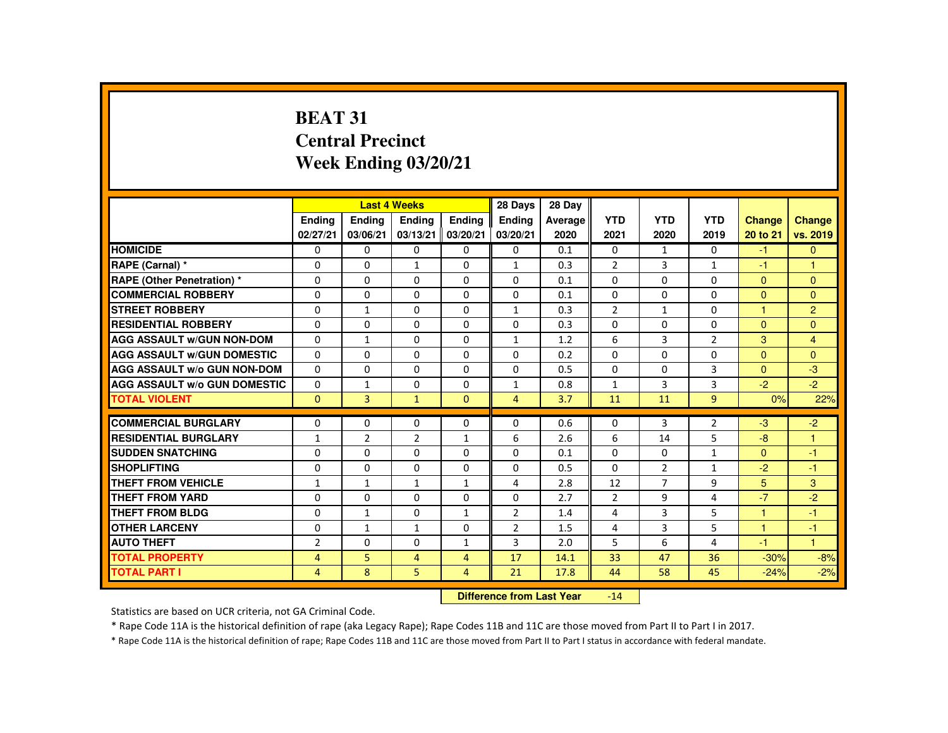# **BEAT 31 Central PrecinctWeek Ending 03/20/21**

|                                     |                |                           | <b>Last 4 Weeks</b> |                | 28 Days        | 28 Day  |                |                |                |               |                |
|-------------------------------------|----------------|---------------------------|---------------------|----------------|----------------|---------|----------------|----------------|----------------|---------------|----------------|
|                                     | <b>Endina</b>  | <b>Ending</b>             | <b>Ending</b>       | Ending         | Ending         | Average | <b>YTD</b>     | <b>YTD</b>     | <b>YTD</b>     | <b>Change</b> | <b>Change</b>  |
|                                     | 02/27/21       | 03/06/21                  | 03/13/21            | 03/20/21       | 03/20/21       | 2020    | 2021           | 2020           | 2019           | 20 to 21      | vs. 2019       |
| <b>HOMICIDE</b>                     | $\Omega$       | $\Omega$                  | $\Omega$            | $\Omega$       | 0              | 0.1     | $\Omega$       | $\mathbf{1}$   | $\Omega$       | $-1$          | $\overline{0}$ |
| RAPE (Carnal) *                     | $\Omega$       | $\Omega$                  | $\mathbf{1}$        | $\Omega$       | $\mathbf{1}$   | 0.3     | $\overline{2}$ | 3              | $\mathbf{1}$   | $-1$          | $\mathbf{1}$   |
| <b>RAPE (Other Penetration) *</b>   | $\Omega$       | $\Omega$                  | $\Omega$            | $\Omega$       | $\Omega$       | 0.1     | $\Omega$       | $\Omega$       | $\Omega$       | $\Omega$      | $\Omega$       |
| <b>COMMERCIAL ROBBERY</b>           | $\Omega$       | $\Omega$                  | $\Omega$            | $\Omega$       | $\Omega$       | 0.1     | $\Omega$       | $\Omega$       | $\Omega$       | $\Omega$      | $\Omega$       |
| <b>STREET ROBBERY</b>               | $\Omega$       | $\mathbf{1}$              | $\Omega$            | $\Omega$       | $\mathbf{1}$   | 0.3     | $\overline{2}$ | $\mathbf{1}$   | $\Omega$       | 1             | $\overline{2}$ |
| <b>RESIDENTIAL ROBBERY</b>          | $\Omega$       | $\Omega$                  | 0                   | 0              | 0              | 0.3     | $\Omega$       | 0              | 0              | $\mathbf{0}$  | $\Omega$       |
| <b>AGG ASSAULT W/GUN NON-DOM</b>    | $\Omega$       | $\mathbf{1}$              | $\Omega$            | $\Omega$       | $\mathbf{1}$   | 1.2     | 6              | 3              | $\overline{2}$ | $\mathbf{3}$  | $\overline{4}$ |
| <b>AGG ASSAULT W/GUN DOMESTIC</b>   | $\Omega$       | $\Omega$                  | $\Omega$            | $\Omega$       | $\Omega$       | 0.2     | $\Omega$       | $\Omega$       | $\Omega$       | $\Omega$      | $\Omega$       |
| <b>AGG ASSAULT W/o GUN NON-DOM</b>  | $\Omega$       | $\Omega$                  | $\Omega$            | $\Omega$       | $\Omega$       | 0.5     | $\Omega$       | $\Omega$       | 3              | $\Omega$      | $-3$           |
| <b>AGG ASSAULT W/o GUN DOMESTIC</b> | $\Omega$       | $\mathbf{1}$              | $\Omega$            | $\Omega$       | $\mathbf{1}$   | 0.8     | $\mathbf{1}$   | 3              | 3              | $-2$          | $-2$           |
| <b>TOTAL VIOLENT</b>                | $\Omega$       | $\overline{3}$            | $\mathbf{1}$        | $\Omega$       | 4              | 3.7     | 11             | 11             | 9              | 0%            | 22%            |
|                                     | $\Omega$       | $\Omega$                  | $\Omega$            | $\Omega$       | $\Omega$       |         | $\Omega$       |                |                |               |                |
| <b>COMMERCIAL BURGLARY</b>          |                |                           |                     |                |                | 0.6     |                | 3              | $\overline{2}$ | $-3$          | $-2$           |
| <b>RESIDENTIAL BURGLARY</b>         | $\mathbf{1}$   | $\overline{2}$            | 2                   | $\mathbf{1}$   | 6              | 2.6     | 6              | 14             | 5              | $-8$          | 1              |
| <b>SUDDEN SNATCHING</b>             | $\Omega$       | $\Omega$                  | $\Omega$            | $\Omega$       | $\Omega$       | 0.1     | $\Omega$       | $\Omega$       | 1              | $\Omega$      | $-1$           |
| <b>SHOPLIFTING</b>                  | $\Omega$       | $\Omega$                  | $\Omega$            | $\Omega$       | $\Omega$       | 0.5     | $\Omega$       | 2              | $\mathbf{1}$   | $-2$          | $-1$           |
| <b>THEFT FROM VEHICLE</b>           | $\mathbf{1}$   | $\mathbf{1}$              | $\mathbf{1}$        | $\mathbf{1}$   | 4              | 2.8     | 12             | $\overline{7}$ | 9              | 5             | 3              |
| <b>THEFT FROM YARD</b>              | $\Omega$       | $\Omega$                  | $\Omega$            | $\Omega$       | $\Omega$       | 2.7     | $\overline{2}$ | 9              | 4              | $-7$          | $-2$           |
| <b>THEFT FROM BLDG</b>              | $\Omega$       | $\mathbf{1}$              | $\Omega$            | $\mathbf{1}$   | $\overline{2}$ | 1.4     | 4              | 3              | 5              | 1             | $-1$           |
| <b>OTHER LARCENY</b>                | $\Omega$       | $\mathbf{1}$              | 1                   | $\Omega$       | $\overline{2}$ | 1.5     | 4              | 3              | 5              | 1             | $-1$           |
| <b>AUTO THEFT</b>                   | $\overline{2}$ | $\Omega$                  | $\Omega$            | $\mathbf{1}$   | 3              | 2.0     | 5              | 6              | 4              | -1            | $\mathbf{1}$   |
| <b>TOTAL PROPERTY</b>               | $\overline{4}$ | 5                         | $\overline{4}$      | $\overline{4}$ | 17             | 14.1    | 33             | 47             | 36             | $-30%$        | $-8%$          |
| <b>TOTAL PART I</b>                 | $\overline{4}$ | 8                         | 5                   | 4              | 21             | 17.8    | 44             | 58             | 45             | $-24%$        | $-2%$          |
|                                     |                | Difference from Leat Vacu |                     | 4A             |                |         |                |                |                |               |                |

 **Difference from Last Year**-14

Statistics are based on UCR criteria, not GA Criminal Code.

\* Rape Code 11A is the historical definition of rape (aka Legacy Rape); Rape Codes 11B and 11C are those moved from Part II to Part I in 2017.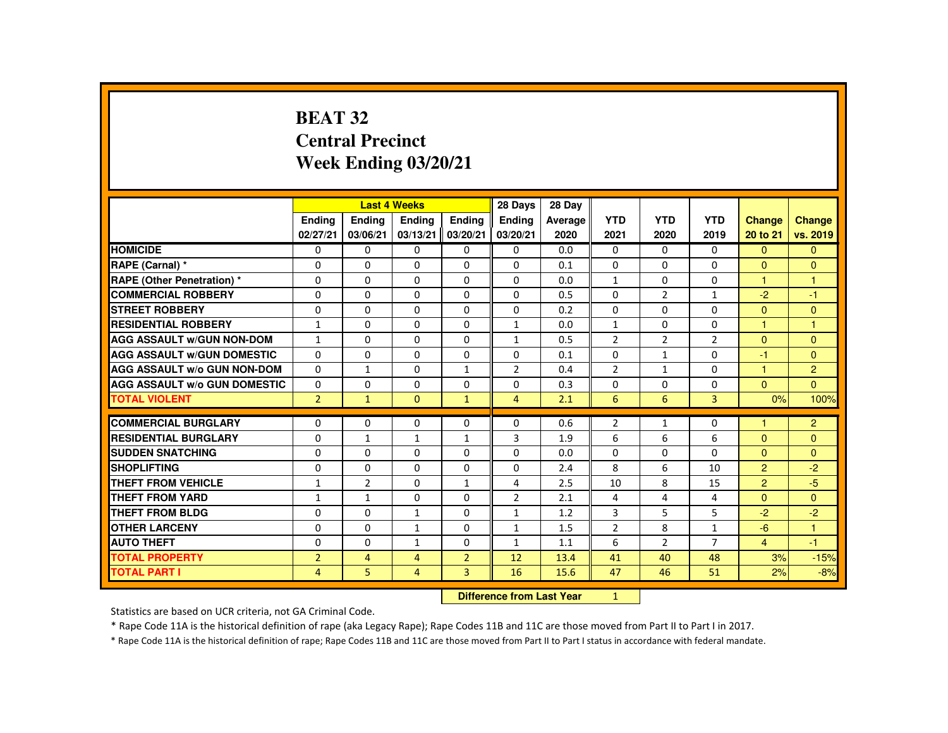# **BEAT 32 Central PrecinctWeek Ending 03/20/21**

|                                     |                |                                  | <b>Last 4 Weeks</b> |                | 28 Days        | 28 Day  |                |                |                |                |                |
|-------------------------------------|----------------|----------------------------------|---------------------|----------------|----------------|---------|----------------|----------------|----------------|----------------|----------------|
|                                     | <b>Ending</b>  | <b>Ending</b>                    | <b>Ending</b>       | Ending         | Ending         | Average | <b>YTD</b>     | <b>YTD</b>     | <b>YTD</b>     | Change         | <b>Change</b>  |
|                                     | 02/27/21       | 03/06/21                         | 03/13/21            | 03/20/21       | 03/20/21       | 2020    | 2021           | 2020           | 2019           | 20 to 21       | vs. 2019       |
| <b>HOMICIDE</b>                     | 0              | $\Omega$                         | 0                   | 0              | 0              | 0.0     | 0              | 0              | 0              | $\mathbf{0}$   | $\mathbf{0}$   |
| RAPE (Carnal) *                     | $\Omega$       | $\Omega$                         | $\Omega$            | $\Omega$       | $\Omega$       | 0.1     | $\Omega$       | $\Omega$       | $\Omega$       | $\Omega$       | $\mathbf{0}$   |
| <b>RAPE (Other Penetration) *</b>   | 0              | $\Omega$                         | $\Omega$            | 0              | $\mathbf 0$    | 0.0     | $\mathbf{1}$   | 0              | 0              | $\mathbf{1}$   | $\mathbf{1}$   |
| <b>COMMERCIAL ROBBERY</b>           | $\Omega$       | $\Omega$                         | $\Omega$            | $\Omega$       | $\Omega$       | 0.5     | $\Omega$       | $\overline{2}$ | $\mathbf{1}$   | $-2$           | $-1$           |
| <b>STREET ROBBERY</b>               | $\Omega$       | $\mathbf{0}$                     | 0                   | 0              | 0              | 0.2     | 0              | 0              | 0              | $\mathbf{0}$   | $\mathbf{0}$   |
| <b>RESIDENTIAL ROBBERY</b>          | $\mathbf{1}$   | $\Omega$                         | $\Omega$            | 0              | 1              | 0.0     | $\mathbf{1}$   | 0              | 0              | $\mathbf{1}$   | 1              |
| <b>AGG ASSAULT W/GUN NON-DOM</b>    | $\mathbf{1}$   | $\Omega$                         | $\Omega$            | $\Omega$       | $\mathbf{1}$   | 0.5     | $\overline{2}$ | $\overline{2}$ | $\overline{2}$ | $\mathbf{0}$   | $\mathbf{0}$   |
| <b>AGG ASSAULT W/GUN DOMESTIC</b>   | $\Omega$       | $\Omega$                         | $\Omega$            | $\Omega$       | $\Omega$       | 0.1     | $\Omega$       | $\mathbf{1}$   | $\Omega$       | $-1$           | $\Omega$       |
| <b>AGG ASSAULT W/o GUN NON-DOM</b>  | $\Omega$       | $\mathbf{1}$                     | 0                   | $\mathbf{1}$   | $\overline{2}$ | 0.4     | $\overline{2}$ | $\mathbf{1}$   | $\Omega$       | 1              | $\overline{2}$ |
| <b>AGG ASSAULT W/o GUN DOMESTIC</b> | $\Omega$       | $\Omega$                         | $\Omega$            | $\Omega$       | $\Omega$       | 0.3     | $\Omega$       | $\Omega$       | $\Omega$       | $\Omega$       | $\overline{0}$ |
| <b>TOTAL VIOLENT</b>                | 2 <sup>1</sup> | $\mathbf{1}$                     | $\mathbf{0}$        | $\mathbf{1}$   | $\overline{4}$ | 2.1     | 6              | 6              | 3              | 0%             | 100%           |
| <b>COMMERCIAL BURGLARY</b>          | 0              | $\mathbf{0}$                     | 0                   | 0              | 0              | 0.6     | $\overline{2}$ | 1              | 0              | 1              | $\overline{2}$ |
| <b>RESIDENTIAL BURGLARY</b>         | $\Omega$       | $\mathbf{1}$                     | $\mathbf{1}$        | $\mathbf{1}$   | 3              | 1.9     | 6              | 6              | 6              | $\Omega$       | $\mathbf{0}$   |
| <b>SUDDEN SNATCHING</b>             | $\Omega$       | $\Omega$                         | $\Omega$            | $\Omega$       | $\Omega$       | 0.0     | $\Omega$       | $\Omega$       | $\Omega$       | $\Omega$       | $\Omega$       |
| <b>SHOPLIFTING</b>                  | $\mathbf{0}$   | $\mathbf{0}$                     | 0                   | 0              | 0              | 2.4     | 8              | 6              | 10             | $\overline{2}$ | $-2$           |
| <b>THEFT FROM VEHICLE</b>           | $\mathbf{1}$   | $\overline{2}$                   | $\Omega$            | $\mathbf{1}$   | 4              | 2.5     | 10             | 8              | 15             | $\overline{2}$ | $-5$           |
| <b>THEFT FROM YARD</b>              | $\mathbf{1}$   | $\mathbf{1}$                     | $\Omega$            | $\Omega$       | $\overline{2}$ | 2.1     | 4              | 4              | 4              | $\Omega$       | $\mathbf{0}$   |
| <b>THEFT FROM BLDG</b>              | $\Omega$       | $\Omega$                         | $\mathbf{1}$        | $\Omega$       | $\mathbf{1}$   | 1.2     | 3              | 5              | 5              | $-2$           | $-2$           |
| <b>OTHER LARCENY</b>                | $\Omega$       | $\Omega$                         | 1                   | $\Omega$       | 1              | 1.5     | $\overline{2}$ | 8              | $\mathbf{1}$   | $-6$           | $\mathbf{1}$   |
| <b>AUTO THEFT</b>                   | $\Omega$       | $\Omega$                         | $\mathbf{1}$        | 0              | 1              | 1.1     | 6              | $\overline{2}$ | $\overline{7}$ | $\overline{4}$ | $-1$           |
| <b>TOTAL PROPERTY</b>               | $\overline{2}$ | $\overline{4}$                   | $\overline{4}$      | $\overline{2}$ | 12             | 13.4    | 41             | 40             | 48             | 3%             | $-15%$         |
| <b>TOTAL PART I</b>                 | $\overline{4}$ | 5                                | $\overline{4}$      | 3              | 16             | 15.6    | 47             | 46             | 51             | 2%             | $-8%$          |
|                                     |                | <b>Difference from Last Year</b> |                     | 1              |                |         |                |                |                |                |                |

 **Difference from Last Year**

Statistics are based on UCR criteria, not GA Criminal Code.

\* Rape Code 11A is the historical definition of rape (aka Legacy Rape); Rape Codes 11B and 11C are those moved from Part II to Part I in 2017.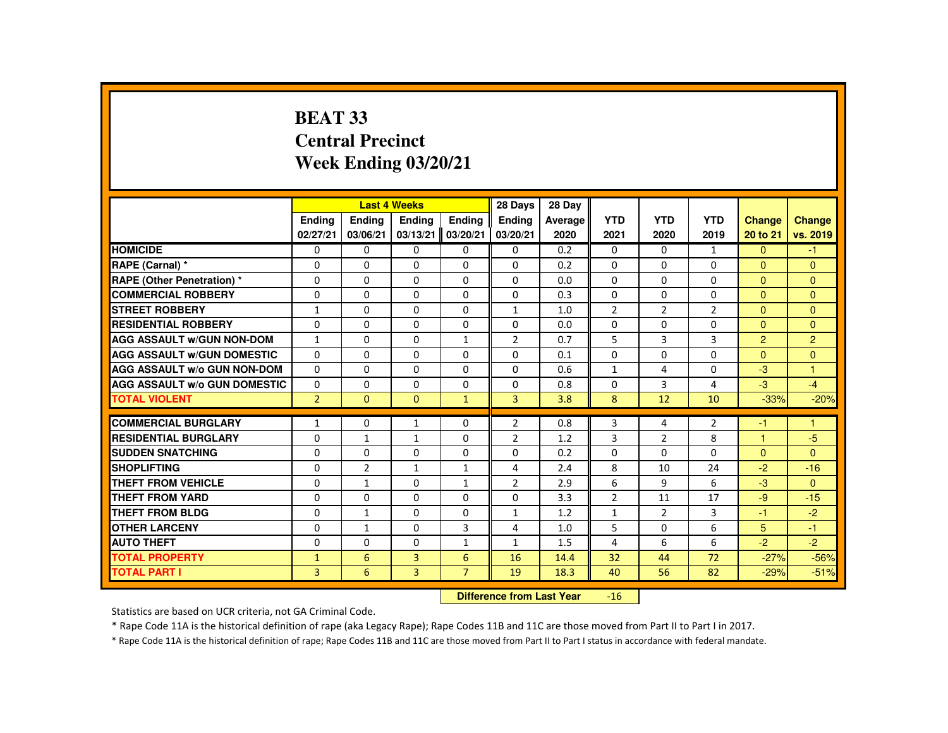# **BEAT 33 Central PrecinctWeek Ending 03/20/21**

|                                     |                |                | <b>Last 4 Weeks</b> |                | 28 Days                   | 28 Day  |                |                |                |                      |                |
|-------------------------------------|----------------|----------------|---------------------|----------------|---------------------------|---------|----------------|----------------|----------------|----------------------|----------------|
|                                     | <b>Endina</b>  | <b>Ending</b>  | <b>Ending</b>       | Ending         | Ending                    | Average | <b>YTD</b>     | <b>YTD</b>     | <b>YTD</b>     | <b>Change</b>        | <b>Change</b>  |
|                                     | 02/27/21       | 03/06/21       | 03/13/21            | 03/20/21       | 03/20/21                  | 2020    | 2021           | 2020           | 2019           | 20 to 21             | vs. 2019       |
| <b>HOMICIDE</b>                     | 0              | 0              | 0                   | $\mathbf{0}$   | 0                         | 0.2     | $\mathbf{0}$   | $\Omega$       | $\mathbf{1}$   | $\Omega$             | $-1$           |
| RAPE (Carnal) *                     | 0              | 0              | 0                   | $\mathbf{0}$   | $\mathbf{0}$              | 0.2     | $\mathbf{0}$   | 0              | 0              | $\Omega$             | $\Omega$       |
| <b>RAPE (Other Penetration) *</b>   | $\Omega$       | 0              | $\Omega$            | $\mathbf{0}$   | $\Omega$                  | 0.0     | $\Omega$       | $\Omega$       | $\Omega$       | $\mathbf{0}$         | $\Omega$       |
| <b>COMMERCIAL ROBBERY</b>           | 0              | $\Omega$       | $\Omega$            | $\Omega$       | 0                         | 0.3     | 0              | $\Omega$       | $\Omega$       | $\Omega$             | $\Omega$       |
| <b>STREET ROBBERY</b>               | $\mathbf{1}$   | $\Omega$       | $\Omega$            | $\Omega$       | $\mathbf{1}$              | 1.0     | $\overline{2}$ | $\overline{2}$ | $\overline{2}$ | $\Omega$             | $\Omega$       |
| <b>RESIDENTIAL ROBBERY</b>          | $\Omega$       | 0              | 0                   | 0              | 0                         | 0.0     | 0              | 0              | 0              | $\mathbf{0}$         | $\Omega$       |
| <b>AGG ASSAULT W/GUN NON-DOM</b>    | $\mathbf{1}$   | $\Omega$       | $\Omega$            | $\mathbf{1}$   | $\overline{2}$            | 0.7     | 5              | 3              | 3              | $\overline{2}$       | $\overline{2}$ |
| <b>AGG ASSAULT W/GUN DOMESTIC</b>   | $\Omega$       | $\Omega$       | $\Omega$            | $\Omega$       | $\Omega$                  | 0.1     | $\Omega$       | $\Omega$       | $\Omega$       | $\Omega$             | $\Omega$       |
| <b>AGG ASSAULT W/o GUN NON-DOM</b>  | $\Omega$       | $\Omega$       | $\Omega$            | $\Omega$       | $\Omega$                  | 0.6     | $\mathbf{1}$   | 4              | $\Omega$       | $-3$                 | $\mathbf{1}$   |
| <b>AGG ASSAULT W/o GUN DOMESTIC</b> | 0              | 0              | 0                   | $\mathbf{0}$   | 0                         | 0.8     | $\Omega$       | 3              | 4              | $-3$                 | $-4$           |
| <b>TOTAL VIOLENT</b>                | $\overline{2}$ | $\mathbf{0}$   | $\mathbf{0}$        | $\mathbf{1}$   | 3                         | 3.8     | 8              | 12             | 10             | $-33%$               | $-20%$         |
| <b>COMMERCIAL BURGLARY</b>          | $\mathbf{1}$   | $\Omega$       | $\mathbf{1}$        | $\Omega$       | $\overline{2}$            | 0.8     | 3              | 4              | $\overline{2}$ | -1                   | $\overline{1}$ |
| <b>RESIDENTIAL BURGLARY</b>         | 0              | $\mathbf{1}$   | $\mathbf{1}$        | 0              | $\overline{2}$            | 1.2     | 3              | $\overline{2}$ | 8              | $\blacktriangleleft$ | $-5$           |
| <b>SUDDEN SNATCHING</b>             | 0              | 0              | 0                   | $\mathbf{0}$   | 0                         | 0.2     | $\Omega$       | 0              | 0              | $\mathbf{0}$         | $\Omega$       |
| <b>SHOPLIFTING</b>                  | 0              | $\overline{2}$ | $\mathbf{1}$        | $\mathbf{1}$   | 4                         | 2.4     | 8              | 10             | 24             | $-2$                 | $-16$          |
| <b>THEFT FROM VEHICLE</b>           | $\Omega$       | $\mathbf{1}$   | $\Omega$            | $\mathbf{1}$   | $\overline{2}$            | 2.9     | 6              | 9              | 6              | $-3$                 | $\Omega$       |
| <b>THEFT FROM YARD</b>              | 0              | 0              | 0                   | $\Omega$       | $\Omega$                  | 3.3     | $\overline{2}$ | 11             | 17             | $-9$                 | $-15$          |
| <b>THEFT FROM BLDG</b>              | 0              | $\mathbf{1}$   | $\Omega$            | $\mathbf{0}$   | $\mathbf{1}$              | 1.2     | $\mathbf{1}$   | $\overline{2}$ | 3              | $-1$                 | $-2$           |
| <b>OTHER LARCENY</b>                | $\Omega$       | $\mathbf{1}$   | $\Omega$            | 3              | 4                         | 1.0     | 5              | $\Omega$       | 6              | 5                    | $-1$           |
| <b>AUTO THEFT</b>                   | 0              | 0              | 0                   | $\mathbf{1}$   | $\mathbf{1}$              | 1.5     | 4              | 6              | 6              | $-2$                 | $-2$           |
| <b>TOTAL PROPERTY</b>               | $\mathbf{1}$   | 6              | 3                   | 6              | 16                        | 14.4    | 32             | 44             | 72             | $-27%$               | $-56%$         |
| <b>TOTAL PART I</b>                 | 3              | 6              | 3                   | $\overline{7}$ | 19                        | 18.3    | 40             | 56             | 82             | $-29%$               | $-51%$         |
|                                     |                |                |                     |                | Difference from Loot Voor |         | AC             |                |                |                      |                |

 **Difference from Last Year** $\mathbf{16}$ 

Statistics are based on UCR criteria, not GA Criminal Code.

\* Rape Code 11A is the historical definition of rape (aka Legacy Rape); Rape Codes 11B and 11C are those moved from Part II to Part I in 2017.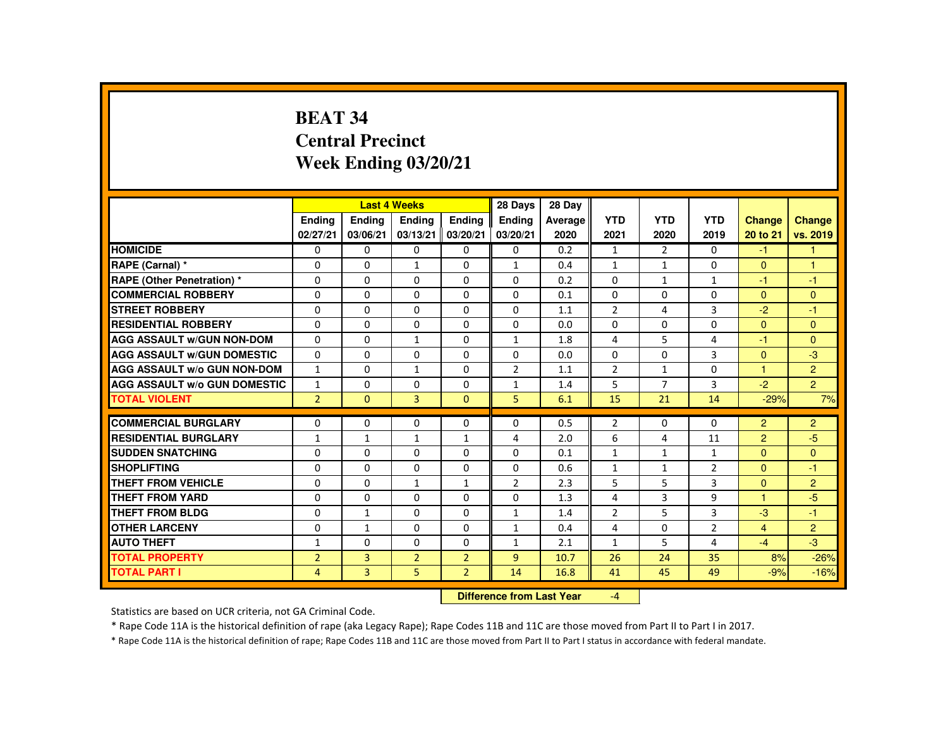# **BEAT 34 Central PrecinctWeek Ending 03/20/21**

|                                     |                |                | <b>Last 4 Weeks</b> |                | 28 Days                   | 28 Day  |                |                |                |                      |                  |
|-------------------------------------|----------------|----------------|---------------------|----------------|---------------------------|---------|----------------|----------------|----------------|----------------------|------------------|
|                                     | <b>Endina</b>  | Ending         | <b>Endina</b>       | Ending         | <b>Endina</b>             | Average | <b>YTD</b>     | <b>YTD</b>     | <b>YTD</b>     | <b>Change</b>        | <b>Change</b>    |
|                                     | 02/27/21       | 03/06/21       | 03/13/21            | 03/20/21       | 03/20/21                  | 2020    | 2021           | 2020           | 2019           | 20 to 21             | vs. 2019         |
| <b>HOMICIDE</b>                     | $\mathbf{0}$   | $\Omega$       | $\Omega$            | $\Omega$       | 0                         | 0.2     | $\mathbf{1}$   | 2              | $\Omega$       | $-1$                 | $\mathbf{1}$     |
| RAPE (Carnal) *                     | $\Omega$       | $\Omega$       | $\mathbf{1}$        | $\Omega$       | 1                         | 0.4     | $\mathbf{1}$   | $\mathbf{1}$   | $\Omega$       | $\mathbf{0}$         | $\mathbf{1}$     |
| <b>RAPE (Other Penetration) *</b>   | $\Omega$       | $\Omega$       | $\Omega$            | $\Omega$       | $\Omega$                  | 0.2     | $\Omega$       | $\mathbf{1}$   | $\mathbf{1}$   | $-1$                 | $-1$             |
| <b>COMMERCIAL ROBBERY</b>           | $\Omega$       | $\Omega$       | $\Omega$            | $\Omega$       | $\Omega$                  | 0.1     | $\Omega$       | $\Omega$       | $\Omega$       | $\Omega$             | $\Omega$         |
| <b>STREET ROBBERY</b>               | $\Omega$       | $\Omega$       | $\Omega$            | $\Omega$       | $\Omega$                  | 1.1     | $\overline{2}$ | 4              | 3              | $-2^{1}$             | $-1$             |
| <b>RESIDENTIAL ROBBERY</b>          | 0              | 0              | 0                   | 0              | 0                         | 0.0     | 0              | 0              | 0              | $\Omega$             | $\mathbf{0}$     |
| <b>AGG ASSAULT W/GUN NON-DOM</b>    | $\Omega$       | $\Omega$       | $\mathbf{1}$        | $\Omega$       | $\mathbf{1}$              | 1.8     | 4              | 5              | 4              | -1                   | $\Omega$         |
| <b>AGG ASSAULT W/GUN DOMESTIC</b>   | $\Omega$       | $\Omega$       | $\Omega$            | $\Omega$       | $\Omega$                  | 0.0     | $\Omega$       | $\Omega$       | 3              | $\Omega$             | $-3$             |
| <b>AGG ASSAULT W/o GUN NON-DOM</b>  | $\mathbf{1}$   | $\Omega$       | $\mathbf{1}$        | $\Omega$       | $\overline{2}$            | 1.1     | $\overline{2}$ | $\mathbf{1}$   | $\Omega$       | $\overline{1}$       | $\overline{2}$   |
| <b>AGG ASSAULT W/o GUN DOMESTIC</b> | $\mathbf{1}$   | $\Omega$       | $\Omega$            | $\Omega$       | $\mathbf{1}$              | 1.4     | 5              | $\overline{7}$ | 3              | $-2$                 | 2 <sup>1</sup>   |
| <b>TOTAL VIOLENT</b>                | $\overline{2}$ | $\Omega$       | $\overline{3}$      | $\Omega$       | 5 <sup>1</sup>            | 6.1     | 15             | 21             | 14             | $-29%$               | 7%               |
| <b>COMMERCIAL BURGLARY</b>          | $\Omega$       | $\Omega$       | $\Omega$            | $\Omega$       | $\Omega$                  | 0.5     | $\overline{2}$ | $\Omega$       | $\Omega$       | 2                    | $\overline{2}$   |
| <b>RESIDENTIAL BURGLARY</b>         |                |                |                     |                |                           |         | 6              |                | 11             |                      |                  |
| <b>SUDDEN SNATCHING</b>             | $\mathbf{1}$   | $\mathbf{1}$   | $\mathbf{1}$        | $\mathbf{1}$   | 4                         | 2.0     |                | 4              |                | 2                    | -5               |
| <b>SHOPLIFTING</b>                  | $\Omega$       | $\Omega$       | $\Omega$            | $\Omega$       | $\Omega$                  | 0.1     | $\mathbf{1}$   | $\mathbf{1}$   | $\mathbf{1}$   | $\mathbf{0}$         | $\Omega$<br>$-1$ |
|                                     | $\Omega$       | $\Omega$       | $\Omega$            | $\Omega$       | $\Omega$                  | 0.6     | $\mathbf{1}$   | $\mathbf{1}$   | $\overline{2}$ | $\Omega$             |                  |
| <b>THEFT FROM VEHICLE</b>           | $\Omega$       | $\Omega$       | $\mathbf{1}$        | $\mathbf{1}$   | $\overline{2}$            | 2.3     | 5              | 5              | 3              | $\Omega$             | $\overline{2}$   |
| <b>THEFT FROM YARD</b>              | $\Omega$       | $\Omega$       | $\Omega$            | $\Omega$       | $\Omega$                  | 1.3     | 4              | $\overline{3}$ | 9              | $\blacktriangleleft$ | $-5$             |
| <b>THEFT FROM BLDG</b>              | $\Omega$       | $\mathbf{1}$   | $\Omega$            | $\Omega$       | $\mathbf{1}$              | 1.4     | $\overline{2}$ | 5              | 3              | $-3$                 | $-1$             |
| <b>OTHER LARCENY</b>                | $\Omega$       | $\mathbf{1}$   | $\Omega$            | $\Omega$       | 1                         | 0.4     | 4              | $\Omega$       | $\overline{2}$ | $\overline{4}$       | $\overline{2}$   |
| <b>AUTO THEFT</b>                   | $\mathbf{1}$   | $\Omega$       | $\Omega$            | $\Omega$       | $\mathbf{1}$              | 2.1     | $\mathbf{1}$   | 5              | 4              | $-4$                 | $-3$             |
| <b>TOTAL PROPERTY</b>               | $\overline{2}$ | $\overline{3}$ | $\overline{2}$      | $\overline{2}$ | $\overline{9}$            | 10.7    | 26             | 24             | 35             | 8%                   | $-26%$           |
| <b>TOTAL PART I</b>                 | 4              | 3              | 5                   | $\overline{2}$ | 14                        | 16.8    | 41             | 45             | 49             | $-9%$                | $-16%$           |
|                                     |                |                |                     |                | Difference from Leat Vacu |         | $\mathbf{A}$   |                |                |                      |                  |

 **Difference from Last Year**-4

Statistics are based on UCR criteria, not GA Criminal Code.

\* Rape Code 11A is the historical definition of rape (aka Legacy Rape); Rape Codes 11B and 11C are those moved from Part II to Part I in 2017.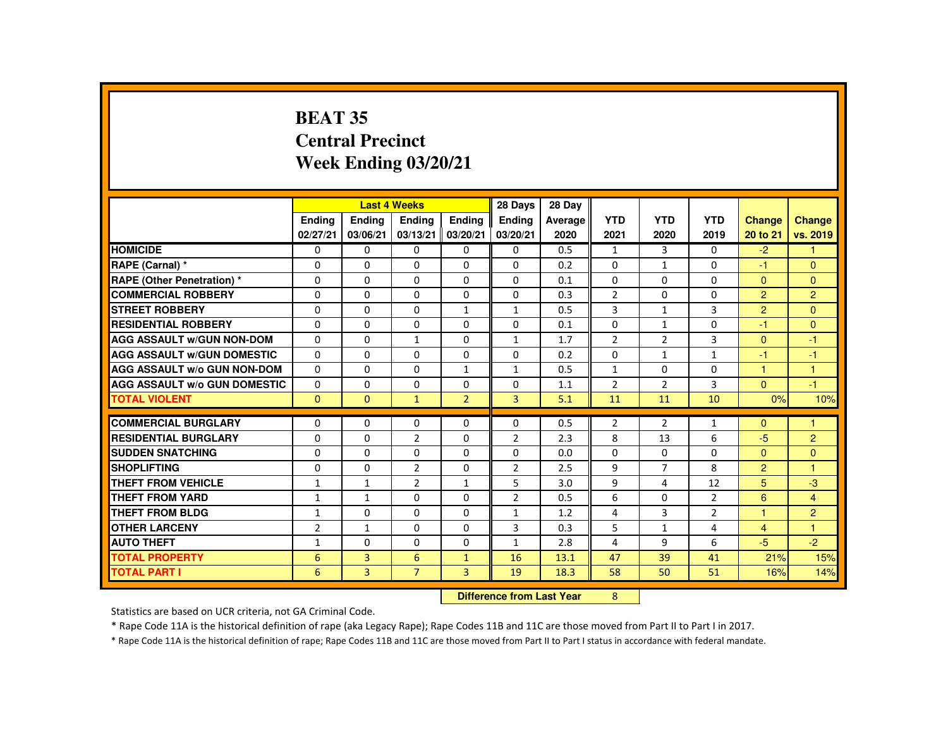# **BEAT 35 Central PrecinctWeek Ending 03/20/21**

|                                     |                | <b>Last 4 Weeks</b> |                |                | 28 Days                   | 28 Day  |                |                |                |                |                |
|-------------------------------------|----------------|---------------------|----------------|----------------|---------------------------|---------|----------------|----------------|----------------|----------------|----------------|
|                                     | <b>Ending</b>  | <b>Ending</b>       | <b>Ending</b>  | Ending         | Ending                    | Average | <b>YTD</b>     | <b>YTD</b>     | <b>YTD</b>     | <b>Change</b>  | Change         |
|                                     | 02/27/21       | 03/06/21            | 03/13/21       | 03/20/21       | 03/20/21                  | 2020    | 2021           | 2020           | 2019           | 20 to 21       | vs. 2019       |
| <b>HOMICIDE</b>                     | $\mathbf{0}$   | $\Omega$            | $\Omega$       | $\Omega$       | 0                         | 0.5     | $\mathbf{1}$   | 3              | 0              | $-2$           | 1.             |
| RAPE (Carnal) *                     | $\Omega$       | $\Omega$            | $\Omega$       | $\Omega$       | $\Omega$                  | 0.2     | $\Omega$       | $\mathbf{1}$   | $\Omega$       | -1             | $\Omega$       |
| <b>RAPE (Other Penetration) *</b>   | $\Omega$       | $\Omega$            | $\Omega$       | $\Omega$       | $\Omega$                  | 0.1     | $\Omega$       | $\Omega$       | 0              | $\Omega$       | $\mathbf{0}$   |
| <b>COMMERCIAL ROBBERY</b>           | $\Omega$       | $\Omega$            | $\Omega$       | $\Omega$       | $\Omega$                  | 0.3     | $\overline{2}$ | $\Omega$       | $\Omega$       | $\overline{2}$ | $\overline{2}$ |
| <b>STREET ROBBERY</b>               | $\Omega$       | $\Omega$            | $\Omega$       | $\mathbf{1}$   | $\mathbf{1}$              | 0.5     | 3              | $\mathbf{1}$   | 3              | $\overline{2}$ | $\Omega$       |
| <b>RESIDENTIAL ROBBERY</b>          | $\Omega$       | $\Omega$            | $\Omega$       | $\Omega$       | $\Omega$                  | 0.1     | $\Omega$       | $\mathbf{1}$   | $\Omega$       | -1             | $\mathbf{0}$   |
| <b>AGG ASSAULT W/GUN NON-DOM</b>    | $\Omega$       | $\Omega$            | $\mathbf{1}$   | $\Omega$       | $\mathbf{1}$              | 1.7     | $\overline{2}$ | $\overline{2}$ | 3              | $\Omega$       | $-1$           |
| <b>AGG ASSAULT W/GUN DOMESTIC</b>   | $\Omega$       | $\Omega$            | $\Omega$       | $\Omega$       | $\Omega$                  | 0.2     | $\Omega$       | $\mathbf{1}$   | $\mathbf{1}$   | -1             | $-1$           |
| <b>AGG ASSAULT W/o GUN NON-DOM</b>  | $\Omega$       | $\Omega$            | $\Omega$       | $\mathbf{1}$   | 1                         | 0.5     | 1              | $\mathbf{0}$   | 0              | $\mathbf{1}$   | $\mathbf{1}$   |
| <b>AGG ASSAULT W/o GUN DOMESTIC</b> | $\Omega$       | $\Omega$            | $\Omega$       | $\Omega$       | $\Omega$                  | 1.1     | $\overline{2}$ | $\overline{2}$ | 3              | $\Omega$       | $-1$           |
| <b>TOTAL VIOLENT</b>                | $\Omega$       | $\mathbf{0}$        | $\mathbf{1}$   | $\overline{2}$ | $\overline{3}$            | 5.1     | 11             | 11             | 10             | 0%             | 10%            |
| <b>COMMERCIAL BURGLARY</b>          | $\Omega$       | $\Omega$            | $\Omega$       | $\Omega$       | $\Omega$                  | 0.5     | $\overline{2}$ | $\overline{2}$ | $\mathbf{1}$   | $\mathbf{0}$   | 1              |
| <b>RESIDENTIAL BURGLARY</b>         | $\Omega$       | $\Omega$            | $\overline{2}$ | $\Omega$       | 2                         | 2.3     | 8              | 13             | 6              | $-5$           | $\overline{2}$ |
| <b>SUDDEN SNATCHING</b>             | $\Omega$       | $\Omega$            | $\Omega$       | $\Omega$       | $\Omega$                  | 0.0     | $\Omega$       | $\Omega$       | $\Omega$       | $\Omega$       | $\Omega$       |
| <b>SHOPLIFTING</b>                  | $\Omega$       | $\Omega$            | $\overline{2}$ | $\mathbf{0}$   | $\overline{2}$            | 2.5     | 9              | $\overline{7}$ | 8              | $\overline{2}$ | 1              |
| <b>THEFT FROM VEHICLE</b>           | $\mathbf{1}$   | $\mathbf{1}$        | $\overline{2}$ | $\mathbf{1}$   | 5                         | 3.0     | 9              | 4              | 12             | 5              | $-3$           |
| <b>THEFT FROM YARD</b>              | $\mathbf{1}$   | $\mathbf{1}$        | $\Omega$       | $\Omega$       | $\overline{2}$            | 0.5     | 6              | $\Omega$       | $\overline{2}$ | 6              | $\overline{4}$ |
| <b>THEFT FROM BLDG</b>              | $\mathbf{1}$   | $\Omega$            | $\Omega$       | $\Omega$       | $\mathbf{1}$              | 1.2     | 4              | 3              | $\overline{2}$ | 1              | $\overline{2}$ |
| <b>OTHER LARCENY</b>                | $\overline{2}$ | $\mathbf{1}$        | $\Omega$       | $\Omega$       | 3                         | 0.3     | 5              | $\mathbf{1}$   | 4              | $\overline{4}$ | $\mathbf{1}$   |
| <b>AUTO THEFT</b>                   | 1              | $\Omega$            | $\mathbf{0}$   | $\Omega$       | $\mathbf{1}$              | 2.8     | 4              | 9              | 6              | $-5$           | $-2$           |
| <b>TOTAL PROPERTY</b>               | 6              | $\overline{3}$      | 6              | $\mathbf{1}$   | 16                        | 13.1    | 47             | 39             | 41             | 21%            | 15%            |
| <b>TOTAL PART I</b>                 | 6              | $\overline{3}$      | $\overline{7}$ | $\overline{3}$ | 19                        | 18.3    | 58             | 50             | 51             | 16%            | 14%            |
|                                     |                |                     |                |                | Difference from Last Year |         | 8              |                |                |                |                |

 **Difference from Last Year**

Statistics are based on UCR criteria, not GA Criminal Code.

\* Rape Code 11A is the historical definition of rape (aka Legacy Rape); Rape Codes 11B and 11C are those moved from Part II to Part I in 2017.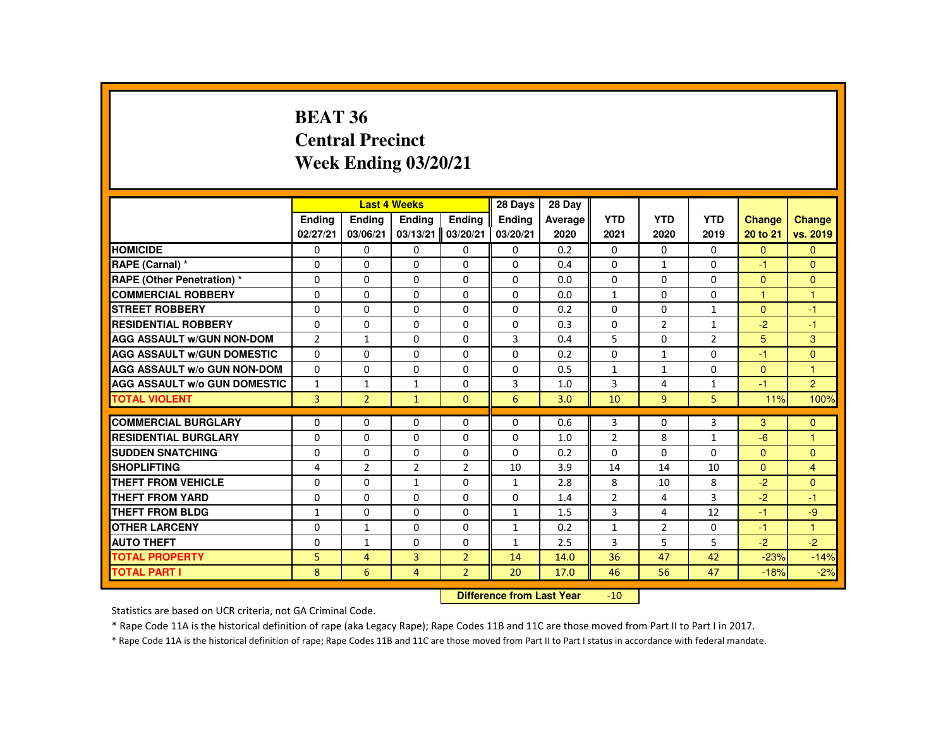#### **BEAT 36 Central PrecinctWeek Ending 03/20/21**

|                                     |                |                | <b>Last 4 Weeks</b> |                    | 28 Days             | 28 Day  |                |                |                |                |                |
|-------------------------------------|----------------|----------------|---------------------|--------------------|---------------------|---------|----------------|----------------|----------------|----------------|----------------|
|                                     | <b>Ending</b>  | <b>Ending</b>  | <b>Ending</b>       | Ending             | <b>Ending</b>       | Average | <b>YTD</b>     | <b>YTD</b>     | <b>YTD</b>     | <b>Change</b>  | <b>Change</b>  |
|                                     | 02/27/21       | 03/06/21       | 03/13/21            | 03/20/21           | 03/20/21            | 2020    | 2021           | 2020           | 2019           | 20 to 21       | vs. 2019       |
| <b>HOMICIDE</b>                     | 0              | 0              | 0                   | 0                  | 0                   | 0.2     | $\mathbf{0}$   | 0              | $\mathbf{0}$   | $\mathbf{0}$   | $\mathbf{0}$   |
| RAPE (Carnal) *                     | $\Omega$       | $\Omega$       | $\Omega$            | $\Omega$           | $\Omega$            | 0.4     | $\Omega$       | $\mathbf{1}$   | $\Omega$       | $-1$           | $\Omega$       |
| <b>RAPE (Other Penetration) *</b>   | $\Omega$       | 0              | 0                   | 0                  | 0                   | 0.0     | $\Omega$       | 0              | 0              | $\mathbf{0}$   | $\mathbf{0}$   |
| <b>COMMERCIAL ROBBERY</b>           | $\Omega$       | $\Omega$       | $\Omega$            | $\Omega$           | $\Omega$            | 0.0     | $\mathbf{1}$   | $\Omega$       | $\Omega$       | $\overline{1}$ | $\overline{1}$ |
| <b>STREET ROBBERY</b>               | $\Omega$       | $\Omega$       | $\Omega$            | $\Omega$           | $\Omega$            | 0.2     | $\Omega$       | $\Omega$       | $\mathbf{1}$   | $\Omega$       | $-1$           |
| <b>RESIDENTIAL ROBBERY</b>          | $\Omega$       | $\Omega$       | $\Omega$            | $\Omega$           | $\Omega$            | 0.3     | $\Omega$       | $\overline{2}$ | $\mathbf{1}$   | $-2$           | $-1$           |
| <b>AGG ASSAULT w/GUN NON-DOM</b>    | $\overline{2}$ | $\mathbf{1}$   | 0                   | 0                  | 3                   | 0.4     | 5              | 0              | $\overline{2}$ | 5              | 3              |
| <b>AGG ASSAULT W/GUN DOMESTIC</b>   | $\Omega$       | 0              | 0                   | 0                  | 0                   | 0.2     | 0              | $\mathbf{1}$   | 0              | $-1$           | $\mathbf{0}$   |
| <b>AGG ASSAULT W/o GUN NON-DOM</b>  | $\Omega$       | $\Omega$       | $\Omega$            | $\Omega$           | $\Omega$            | 0.5     | $\mathbf{1}$   | $\mathbf{1}$   | $\Omega$       | $\Omega$       | $\overline{1}$ |
| <b>AGG ASSAULT W/o GUN DOMESTIC</b> | $\mathbf{1}$   | $\mathbf{1}$   | $\mathbf{1}$        | $\Omega$           | 3                   | 1.0     | 3              | 4              | $\mathbf{1}$   | $-1$           | $\overline{2}$ |
| <b>TOTAL VIOLENT</b>                | $\overline{3}$ | $\overline{2}$ | $\mathbf{1}$        | $\Omega$           | 6                   | 3.0     | 10             | 9              | 5              | 11%            | 100%           |
| <b>COMMERCIAL BURGLARY</b>          | 0              | $\Omega$       | 0                   | $\Omega$           | $\Omega$            | 0.6     | 3              | 0              | 3              | 3              | $\mathbf{0}$   |
| <b>RESIDENTIAL BURGLARY</b>         | $\Omega$       | $\Omega$       | $\Omega$            | $\Omega$           | $\Omega$            | 1.0     | $\overline{2}$ | 8              | $\mathbf{1}$   | $-6$           | $\overline{1}$ |
| <b>SUDDEN SNATCHING</b>             | 0              | 0              | $\Omega$            | 0                  | 0                   | 0.2     | $\Omega$       | $\Omega$       | $\Omega$       | $\overline{0}$ | $\mathbf{0}$   |
| <b>SHOPLIFTING</b>                  | 4              | $\overline{2}$ | $\overline{2}$      | $\overline{2}$     | 10                  | 3.9     | 14             | 14             | 10             | $\Omega$       | $\overline{4}$ |
| <b>THEFT FROM VEHICLE</b>           | $\Omega$       | $\Omega$       | $\mathbf{1}$        | $\Omega$           | 1                   | 2.8     | 8              | 10             | 8              | $-2$           | $\Omega$       |
| <b>THEFT FROM YARD</b>              | $\Omega$       | $\Omega$       | $\Omega$            | $\Omega$           | 0                   | 1.4     | $\overline{2}$ | 4              | 3              | $-2$           | $-1$           |
| <b>THEFT FROM BLDG</b>              | $\mathbf{1}$   | $\Omega$       | $\Omega$            | $\Omega$           | $\mathbf{1}$        | 1.5     | 3              | 4              | 12             | $-1$           | $-9$           |
| <b>OTHER LARCENY</b>                | 0              | $\mathbf{1}$   | $\Omega$            | 0                  | $\mathbf{1}$        | 0.2     | $\mathbf{1}$   | $\overline{2}$ | 0              | $-1$           | $\overline{1}$ |
| <b>AUTO THEFT</b>                   | 0              | $\mathbf{1}$   | $\Omega$            | $\Omega$           | $\mathbf{1}$        | 2.5     | 3              | 5              | 5              | $-2$           | $-2$           |
| <b>TOTAL PROPERTY</b>               | 5              | $\overline{4}$ | 3                   | $\overline{2}$     | 14                  | 14.0    | 36             | 47             | 42             | $-23%$         | $-14%$         |
| <b>TOTAL PART I</b>                 | 8              | 6              | $\overline{4}$      | $\overline{2}$     | 20                  | 17.0    | 46             | 56             | 47             | $-18%$         | $-2%$          |
|                                     |                |                |                     | <b>INTERNATION</b> | and formed and Many |         | $\overline{A}$ |                |                |                |                |

 **Difference from Last Year**-10

Statistics are based on UCR criteria, not GA Criminal Code.

\* Rape Code 11A is the historical definition of rape (aka Legacy Rape); Rape Codes 11B and 11C are those moved from Part II to Part I in 2017.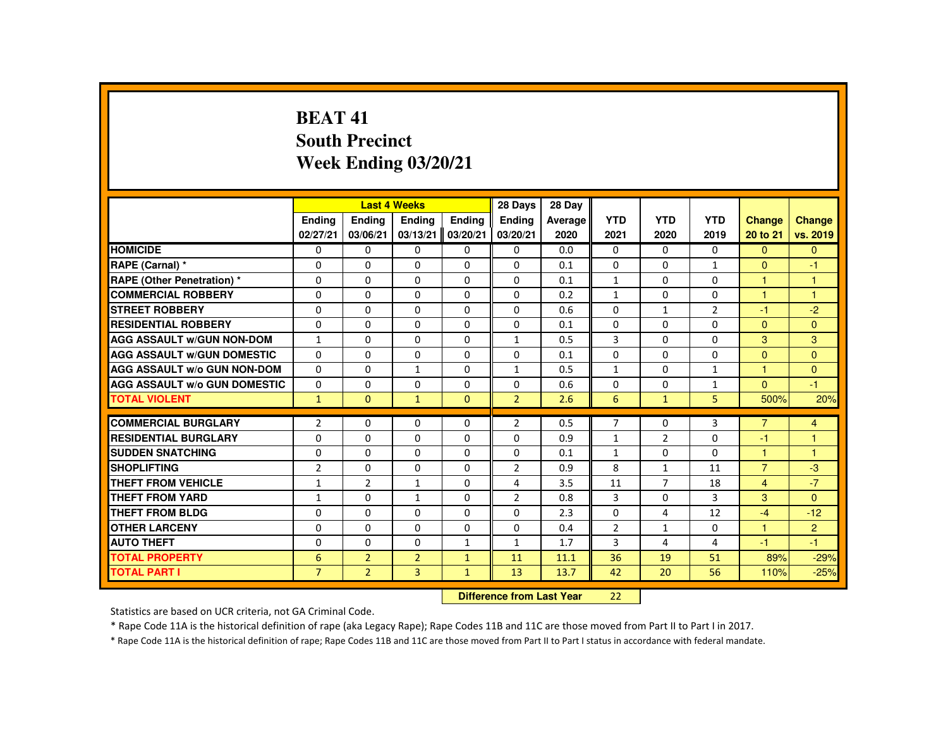## **BEAT 41 South PrecinctWeek Ending 03/20/21**

|                                     |                            |                | <b>Last 4 Weeks</b> |               | 28 Days        | 28 Day     |                |                |                |                |                |
|-------------------------------------|----------------------------|----------------|---------------------|---------------|----------------|------------|----------------|----------------|----------------|----------------|----------------|
|                                     | Ending                     | Ending         | Ending              | <b>Endina</b> | <b>Endina</b>  | Average    | <b>YTD</b>     | <b>YTD</b>     | <b>YTD</b>     | <b>Change</b>  | Change         |
|                                     | 02/27/21                   | 03/06/21       | 03/13/21            | 03/20/21      | 03/20/21       | 2020       | 2021           | 2020           | 2019           | 20 to 21       | vs. 2019       |
| <b>HOMICIDE</b>                     | 0                          | $\Omega$       | $\Omega$            | $\Omega$      | 0              | 0.0        | 0              | $\Omega$       | $\Omega$       | $\Omega$       | $\mathbf{0}$   |
| RAPE (Carnal) *                     | $\Omega$                   | $\Omega$       | $\Omega$            | $\Omega$      | $\Omega$       | 0.1        | $\Omega$       | $\Omega$       | $\mathbf{1}$   | $\mathbf{0}$   | $-1$           |
| RAPE (Other Penetration) *          | 0                          | $\Omega$       | $\Omega$            | $\Omega$      | 0              | 0.1        | $\mathbf{1}$   | $\Omega$       | $\Omega$       | $\overline{1}$ | $\mathbf{1}$   |
| <b>COMMERCIAL ROBBERY</b>           | $\Omega$                   | $\Omega$       | $\Omega$            | $\Omega$      | $\Omega$       | 0.2        | $\mathbf{1}$   | $\Omega$       | $\Omega$       | 1              | $\overline{1}$ |
| <b>STREET ROBBERY</b>               | $\Omega$                   | $\Omega$       | $\Omega$            | $\Omega$      | $\Omega$       | 0.6        | $\Omega$       | $\mathbf{1}$   | $\overline{2}$ | $-1$           | $-2$           |
| <b>RESIDENTIAL ROBBERY</b>          | $\mathbf{0}$               | $\Omega$       | $\mathbf{0}$        | 0             | 0              | 0.1        | 0              | 0              | 0              | $\mathbf{0}$   | $\Omega$       |
| <b>AGG ASSAULT W/GUN NON-DOM</b>    | $\mathbf{1}$               | $\Omega$       | $\Omega$            | $\Omega$      | $\mathbf{1}$   | 0.5        | 3              | $\Omega$       | $\Omega$       | 3              | 3              |
| <b>AGG ASSAULT W/GUN DOMESTIC</b>   | $\Omega$                   | $\Omega$       | $\Omega$            | $\Omega$      | $\Omega$       | 0.1        | $\Omega$       | $\Omega$       | $\Omega$       | $\Omega$       | $\overline{0}$ |
| <b>AGG ASSAULT W/o GUN NON-DOM</b>  | $\Omega$                   | $\Omega$       | $\mathbf{1}$        | $\Omega$      | $\mathbf{1}$   | 0.5        | $\mathbf{1}$   | $\Omega$       | $\mathbf{1}$   | $\mathbf{1}$   | $\Omega$       |
| <b>AGG ASSAULT W/o GUN DOMESTIC</b> | 0                          | $\Omega$       | $\Omega$            | $\Omega$      | $\Omega$       | 0.6        | $\Omega$       | $\Omega$       | $\mathbf{1}$   | $\mathbf{0}$   | $-1$           |
| <b>TOTAL VIOLENT</b>                | $\mathbf{1}$               | $\Omega$       | $\mathbf{1}$        | $\mathbf{0}$  | $\overline{2}$ | 2.6        | 6              | $\mathbf{1}$   | 5              | 500%           | 20%            |
| <b>COMMERCIAL BURGLARY</b>          | $\overline{2}$             | $\Omega$       | $\Omega$            | $\Omega$      | $\overline{2}$ | 0.5        | $\overline{7}$ | $\Omega$       | $\overline{3}$ | $\overline{7}$ | $\overline{4}$ |
| <b>RESIDENTIAL BURGLARY</b>         | $\Omega$                   | $\Omega$       | $\Omega$            | $\Omega$      | 0              | 0.9        | $\mathbf{1}$   | $\overline{2}$ | 0              | -1             | $\overline{1}$ |
| <b>SUDDEN SNATCHING</b>             | $\mathbf{0}$               | $\Omega$       | $\Omega$            | $\Omega$      | $\Omega$       | 0.1        | $\mathbf{1}$   | $\Omega$       | $\Omega$       | 1              | $\overline{1}$ |
| <b>SHOPLIFTING</b>                  | $\overline{2}$             | $\Omega$       | $\Omega$            | $\Omega$      | $\overline{2}$ | 0.9        | 8              | $\mathbf{1}$   | 11             | $\overline{7}$ | $-3$           |
| <b>THEFT FROM VEHICLE</b>           | $\mathbf{1}$               | $\overline{2}$ | $\mathbf{1}$        | $\Omega$      | 4              | 3.5        | 11             | $\overline{7}$ | 18             | $\overline{4}$ | $-7$           |
| <b>THEFT FROM YARD</b>              | $\mathbf{1}$               | $\Omega$       | $\mathbf{1}$        | $\Omega$      | $\overline{2}$ | 0.8        | 3              | $\Omega$       | 3              | $\mathbf{3}$   | $\Omega$       |
| <b>THEFT FROM BLDG</b>              |                            | $\Omega$       | $\Omega$            | $\Omega$      | $\Omega$       |            | $\Omega$       |                |                | $-4$           | $-12$          |
| <b>OTHER LARCENY</b>                | $\mathbf{0}$<br>$\Omega$   | $\Omega$       | $\Omega$            | $\Omega$      | $\Omega$       | 2.3<br>0.4 | $\overline{2}$ | 4              | 12<br>$\Omega$ | $\overline{1}$ | $\overline{2}$ |
|                                     |                            |                |                     |               |                |            |                | 1              |                |                |                |
| <b>AUTO THEFT</b>                   | $\Omega$                   | $\Omega$       | $\Omega$            | $\mathbf{1}$  | $\mathbf{1}$   | 1.7        | 3              | 4              | 4              | $-1$           | $-1$           |
| <b>TOTAL PROPERTY</b>               | 6                          | 2 <sup>1</sup> | $\overline{2}$      | $\mathbf{1}$  | 11             | 11.1       | 36             | 19             | 51             | 89%            | $-29%$         |
| <b>TOTAL PART I</b>                 | $\overline{7}$             | $\overline{2}$ | $\overline{3}$      | $\mathbf{1}$  | 13             | 13.7       | 42             | 20             | 56             | 110%           | $-25%$         |
|                                     | Difference from Least Vacu |                |                     |               |                |            |                |                |                |                |                |

 **Difference from Last Year**<sup>22</sup>

Statistics are based on UCR criteria, not GA Criminal Code.

\* Rape Code 11A is the historical definition of rape (aka Legacy Rape); Rape Codes 11B and 11C are those moved from Part II to Part I in 2017.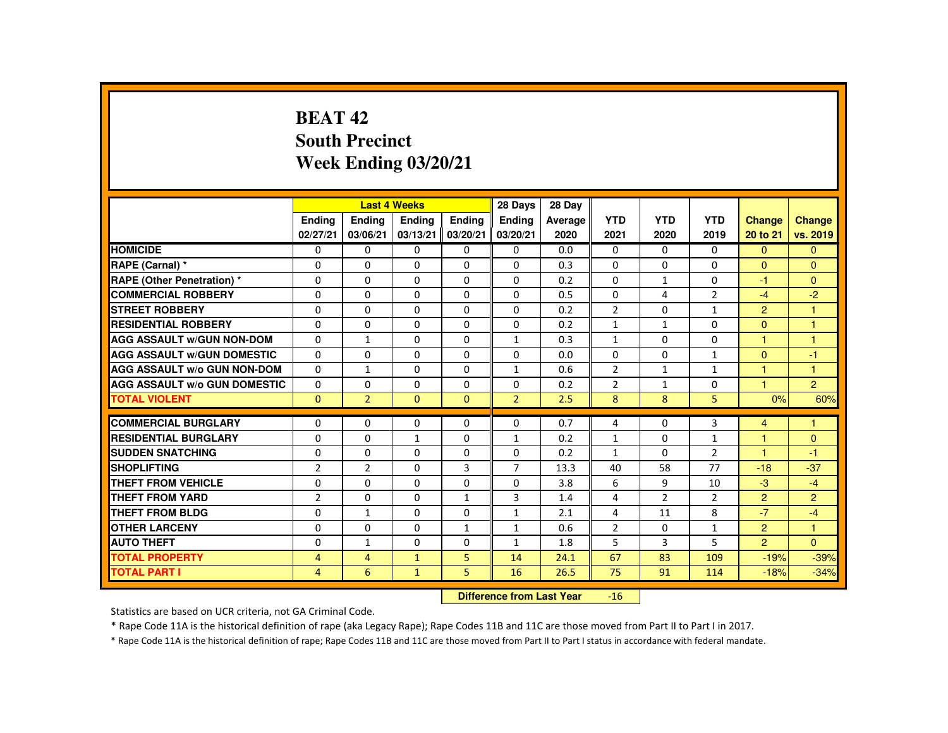# **BEAT 42 South PrecinctWeek Ending 03/20/21**

|                                     |                |                | <b>Last 4 Weeks</b> |                | 28 Days        | 28 Day  |                |                |                |                      |                |
|-------------------------------------|----------------|----------------|---------------------|----------------|----------------|---------|----------------|----------------|----------------|----------------------|----------------|
|                                     | Ending         | Ending         | Ending              | Ending         | Ending         | Average | <b>YTD</b>     | <b>YTD</b>     | <b>YTD</b>     | <b>Change</b>        | Change         |
|                                     | 02/27/21       | 03/06/21       | 03/13/21            | 03/20/21       | 03/20/21       | 2020    | 2021           | 2020           | 2019           | 20 to 21             | vs. 2019       |
| <b>HOMICIDE</b>                     | 0              | $\Omega$       | $\Omega$            | $\Omega$       | 0              | 0.0     | 0              | $\Omega$       | 0              | $\Omega$             | $\mathbf{0}$   |
| RAPE (Carnal) *                     | 0              | $\Omega$       | $\Omega$            | $\Omega$       | $\Omega$       | 0.3     | $\Omega$       | $\Omega$       | $\Omega$       | $\Omega$             | $\Omega$       |
| <b>RAPE (Other Penetration) *</b>   | $\Omega$       | $\Omega$       | $\Omega$            | $\Omega$       | $\Omega$       | 0.2     | $\Omega$       | $\mathbf{1}$   | $\Omega$       | -1                   | $\Omega$       |
| <b>COMMERCIAL ROBBERY</b>           | $\Omega$       | $\Omega$       | $\Omega$            | $\Omega$       | $\Omega$       | 0.5     | $\Omega$       | 4              | $\overline{2}$ | $-4$                 | $-2$           |
| <b>STREET ROBBERY</b>               | $\Omega$       | $\Omega$       | $\Omega$            | $\Omega$       | $\Omega$       | 0.2     | $\overline{2}$ | $\Omega$       | $\mathbf{1}$   | $\overline{2}$       | $\mathbf{1}$   |
| <b>RESIDENTIAL ROBBERY</b>          | $\Omega$       | $\Omega$       | $\mathbf{0}$        | 0              | 0              | 0.2     | $\mathbf{1}$   | 1              | 0              | $\Omega$             | 1              |
| <b>AGG ASSAULT W/GUN NON-DOM</b>    | $\mathbf{0}$   | $\mathbf{1}$   | $\Omega$            | $\Omega$       | $\mathbf{1}$   | 0.3     | $\mathbf{1}$   | $\Omega$       | $\Omega$       |                      | $\overline{1}$ |
| <b>AGG ASSAULT W/GUN DOMESTIC</b>   | $\Omega$       | $\mathbf{0}$   | $\Omega$            | $\Omega$       | $\Omega$       | 0.0     | $\Omega$       | $\Omega$       | $\mathbf{1}$   | $\Omega$             | $-1$           |
| <b>AGG ASSAULT W/o GUN NON-DOM</b>  | $\Omega$       | $\mathbf{1}$   | $\Omega$            | $\Omega$       | $\mathbf{1}$   | 0.6     | $\overline{2}$ | $\mathbf{1}$   | $\mathbf{1}$   | 1                    | $\overline{1}$ |
| <b>AGG ASSAULT W/o GUN DOMESTIC</b> | $\Omega$       | $\Omega$       | $\Omega$            | $\Omega$       | $\Omega$       | 0.2     | $\overline{2}$ | $\mathbf{1}$   | $\Omega$       | $\blacktriangleleft$ | $\overline{2}$ |
| <b>TOTAL VIOLENT</b>                | $\Omega$       | $\overline{2}$ | $\Omega$            | $\Omega$       | $\overline{2}$ | 2.5     | 8              | 8              | 5              | 0%                   | 60%            |
| <b>COMMERCIAL BURGLARY</b>          | $\Omega$       | $\Omega$       | $\Omega$            | $\Omega$       | $\Omega$       | 0.7     | 4              | $\Omega$       | 3              | $\overline{4}$       | $\overline{1}$ |
| <b>RESIDENTIAL BURGLARY</b>         | $\Omega$       | $\Omega$       | $\mathbf{1}$        | $\Omega$       | $\mathbf{1}$   | 0.2     | $\mathbf{1}$   | $\Omega$       | $\mathbf{1}$   | 1                    | $\Omega$       |
| <b>SUDDEN SNATCHING</b>             | $\Omega$       | $\Omega$       | $\mathbf{0}$        | $\mathbf{0}$   | 0              | 0.2     | $\mathbf{1}$   | 0              | $\overline{2}$ | $\overline{1}$       | $-1$           |
| <b>SHOPLIFTING</b>                  | $\overline{2}$ | $\overline{2}$ | $\Omega$            | 3              | $\overline{7}$ | 13.3    | 40             | 58             | 77             | $-18$                | $-37$          |
| <b>THEFT FROM VEHICLE</b>           | $\mathbf{0}$   | $\Omega$       | $\Omega$            | $\Omega$       | 0              | 3.8     | 6              | 9              | 10             | $-3$                 | $-4$           |
| <b>THEFT FROM YARD</b>              | $\overline{2}$ | $\Omega$       | $\Omega$            | $\mathbf{1}$   | 3              | 1.4     | 4              | $\overline{2}$ | $\overline{2}$ | $\overline{2}$       | $\overline{2}$ |
| <b>THEFT FROM BLDG</b>              | 0              | $\mathbf{1}$   | $\Omega$            | $\Omega$       | 1              | 2.1     | 4              | 11             | 8              | $-7$                 | $-4$           |
| <b>OTHER LARCENY</b>                | $\Omega$       | $\Omega$       | $\Omega$            | $\mathbf{1}$   | $\mathbf{1}$   | 0.6     | $\overline{2}$ | 0              | $\mathbf{1}$   | $\overline{2}$       | $\mathbf{1}$   |
| <b>AUTO THEFT</b>                   | $\Omega$       | $\mathbf{1}$   | $\Omega$            | $\Omega$       | $\mathbf{1}$   | 1.8     | 5              | 3              | 5              | $\overline{2}$       | $\Omega$       |
| <b>TOTAL PROPERTY</b>               | $\overline{4}$ | $\overline{4}$ | $\mathbf{1}$        | 5 <sup>1</sup> | 14             | 24.1    | 67             | 83             | 109            | $-19%$               | $-39%$         |
| <b>TOTAL PART I</b>                 | $\overline{4}$ | 6              | $\mathbf{1}$        | 5              | 16             | 26.5    | 75             | 91             | 114            | $-18%$               | $-34%$         |
|                                     |                |                |                     |                |                |         |                |                |                |                      |                |

 **Difference from Last Year**-16

Statistics are based on UCR criteria, not GA Criminal Code.

\* Rape Code 11A is the historical definition of rape (aka Legacy Rape); Rape Codes 11B and 11C are those moved from Part II to Part I in 2017.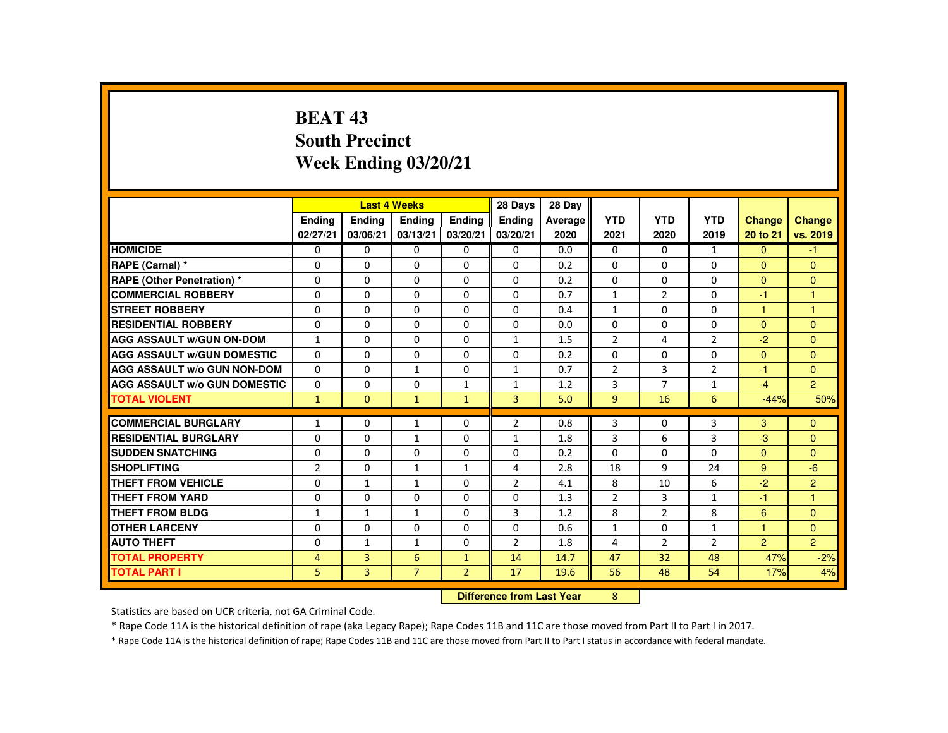# **BEAT 43 South PrecinctWeek Ending 03/20/21**

|                                     |                |                | <b>Last 4 Weeks</b>              |                | 28 Days        | 28 Day  |                |                |                |                      |                      |
|-------------------------------------|----------------|----------------|----------------------------------|----------------|----------------|---------|----------------|----------------|----------------|----------------------|----------------------|
|                                     | Ending         | Ending         | <b>Endina</b>                    | <b>Endina</b>  | <b>Endina</b>  | Average | <b>YTD</b>     | <b>YTD</b>     | <b>YTD</b>     | <b>Change</b>        | <b>Change</b>        |
|                                     | 02/27/21       | 03/06/21       | 03/13/21                         | 03/20/21       | 03/20/21       | 2020    | 2021           | 2020           | 2019           | 20 to 21             | vs. 2019             |
| <b>HOMICIDE</b>                     | $\mathbf{0}$   | $\Omega$       | 0                                | 0              | $\mathbf{0}$   | 0.0     | $\Omega$       | $\Omega$       | $\mathbf{1}$   | $\Omega$             | $-1$                 |
| RAPE (Carnal) *                     | $\Omega$       | $\Omega$       | $\Omega$                         | $\Omega$       | $\Omega$       | 0.2     | $\Omega$       | $\Omega$       | $\Omega$       | $\Omega$             | $\Omega$             |
| RAPE (Other Penetration) *          | $\Omega$       | $\Omega$       | $\Omega$                         | $\Omega$       | $\Omega$       | 0.2     | $\Omega$       | $\Omega$       | $\Omega$       | $\Omega$             | $\Omega$             |
| <b>COMMERCIAL ROBBERY</b>           | $\Omega$       | $\Omega$       | $\Omega$                         | $\Omega$       | $\Omega$       | 0.7     | $\mathbf{1}$   | $\overline{2}$ | $\Omega$       | $-1$                 | $\blacktriangleleft$ |
| <b>STREET ROBBERY</b>               | $\Omega$       | $\Omega$       | $\Omega$                         | $\Omega$       | $\Omega$       | 0.4     | $\mathbf{1}$   | $\Omega$       | $\Omega$       | $\blacktriangleleft$ | $\blacktriangleleft$ |
| <b>RESIDENTIAL ROBBERY</b>          | $\Omega$       | $\Omega$       | $\Omega$                         | $\Omega$       | $\Omega$       | 0.0     | $\Omega$       | $\Omega$       | $\Omega$       | $\mathbf{0}$         | $\Omega$             |
| <b>AGG ASSAULT w/GUN ON-DOM</b>     | $\mathbf{1}$   | $\Omega$       | $\Omega$                         | $\Omega$       | $\mathbf{1}$   | 1.5     | $\overline{2}$ | 4              | $\overline{2}$ | $-2$                 | $\Omega$             |
| <b>AGG ASSAULT W/GUN DOMESTIC</b>   | $\Omega$       | $\Omega$       | $\Omega$                         | $\Omega$       | $\Omega$       | 0.2     | $\Omega$       | $\Omega$       | $\Omega$       | $\Omega$             | $\Omega$             |
| <b>AGG ASSAULT W/o GUN NON-DOM</b>  | $\Omega$       | $\Omega$       | $\mathbf{1}$                     | $\Omega$       | 1              | 0.7     | $\overline{2}$ | 3              | $\overline{2}$ | $-1$                 | $\Omega$             |
| <b>AGG ASSAULT W/o GUN DOMESTIC</b> | $\Omega$       | $\Omega$       | $\Omega$                         | $\mathbf{1}$   | $\mathbf{1}$   | 1.2     | 3              | $\overline{7}$ | $\mathbf{1}$   | $-4$                 | $\overline{2}$       |
| <b>TOTAL VIOLENT</b>                | $\mathbf{1}$   | $\Omega$       | $\mathbf{1}$                     | $\mathbf{1}$   | $\overline{3}$ | 5.0     | $\overline{9}$ | 16             | 6              | $-44%$               | 50%                  |
| <b>COMMERCIAL BURGLARY</b>          | 1              | $\mathbf{0}$   | 1                                | $\Omega$       | $\overline{2}$ | 0.8     | 3              | 0              | 3              | 3                    | $\Omega$             |
| <b>RESIDENTIAL BURGLARY</b>         | $\Omega$       | $\Omega$       | $\mathbf{1}$                     | $\Omega$       | $\mathbf{1}$   | 1.8     | 3              | 6              | 3              | $-3$                 | $\Omega$             |
| <b>SUDDEN SNATCHING</b>             | $\Omega$       | $\Omega$       | $\Omega$                         | $\Omega$       | $\Omega$       | 0.2     | $\Omega$       | $\Omega$       | $\Omega$       | $\Omega$             | $\Omega$             |
| <b>SHOPLIFTING</b>                  | $\overline{2}$ | 0              | 1                                | $\mathbf{1}$   | 4              | 2.8     | 18             | 9              | 24             | 9                    | $-6$                 |
| <b>THEFT FROM VEHICLE</b>           | $\Omega$       | $\mathbf{1}$   | $\mathbf{1}$                     | $\Omega$       | $\overline{2}$ | 4.1     | 8              | 10             | 6              | $-2$                 | $\overline{2}$       |
| <b>THEFT FROM YARD</b>              | $\Omega$       | $\Omega$       | $\Omega$                         | $\Omega$       | $\Omega$       | 1.3     | $\overline{2}$ | $\overline{3}$ | 1              | $-1$                 | $\mathbf{1}$         |
| <b>THEFT FROM BLDG</b>              | $\mathbf{1}$   | $\mathbf{1}$   | $\mathbf{1}$                     | $\Omega$       | 3              | 1.2     | 8              | $\overline{2}$ | 8              | 6                    | $\Omega$             |
| <b>OTHER LARCENY</b>                | 0              | $\Omega$       | $\Omega$                         | $\Omega$       | $\Omega$       | 0.6     | $\mathbf{1}$   | $\Omega$       | $\mathbf{1}$   | $\overline{1}$       | $\Omega$             |
| <b>AUTO THEFT</b>                   | $\Omega$       | $\mathbf{1}$   | $\mathbf{1}$                     | $\Omega$       | 2              | 1.8     | 4              | $\overline{2}$ | $\overline{2}$ | $\overline{2}$       | $\overline{2}$       |
| <b>TOTAL PROPERTY</b>               | $\overline{4}$ | 3              | 6                                | $\mathbf{1}$   | 14             | 14.7    | 47             | 32             | 48             | 47%                  | $-2%$                |
| <b>TOTAL PART I</b>                 | 5              | $\overline{3}$ | $\overline{7}$                   | $\overline{2}$ | 17             | 19.6    | 56             | 48             | 54             | 17%                  | 4%                   |
|                                     |                |                | <b>Difference from Last Year</b> |                | 8              |         |                |                |                |                      |                      |

 **Difference from Last Year**

Statistics are based on UCR criteria, not GA Criminal Code.

\* Rape Code 11A is the historical definition of rape (aka Legacy Rape); Rape Codes 11B and 11C are those moved from Part II to Part I in 2017.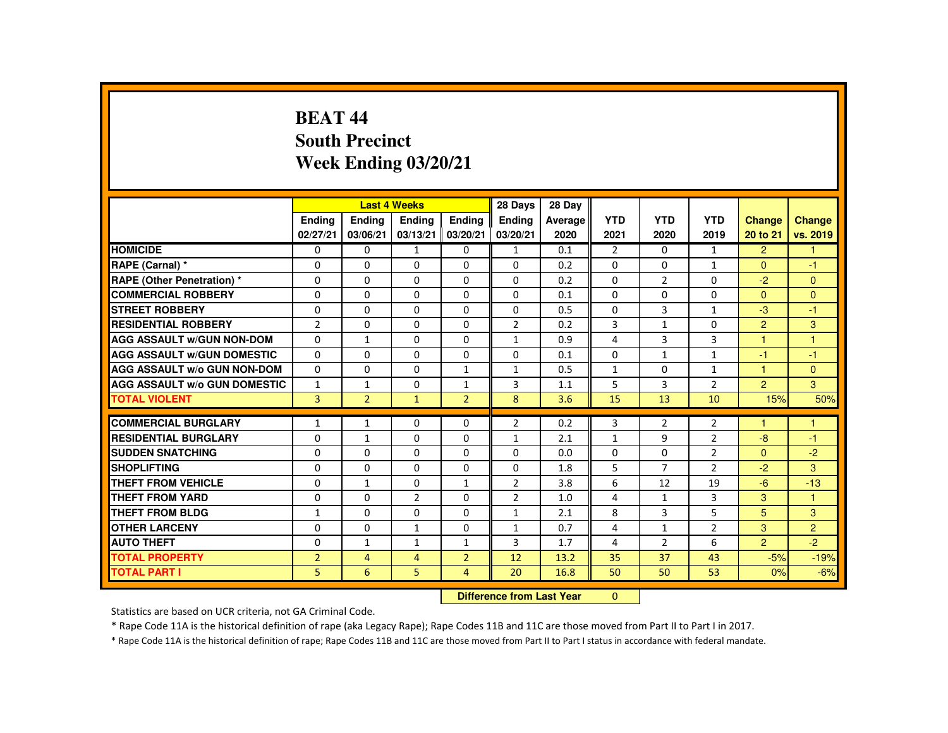# **BEAT 44 South PrecinctWeek Ending 03/20/21**

|                                     |                |                | <b>Last 4 Weeks</b>              |                | 28 Days        | 28 Day  |                |                |                |                |                |
|-------------------------------------|----------------|----------------|----------------------------------|----------------|----------------|---------|----------------|----------------|----------------|----------------|----------------|
|                                     | <b>Endina</b>  | <b>Ending</b>  | <b>Ending</b>                    | Ending         | <b>Endina</b>  | Average | <b>YTD</b>     | <b>YTD</b>     | <b>YTD</b>     | <b>Change</b>  | <b>Change</b>  |
|                                     | 02/27/21       | 03/06/21       | 03/13/21                         | 03/20/21       | 03/20/21       | 2020    | 2021           | 2020           | 2019           | 20 to 21       | vs. 2019       |
| <b>HOMICIDE</b>                     | $\Omega$       | $\Omega$       | $\mathbf{1}$                     | 0              | $\mathbf{1}$   | 0.1     | $\overline{2}$ | $\Omega$       | $\mathbf{1}$   | $\overline{2}$ | $\mathbf{1}$   |
| RAPE (Carnal) *                     | $\Omega$       | $\Omega$       | $\Omega$                         | $\Omega$       | $\Omega$       | 0.2     | $\Omega$       | $\Omega$       | $\mathbf{1}$   | $\Omega$       | $-1$           |
| <b>RAPE (Other Penetration) *</b>   | $\Omega$       | $\Omega$       | $\Omega$                         | $\Omega$       | $\Omega$       | 0.2     | $\Omega$       | $\overline{2}$ | $\Omega$       | $-2$           | $\Omega$       |
| <b>COMMERCIAL ROBBERY</b>           | $\Omega$       | $\Omega$       | $\Omega$                         | $\Omega$       | $\Omega$       | 0.1     | $\Omega$       | $\Omega$       | $\Omega$       | $\Omega$       | $\Omega$       |
| <b>STREET ROBBERY</b>               | 0              | $\Omega$       | $\Omega$                         | $\Omega$       | $\Omega$       | 0.5     | $\Omega$       | 3              | $\mathbf{1}$   | $-3$           | $-1$           |
| <b>RESIDENTIAL ROBBERY</b>          | $\overline{2}$ | $\Omega$       | $\Omega$                         | $\Omega$       | $\overline{2}$ | 0.2     | 3              | $\mathbf{1}$   | $\Omega$       | $\overline{2}$ | 3              |
| <b>AGG ASSAULT W/GUN NON-DOM</b>    | $\Omega$       | $\mathbf{1}$   | $\Omega$                         | $\Omega$       | $\mathbf{1}$   | 0.9     | 4              | 3              | 3              | 1              | $\overline{1}$ |
| <b>AGG ASSAULT W/GUN DOMESTIC</b>   | $\Omega$       | $\Omega$       | $\Omega$                         | $\Omega$       | $\Omega$       | 0.1     | $\Omega$       | $\mathbf{1}$   | $\mathbf{1}$   | -1             | $-1$           |
| AGG ASSAULT W/o GUN NON-DOM         | $\Omega$       | $\Omega$       | $\Omega$                         | $\mathbf{1}$   | $\mathbf{1}$   | 0.5     | $\mathbf{1}$   | 0              | $\mathbf{1}$   | 1              | $\mathbf{0}$   |
| <b>AGG ASSAULT W/o GUN DOMESTIC</b> | $\mathbf{1}$   | 1              | $\Omega$                         | $\mathbf{1}$   | 3              | 1.1     | 5              | 3              | $\overline{2}$ | $\overline{2}$ | 3 <sup>1</sup> |
| <b>TOTAL VIOLENT</b>                | $\overline{3}$ | $\overline{2}$ | $\mathbf{1}$                     | $\overline{2}$ | 8              | 3.6     | 15             | 13             | 10             | 15%            | 50%            |
| <b>COMMERCIAL BURGLARY</b>          | $\mathbf{1}$   | $\mathbf{1}$   | 0                                | 0              | $\overline{2}$ | 0.2     | 3              | $\overline{2}$ | $\overline{2}$ |                | н              |
| <b>RESIDENTIAL BURGLARY</b>         | $\Omega$       | $\mathbf{1}$   | $\Omega$                         | $\Omega$       | $\mathbf{1}$   | 2.1     | $\mathbf{1}$   | 9              | $\overline{2}$ | $-8$           | -1             |
| <b>SUDDEN SNATCHING</b>             | $\Omega$       | $\Omega$       | $\Omega$                         | $\Omega$       | $\Omega$       | 0.0     | $\Omega$       | $\Omega$       | $\overline{2}$ | $\Omega$       | $-2$           |
| <b>SHOPLIFTING</b>                  | 0              | $\mathbf{0}$   | 0                                | $\mathbf{0}$   | 0              | 1.8     | 5              | $\overline{7}$ | $\overline{2}$ | $-2$           | 3              |
| <b>THEFT FROM VEHICLE</b>           | 0              | $\mathbf{1}$   | $\Omega$                         | $\mathbf{1}$   | $\overline{2}$ | 3.8     | 6              | 12             | 19             | $-6$           | $-13$          |
| <b>THEFT FROM YARD</b>              | $\Omega$       | $\Omega$       | $\overline{2}$                   | $\Omega$       | $\overline{2}$ | 1.0     | 4              | $\mathbf{1}$   | 3              | 3              | $\mathbf{1}$   |
| <b>THEFT FROM BLDG</b>              | $\mathbf{1}$   | $\Omega$       | $\Omega$                         | $\Omega$       | $\mathbf{1}$   | 2.1     | 8              | 3              | 5              | 5              | 3              |
| <b>OTHER LARCENY</b>                | 0              | $\Omega$       | $\mathbf{1}$                     | $\Omega$       | $\mathbf{1}$   | 0.7     | 4              | $\mathbf{1}$   | $\overline{2}$ | 3              | $\overline{2}$ |
| <b>AUTO THEFT</b>                   | $\Omega$       | $\mathbf{1}$   | $\mathbf{1}$                     | $\mathbf{1}$   | 3              | 1.7     | 4              | $\overline{2}$ | 6              | $\overline{2}$ | $-2$           |
| <b>TOTAL PROPERTY</b>               | $\overline{2}$ | $\overline{4}$ | $\overline{4}$                   | $\overline{2}$ | 12             | 13.2    | 35             | 37             | 43             | $-5%$          | $-19%$         |
| <b>TOTAL PART I</b>                 | 5              | 6              | 5                                | $\overline{4}$ | 20             | 16.8    | 50             | 50             | 53             | 0%             | $-6%$          |
|                                     |                |                | <b>Difference from Last Year</b> |                | $\mathbf{0}$   |         |                |                |                |                |                |

 **Difference from Last Year**

Statistics are based on UCR criteria, not GA Criminal Code.

\* Rape Code 11A is the historical definition of rape (aka Legacy Rape); Rape Codes 11B and 11C are those moved from Part II to Part I in 2017.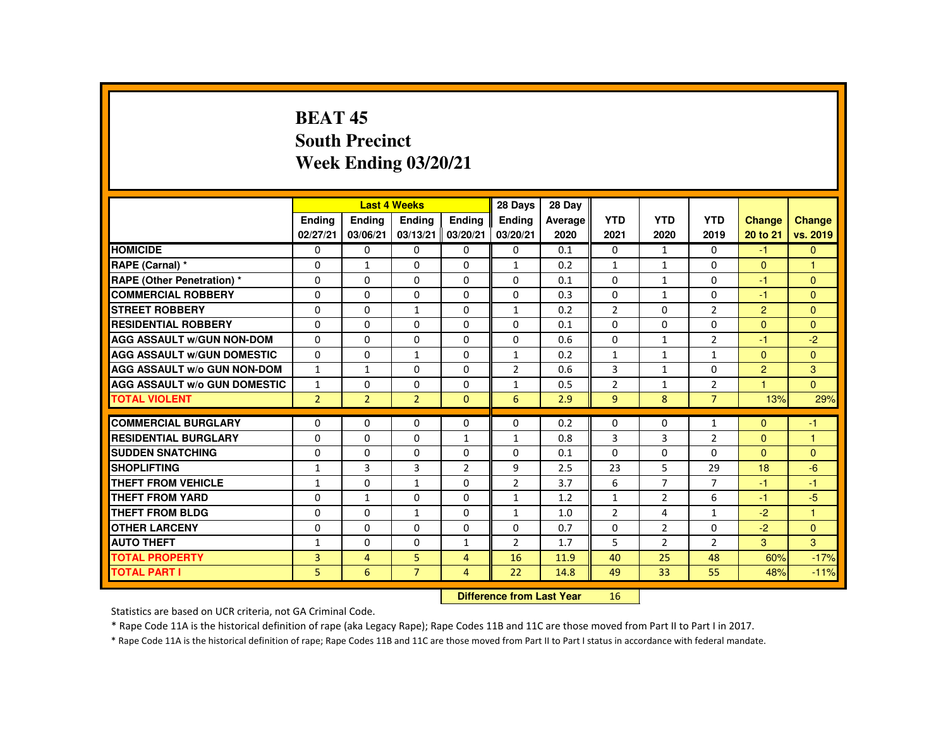## **BEAT 45 South PrecinctWeek Ending 03/20/21**

|                                     |                |                | <b>Last 4 Weeks</b> |                | 28 Days        | 28 Day  |                |                |                |                |                      |
|-------------------------------------|----------------|----------------|---------------------|----------------|----------------|---------|----------------|----------------|----------------|----------------|----------------------|
|                                     | <b>Endina</b>  | <b>Endina</b>  | Ending              | <b>Endina</b>  | <b>Endina</b>  | Average | <b>YTD</b>     | <b>YTD</b>     | <b>YTD</b>     | <b>Change</b>  | <b>Change</b>        |
|                                     | 02/27/21       | 03/06/21       | 03/13/21            | 03/20/21       | 03/20/21       | 2020    | 2021           | 2020           | 2019           | 20 to 21       | vs. 2019             |
| <b>HOMICIDE</b>                     | $\mathbf{0}$   | $\mathbf{0}$   | 0                   | 0              | $\mathbf{0}$   | 0.1     | $\mathbf{0}$   | $\mathbf{1}$   | $\Omega$       | $-1$           | $\mathbf{0}$         |
| RAPE (Carnal) *                     | 0              | $\mathbf{1}$   | $\Omega$            | $\Omega$       | $\mathbf{1}$   | 0.2     | $\mathbf{1}$   | $\mathbf{1}$   | $\Omega$       | $\Omega$       | $\blacktriangleleft$ |
| RAPE (Other Penetration) *          | $\Omega$       | $\Omega$       | $\Omega$            | $\Omega$       | $\Omega$       | 0.1     | $\Omega$       | $\mathbf{1}$   | $\Omega$       | $-1$           | $\Omega$             |
| <b>COMMERCIAL ROBBERY</b>           | $\Omega$       | $\Omega$       | $\Omega$            | $\Omega$       | $\Omega$       | 0.3     | $\Omega$       | $\mathbf{1}$   | $\Omega$       | $-1$           | $\Omega$             |
| <b>STREET ROBBERY</b>               | $\Omega$       | $\Omega$       | $\mathbf{1}$        | $\Omega$       | $\mathbf{1}$   | 0.2     | $\overline{2}$ | $\Omega$       | $\overline{2}$ | $\overline{2}$ | $\Omega$             |
| <b>RESIDENTIAL ROBBERY</b>          | 0              | $\mathbf{0}$   | 0                   | $\Omega$       | $\mathbf{0}$   | 0.1     | $\Omega$       | 0              | 0              | $\overline{0}$ | $\Omega$             |
| <b>AGG ASSAULT w/GUN NON-DOM</b>    | $\Omega$       | $\Omega$       | $\Omega$            | $\Omega$       | $\Omega$       | 0.6     | $\Omega$       | $\mathbf{1}$   | $\overline{2}$ | -1             | $-2$                 |
| <b>AGG ASSAULT W/GUN DOMESTIC</b>   | $\Omega$       | $\Omega$       | $\mathbf{1}$        | $\Omega$       | $\mathbf{1}$   | 0.2     | $\mathbf{1}$   | $\mathbf{1}$   | $\mathbf{1}$   | $\mathbf{0}$   | $\Omega$             |
| <b>AGG ASSAULT w/o GUN NON-DOM</b>  | $\mathbf{1}$   | $\mathbf{1}$   | $\Omega$            | $\Omega$       | $\overline{2}$ | 0.6     | 3              | $\mathbf{1}$   | $\Omega$       | $\overline{2}$ | 3                    |
| <b>AGG ASSAULT W/o GUN DOMESTIC</b> | $\mathbf{1}$   | $\Omega$       | $\Omega$            | $\Omega$       | $\mathbf{1}$   | 0.5     | $\overline{2}$ | $\mathbf{1}$   | $\overline{2}$ | 4              | $\mathbf{0}$         |
| <b>TOTAL VIOLENT</b>                | 2 <sup>1</sup> | $\overline{2}$ | $\overline{2}$      | $\Omega$       | 6              | 2.9     | $\overline{9}$ | 8              | $\overline{7}$ | 13%            | 29%                  |
| <b>COMMERCIAL BURGLARY</b>          | $\Omega$       | $\Omega$       | $\Omega$            | $\Omega$       | $\Omega$       | 0.2     | $\Omega$       | $\Omega$       | $\mathbf{1}$   | $\Omega$       | $-1$                 |
| <b>RESIDENTIAL BURGLARY</b>         | 0              | $\Omega$       | 0                   | $\mathbf{1}$   | $\mathbf{1}$   | 0.8     | 3              | 3              | $\overline{2}$ | $\mathbf{0}$   | 1                    |
| <b>SUDDEN SNATCHING</b>             | $\Omega$       | $\Omega$       | $\Omega$            | $\Omega$       | $\Omega$       | 0.1     | $\Omega$       | $\Omega$       | $\Omega$       | $\Omega$       | $\Omega$             |
| <b>SHOPLIFTING</b>                  | $\mathbf{1}$   | 3              | 3                   | $\overline{2}$ | 9              | 2.5     | 23             | 5              | 29             | 18             | $-6$                 |
| <b>THEFT FROM VEHICLE</b>           | $\mathbf{1}$   | $\Omega$       | $\mathbf{1}$        | $\Omega$       | $\overline{2}$ | 3.7     | 6              | $\overline{7}$ | $\overline{7}$ | $-1$           | $-1$                 |
| <b>THEFT FROM YARD</b>              | $\Omega$       | $\mathbf{1}$   | $\Omega$            | $\Omega$       | $\mathbf{1}$   | 1.2     | $\mathbf{1}$   | $\overline{2}$ | 6              | $-1$           | $-5$                 |
| <b>THEFT FROM BLDG</b>              | 0              | $\Omega$       | $\mathbf{1}$        | $\Omega$       | $\mathbf{1}$   | 1.0     | $\overline{2}$ | 4              | $\mathbf{1}$   | $-2$           | $\blacktriangleleft$ |
| <b>OTHER LARCENY</b>                | $\Omega$       | $\Omega$       | $\Omega$            | $\Omega$       | $\Omega$       | 0.7     | $\Omega$       | 2              | $\Omega$       | $-2$           | $\Omega$             |
| <b>AUTO THEFT</b>                   | $\mathbf{1}$   | $\Omega$       | $\Omega$            | $\mathbf{1}$   | $\overline{2}$ | 1.7     | 5              | $\overline{2}$ | $\overline{2}$ | 3              | 3                    |
| <b>TOTAL PROPERTY</b>               | $\overline{3}$ | $\overline{4}$ | 5                   | $\overline{4}$ | 16             | 11.9    | 40             | 25             | 48             | 60%            | $-17%$               |
| <b>TOTAL PART I</b>                 | 5              | 6              | $\overline{7}$      | $\overline{4}$ | 22             | 14.8    | 49             | 33             | 55             | 48%            | $-11%$               |
|                                     |                |                |                     |                |                |         |                |                |                |                |                      |

 **Difference from Last Year**<sup>16</sup>

Statistics are based on UCR criteria, not GA Criminal Code.

\* Rape Code 11A is the historical definition of rape (aka Legacy Rape); Rape Codes 11B and 11C are those moved from Part II to Part I in 2017.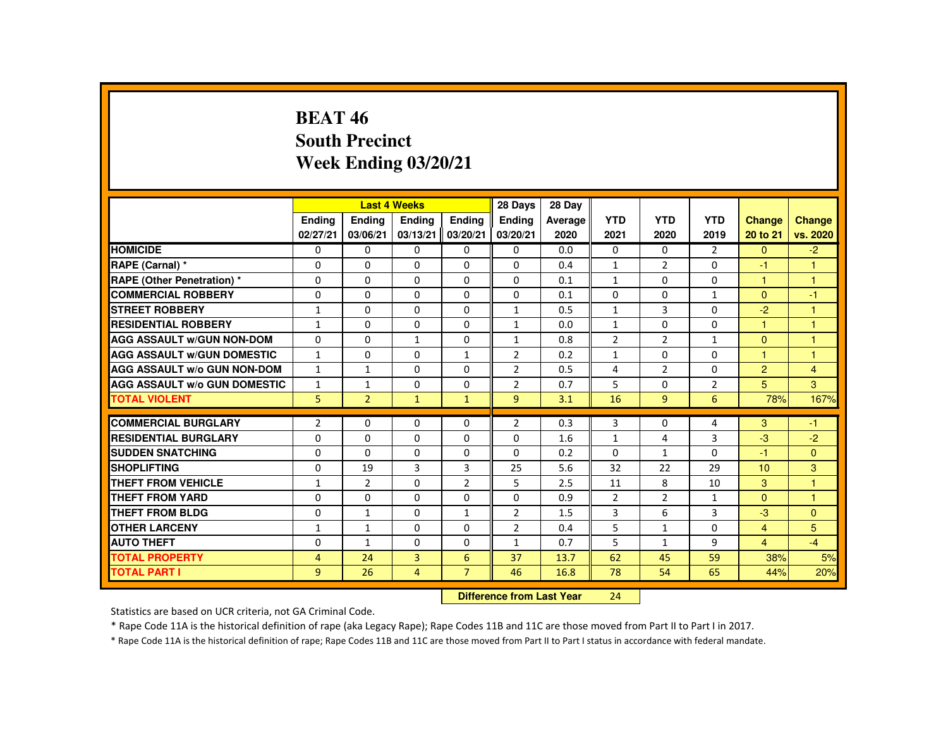## **BEAT 46 South PrecinctWeek Ending 03/20/21**

|                                     |                |                | <b>Last 4 Weeks</b> |                | 28 Days        | 28 Day  |                |                |                |                |                |
|-------------------------------------|----------------|----------------|---------------------|----------------|----------------|---------|----------------|----------------|----------------|----------------|----------------|
|                                     | Ending         | Ending         | Ending              | Ending         | <b>Ending</b>  | Average | <b>YTD</b>     | <b>YTD</b>     | <b>YTD</b>     | <b>Change</b>  | Change         |
|                                     | 02/27/21       | 03/06/21       | 03/13/21            | 03/20/21       | 03/20/21       | 2020    | 2021           | 2020           | 2019           | 20 to 21       | vs. 2020       |
| <b>HOMICIDE</b>                     | 0              | $\Omega$       | $\Omega$            | $\Omega$       | 0              | 0.0     | 0              | $\Omega$       | $\overline{2}$ | $\Omega$       | $-2$           |
| RAPE (Carnal) *                     | 0              | $\Omega$       | $\Omega$            | $\Omega$       | $\Omega$       | 0.4     | $\mathbf{1}$   | $\overline{2}$ | $\Omega$       | -1             |                |
| <b>RAPE (Other Penetration) *</b>   | $\Omega$       | $\Omega$       | $\Omega$            | $\Omega$       | $\Omega$       | 0.1     | $\mathbf{1}$   | $\Omega$       | $\Omega$       | 1              | $\overline{1}$ |
| <b>COMMERCIAL ROBBERY</b>           | $\Omega$       | $\Omega$       | $\Omega$            | $\Omega$       | $\Omega$       | 0.1     | $\Omega$       | $\Omega$       | $\mathbf{1}$   | $\Omega$       | $-1$           |
| <b>STREET ROBBERY</b>               | $\mathbf{1}$   | $\Omega$       | $\Omega$            | $\Omega$       | $\mathbf{1}$   | 0.5     | $\mathbf{1}$   | $\mathbf{3}$   | $\Omega$       | $-2$           | $\mathbf{1}$   |
| <b>RESIDENTIAL ROBBERY</b>          | $\mathbf{1}$   | $\Omega$       | $\mathbf{0}$        | 0              | $\mathbf{1}$   | 0.0     | $\mathbf{1}$   | 0              | $\Omega$       | 1              | 1              |
| <b>AGG ASSAULT W/GUN NON-DOM</b>    | $\Omega$       | $\Omega$       | $\mathbf{1}$        | $\Omega$       | $\mathbf{1}$   | 0.8     | $\overline{2}$ | $\overline{2}$ | $\mathbf{1}$   | $\Omega$       | $\overline{1}$ |
| <b>AGG ASSAULT W/GUN DOMESTIC</b>   | $\mathbf{1}$   | $\mathbf{0}$   | $\Omega$            | $\mathbf{1}$   | $\overline{2}$ | 0.2     | $\mathbf{1}$   | 0              | $\Omega$       | 1              | $\mathbf{1}$   |
| <b>AGG ASSAULT W/o GUN NON-DOM</b>  | $\mathbf{1}$   | $\mathbf{1}$   | $\Omega$            | $\Omega$       | 2              | 0.5     | 4              | $\overline{2}$ | $\Omega$       | $\overline{2}$ | $\overline{4}$ |
| <b>AGG ASSAULT W/o GUN DOMESTIC</b> | $\mathbf{1}$   | $\mathbf{1}$   | $\Omega$            | $\Omega$       | $\overline{2}$ | 0.7     | 5              | $\Omega$       | $\overline{2}$ | 5              | 3              |
| <b>TOTAL VIOLENT</b>                | 5              | 2 <sup>1</sup> | $\mathbf{1}$        | $\mathbf{1}$   | $\overline{9}$ | 3.1     | 16             | $\overline{9}$ | 6              | 78%            | 167%           |
| <b>COMMERCIAL BURGLARY</b>          | $\overline{2}$ | $\Omega$       | $\Omega$            | $\Omega$       | $\overline{2}$ | 0.3     | 3              | $\Omega$       | 4              | 3              | $-1$           |
| <b>RESIDENTIAL BURGLARY</b>         | $\Omega$       | $\Omega$       | $\Omega$            | $\Omega$       | $\Omega$       |         |                |                |                | $-3$           |                |
| <b>SUDDEN SNATCHING</b>             |                |                |                     |                |                | 1.6     | $\mathbf{1}$   | 4              | 3              |                | $-2$           |
|                                     | $\mathbf{0}$   | $\Omega$       | $\mathbf{0}$        | $\Omega$       | 0              | 0.2     | 0              | $\mathbf{1}$   | 0              | $-1$           | $\mathbf{0}$   |
| <b>SHOPLIFTING</b>                  | $\Omega$       | 19             | 3                   | 3              | 25             | 5.6     | 32             | 22             | 29             | 10             | 3              |
| <b>THEFT FROM VEHICLE</b>           | $\mathbf{1}$   | $\overline{2}$ | $\Omega$            | $\overline{2}$ | 5              | 2.5     | 11             | 8              | 10             | 3              | $\mathbf{1}$   |
| <b>THEFT FROM YARD</b>              | $\Omega$       | $\Omega$       | $\Omega$            | $\Omega$       | $\Omega$       | 0.9     | $\overline{2}$ | $\overline{2}$ | $\mathbf{1}$   | $\Omega$       | $\mathbf{1}$   |
| <b>THEFT FROM BLDG</b>              | 0              | $\mathbf{1}$   | $\Omega$            | $\mathbf{1}$   | 2              | 1.5     | 3              | 6              | 3              | $-3$           | $\mathbf{0}$   |
| <b>OTHER LARCENY</b>                | 1              | $\mathbf{1}$   | $\Omega$            | $\Omega$       | $\overline{2}$ | 0.4     | 5              | $\mathbf{1}$   | $\Omega$       | $\overline{4}$ | 5              |
| <b>AUTO THEFT</b>                   | $\Omega$       | $\mathbf{1}$   | $\Omega$            | $\Omega$       | $\mathbf{1}$   | 0.7     | 5              | $\mathbf{1}$   | 9              | $\overline{4}$ | $-4$           |
| <b>TOTAL PROPERTY</b>               | $\overline{4}$ | 24             | $\overline{3}$      | 6              | 37             | 13.7    | 62             | 45             | 59             | 38%            | 5%             |
| <b>TOTAL PART I</b>                 | 9              | 26             | $\overline{4}$      | $\overline{7}$ | 46             | 16.8    | 78             | 54             | 65             | 44%            | 20%            |
|                                     |                |                |                     |                |                |         |                |                |                |                |                |

 **Difference from Last Year**<sup>24</sup>

Statistics are based on UCR criteria, not GA Criminal Code.

\* Rape Code 11A is the historical definition of rape (aka Legacy Rape); Rape Codes 11B and 11C are those moved from Part II to Part I in 2017.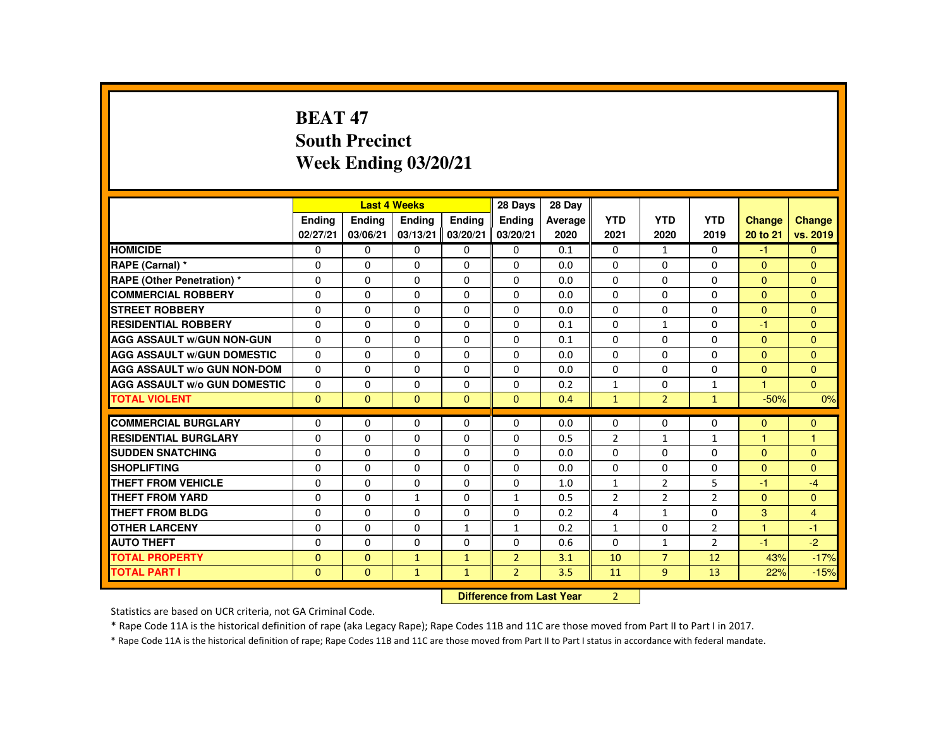# **BEAT 47 South PrecinctWeek Ending 03/20/21**

|                                            |                          |                      | <b>Last 4 Weeks</b>              |               | 28 Days        | 28 Day     |                |                                |                |                |                |
|--------------------------------------------|--------------------------|----------------------|----------------------------------|---------------|----------------|------------|----------------|--------------------------------|----------------|----------------|----------------|
|                                            | <b>Endina</b>            | <b>Endina</b>        | <b>Endina</b>                    | <b>Endina</b> | <b>Endina</b>  | Average    | <b>YTD</b>     | <b>YTD</b>                     | <b>YTD</b>     | <b>Change</b>  | <b>Change</b>  |
|                                            | 02/27/21                 | 03/06/21             | 03/13/21                         | 03/20/21      | 03/20/21       | 2020       | 2021           | 2020                           | 2019           | 20 to 21       | vs. 2019       |
| <b>HOMICIDE</b>                            | $\Omega$                 | $\mathbf{0}$         | $\mathbf{0}$                     | $\mathbf{0}$  | 0              | 0.1        | 0              | $\mathbf{1}$                   | $\Omega$       | $-1$           | $\mathbf{0}$   |
| RAPE (Carnal) *                            | $\Omega$                 | $\Omega$             | $\Omega$                         | $\Omega$      | $\Omega$       | 0.0        | $\Omega$       | $\Omega$                       | $\Omega$       | $\Omega$       | $\Omega$       |
| <b>RAPE (Other Penetration) *</b>          | $\Omega$                 | $\Omega$             | $\Omega$                         | $\Omega$      | $\Omega$       | 0.0        | $\Omega$       | $\Omega$                       | $\Omega$       | $\Omega$       | $\Omega$       |
| <b>COMMERCIAL ROBBERY</b>                  | $\Omega$                 | $\Omega$             | $\Omega$                         | $\Omega$      | $\Omega$       | 0.0        | $\Omega$       | $\Omega$                       | $\Omega$       | $\Omega$       | $\Omega$       |
| <b>STREET ROBBERY</b>                      | $\Omega$                 | $\Omega$             | $\Omega$                         | $\Omega$      | $\Omega$       | 0.0        | $\Omega$       | $\Omega$                       | $\Omega$       | $\Omega$       | $\Omega$       |
| <b>RESIDENTIAL ROBBERY</b>                 | $\Omega$                 | $\Omega$             | $\Omega$                         | $\Omega$      | $\Omega$       | 0.1        | $\Omega$       | $\mathbf{1}$                   | $\Omega$       | $-1$           | $\Omega$       |
| <b>AGG ASSAULT W/GUN NON-GUN</b>           | $\Omega$                 | $\Omega$             | $\Omega$                         | $\Omega$      | $\Omega$       | 0.1        | $\Omega$       | $\Omega$                       | $\Omega$       | $\Omega$       | $\Omega$       |
| <b>AGG ASSAULT W/GUN DOMESTIC</b>          | $\Omega$                 | $\Omega$             | $\Omega$                         | $\Omega$      | $\Omega$       | 0.0        | $\Omega$       | $\Omega$                       | $\Omega$       | $\Omega$       | $\Omega$       |
| <b>AGG ASSAULT W/o GUN NON-DOM</b>         | $\Omega$                 | $\Omega$             | $\Omega$                         | $\Omega$      | 0              | 0.0        | 0              | 0                              | 0              | $\mathbf{0}$   | $\Omega$       |
| <b>AGG ASSAULT W/o GUN DOMESTIC</b>        | $\Omega$                 | 0                    | $\Omega$                         | 0             | 0              | 0.2        | $\mathbf{1}$   | 0                              | $\mathbf{1}$   | $\overline{1}$ | $\overline{0}$ |
| <b>TOTAL VIOLENT</b>                       | $\Omega$                 | $\Omega$             | $\Omega$                         | $\Omega$      | $\Omega$       | 0.4        | $\mathbf{1}$   | $\overline{2}$                 | $\mathbf{1}$   | $-50%$         | 0%             |
| <b>COMMERCIAL BURGLARY</b>                 | $\mathbf{0}$             | $\Omega$             | $\Omega$                         | $\Omega$      | $\Omega$       | 0.0        | $\Omega$       | $\Omega$                       | $\Omega$       | $\mathbf{0}$   | $\mathbf{0}$   |
| <b>RESIDENTIAL BURGLARY</b>                | $\mathbf{0}$             | $\Omega$             | $\Omega$                         | $\Omega$      | $\Omega$       | 0.5        | $\overline{2}$ | $\mathbf{1}$                   | $\mathbf{1}$   | 1              | $\mathbf{1}$   |
| <b>SUDDEN SNATCHING</b>                    | $\Omega$                 | $\Omega$             | $\Omega$                         | $\Omega$      | $\Omega$       | 0.0        | $\Omega$       | $\Omega$                       | $\Omega$       | $\Omega$       | $\Omega$       |
| <b>SHOPLIFTING</b>                         | $\mathbf 0$              | $\Omega$             | $\Omega$                         | $\Omega$      | 0              | 0.0        | $\Omega$       | 0                              | $\Omega$       | $\mathbf{0}$   | $\Omega$       |
| <b>THEFT FROM VEHICLE</b>                  | $\Omega$                 | $\Omega$             | $\Omega$                         | $\Omega$      | $\Omega$       | 1.0        | $\mathbf{1}$   | $\overline{2}$                 | 5              | -1             | $-4$           |
| <b>THEFT FROM YARD</b>                     | $\Omega$                 | $\Omega$             | $\mathbf{1}$                     | $\Omega$      | $\mathbf{1}$   | 0.5        | $\overline{2}$ | $\overline{2}$                 | $\overline{2}$ | $\Omega$       | $\overline{0}$ |
| <b>THEFT FROM BLDG</b>                     | $\Omega$                 | $\Omega$             | $\Omega$                         | $\Omega$      | $\Omega$       | 0.2        | 4              | $\mathbf{1}$                   | $\Omega$       | 3              | $\overline{4}$ |
| <b>OTHER LARCENY</b>                       | $\mathbf{0}$             | $\Omega$             | $\Omega$                         | $\mathbf{1}$  | $\mathbf{1}$   | 0.2        | $\mathbf{1}$   | $\Omega$                       | $\overline{2}$ | 1              | $-1$           |
|                                            |                          |                      |                                  | $\Omega$      |                |            | $\Omega$       |                                |                |                |                |
| <b>AUTO THEFT</b><br><b>TOTAL PROPERTY</b> | $\Omega$<br>$\mathbf{0}$ | $\Omega$<br>$\Omega$ | $\Omega$                         |               | $\Omega$       | 0.6<br>3.1 |                | $\mathbf{1}$<br>$\overline{7}$ | $\overline{2}$ | $-1$           | $-2$<br>$-17%$ |
|                                            |                          |                      | $\mathbf{1}$                     | $\mathbf{1}$  | $\overline{2}$ |            | 10             |                                | 12             | 43%            |                |
| <b>TOTAL PART I</b>                        | $\mathbf{0}$             | $\Omega$             | $\mathbf{1}$                     | $\mathbf{1}$  | $\overline{2}$ | 3.5        | 11             | $\overline{9}$                 | 13             | 22%            | $-15%$         |
|                                            |                          |                      | <b>Difference from Last Year</b> |               | $\overline{2}$ |            |                |                                |                |                |                |

 **Difference from Last Year**

Statistics are based on UCR criteria, not GA Criminal Code.

\* Rape Code 11A is the historical definition of rape (aka Legacy Rape); Rape Codes 11B and 11C are those moved from Part II to Part I in 2017.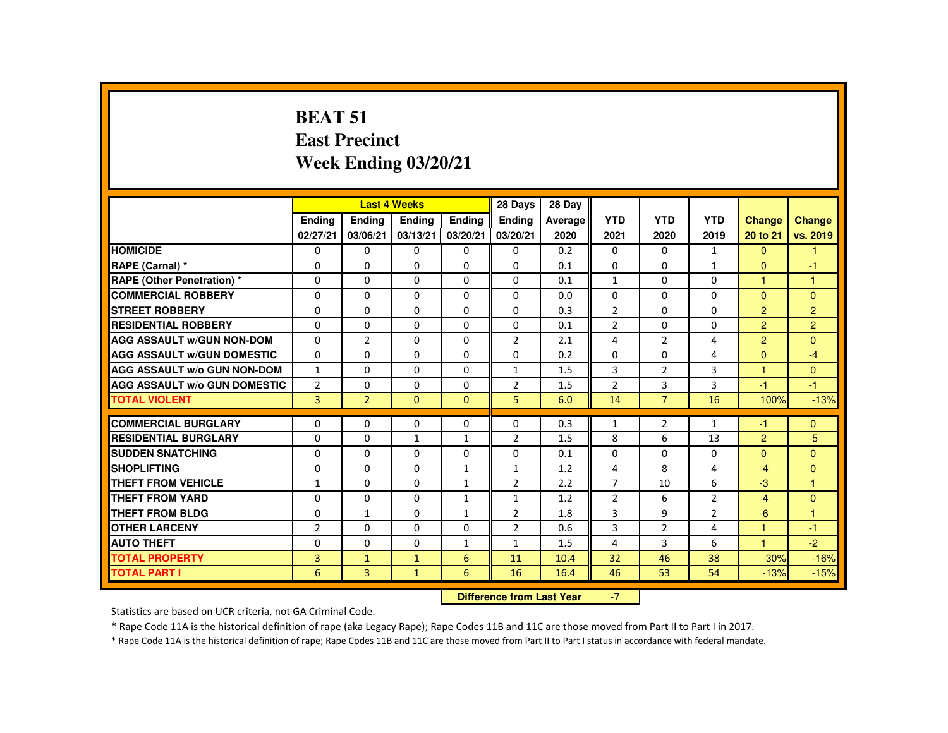# **BEAT 51 East PrecinctWeek Ending 03/20/21**

|                                     |                           |                                  | <b>Last 4 Weeks</b> |                           | 28 Days                   | 28 Day          |                    |                    |                    |                           |                           |
|-------------------------------------|---------------------------|----------------------------------|---------------------|---------------------------|---------------------------|-----------------|--------------------|--------------------|--------------------|---------------------------|---------------------------|
|                                     | <b>Endina</b><br>02/27/21 | Ending<br>03/06/21               | Ending<br>03/13/21  | <b>Endina</b><br>03/20/21 | <b>Ending</b><br>03/20/21 | Average<br>2020 | <b>YTD</b><br>2021 | <b>YTD</b><br>2020 | <b>YTD</b><br>2019 | <b>Change</b><br>20 to 21 | <b>Change</b><br>vs. 2019 |
| <b>HOMICIDE</b>                     | $\Omega$                  | $\Omega$                         | 0                   | 0                         | 0                         | 0.2             | 0                  | $\Omega$           | $\mathbf{1}$       | $\Omega$                  | $-1$                      |
| RAPE (Carnal) *                     | $\Omega$                  | $\Omega$                         | $\Omega$            | $\Omega$                  | $\Omega$                  | 0.1             | $\Omega$           | $\Omega$           | $\mathbf{1}$       | $\Omega$                  | -1                        |
| <b>RAPE (Other Penetration) *</b>   | $\Omega$                  | $\Omega$                         | $\Omega$            | $\Omega$                  | $\Omega$                  | 0.1             | $\mathbf{1}$       | $\Omega$           | $\Omega$           | $\mathbf{1}$              | $\overline{1}$            |
| <b>COMMERCIAL ROBBERY</b>           | $\Omega$                  | $\Omega$                         | $\Omega$            | $\Omega$                  | $\Omega$                  | 0.0             | $\Omega$           | $\Omega$           | $\Omega$           | $\Omega$                  | $\Omega$                  |
| <b>STREET ROBBERY</b>               | 0                         | 0                                | 0                   | 0                         | 0                         | 0.3             | $\overline{2}$     | 0                  | 0                  | 2                         | $\overline{2}$            |
| <b>RESIDENTIAL ROBBERY</b>          | 0                         | $\Omega$                         | $\Omega$            | $\Omega$                  | $\Omega$                  | 0.1             | $\overline{2}$     | $\Omega$           | $\Omega$           | $\overline{2}$            | $\overline{2}$            |
| <b>AGG ASSAULT W/GUN NON-DOM</b>    | $\Omega$                  | $\overline{2}$                   | $\Omega$            | $\Omega$                  | $\overline{2}$            | 2.1             | 4                  | $\overline{2}$     | 4                  | $\overline{2}$            | $\mathbf{0}$              |
| <b>AGG ASSAULT W/GUN DOMESTIC</b>   | $\Omega$                  | $\Omega$                         | $\Omega$            | $\Omega$                  | $\Omega$                  | 0.2             | $\Omega$           | $\Omega$           | 4                  | $\Omega$                  | $-4$                      |
| <b>AGG ASSAULT W/o GUN NON-DOM</b>  | $\mathbf{1}$              | $\Omega$                         | $\Omega$            | $\Omega$                  | $\mathbf{1}$              | 1.5             | 3                  | 2                  | 3                  | $\mathbf{1}$              | $\Omega$                  |
| <b>AGG ASSAULT W/o GUN DOMESTIC</b> | $\overline{2}$            | $\Omega$                         | $\Omega$            | $\Omega$                  | $\overline{2}$            | 1.5             | $\overline{2}$     | 3                  | 3                  | $-1$                      | $-1$                      |
| <b>TOTAL VIOLENT</b>                | 3                         | $\overline{2}$                   | $\mathbf{0}$        | $\Omega$                  | 5                         | 6.0             | 14                 | $\overline{7}$     | 16                 | 100%                      | $-13%$                    |
| <b>COMMERCIAL BURGLARY</b>          | $\Omega$                  | $\Omega$                         | $\Omega$            | $\Omega$                  | $\Omega$                  | 0.3             | $\mathbf{1}$       | 2                  | $\mathbf{1}$       | $-1$                      | $\mathbf{0}$              |
| <b>RESIDENTIAL BURGLARY</b>         | $\Omega$                  | $\Omega$                         | $\mathbf{1}$        | $\mathbf{1}$              | $\overline{2}$            | 1.5             | 8                  | 6                  | 13                 | 2                         | $-5$                      |
| <b>SUDDEN SNATCHING</b>             | $\Omega$                  | $\Omega$                         | $\Omega$            | 0                         | $\Omega$                  | 0.1             | 0                  | $\Omega$           | 0                  | $\Omega$                  | $\mathbf{0}$              |
| <b>SHOPLIFTING</b>                  | 0                         | $\Omega$                         | $\Omega$            | $\mathbf{1}$              | 1                         | 1.2             | 4                  | 8                  | 4                  | $-4$                      | $\Omega$                  |
| <b>THEFT FROM VEHICLE</b>           | $\mathbf{1}$              | $\Omega$                         | $\Omega$            | $\mathbf{1}$              | $\overline{2}$            | 2.2             | $\overline{7}$     | 10                 | 6                  | $-3$                      | $\mathbf{1}$              |
| <b>THEFT FROM YARD</b>              | $\Omega$                  | $\Omega$                         | $\Omega$            | $\mathbf{1}$              | $\mathbf{1}$              | 1.2             | $\overline{2}$     | 6                  | $\overline{2}$     | $-4$                      | $\mathbf{0}$              |
| <b>THEFT FROM BLDG</b>              | $\Omega$                  | $\mathbf{1}$                     | $\Omega$            | $\mathbf{1}$              | $\overline{2}$            | 1.8             | 3                  | 9                  | $\overline{2}$     | $-6$                      | $\overline{1}$            |
| <b>OTHER LARCENY</b>                | $\overline{2}$            | $\Omega$                         | $\Omega$            | 0                         | $\overline{2}$            | 0.6             | 3                  | 2                  | 4                  | $\overline{1}$            | $-1$                      |
| <b>AUTO THEFT</b>                   | $\Omega$                  | $\Omega$                         | $\Omega$            | $\mathbf{1}$              | $\mathbf{1}$              | 1.5             | 4                  | 3                  | 6                  | $\blacktriangleleft$      | $-2$                      |
| <b>TOTAL PROPERTY</b>               | 3                         | $\mathbf{1}$                     | $\mathbf{1}$        | 6                         | 11                        | 10.4            | 32                 | 46                 | 38                 | $-30%$                    | $-16%$                    |
| <b>TOTAL PART I</b>                 | 6                         | 3                                | $\mathbf{1}$        | 6                         | 16                        | 16.4            | 46                 | 53                 | 54                 | $-13%$                    | $-15%$                    |
|                                     |                           | <b>Difference from Last Year</b> |                     | $-7$                      |                           |                 |                    |                    |                    |                           |                           |

Statistics are based on UCR criteria, not GA Criminal Code.

\* Rape Code 11A is the historical definition of rape (aka Legacy Rape); Rape Codes 11B and 11C are those moved from Part II to Part I in 2017.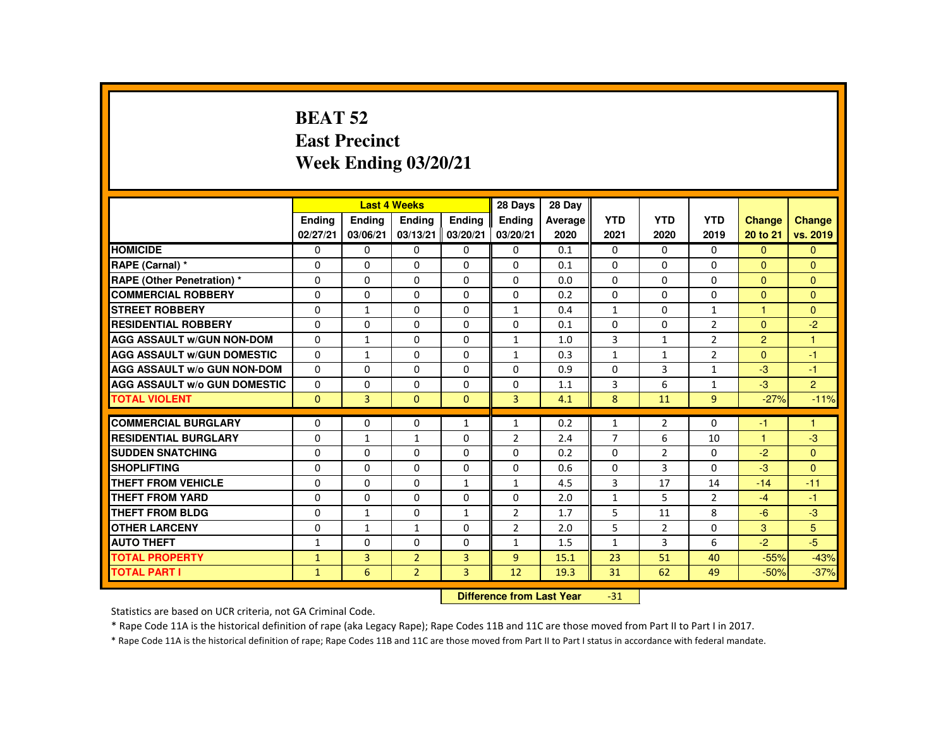#### **BEAT 52 East PrecinctWeek Ending 03/20/21**

|                                     |               |                | <b>Last 4 Weeks</b> |                | 28 Days                   | 28 Day  |                |                |                |                      |                |
|-------------------------------------|---------------|----------------|---------------------|----------------|---------------------------|---------|----------------|----------------|----------------|----------------------|----------------|
|                                     | <b>Endina</b> | <b>Endina</b>  | Ending              | <b>Endina</b>  | <b>Endina</b>             | Average | <b>YTD</b>     | <b>YTD</b>     | <b>YTD</b>     | <b>Change</b>        | Change         |
|                                     | 02/27/21      | 03/06/21       | 03/13/21            | 03/20/21       | 03/20/21                  | 2020    | 2021           | 2020           | 2019           | 20 to 21             | vs. 2019       |
| <b>HOMICIDE</b>                     | $\Omega$      | 0              | 0                   | $\Omega$       | 0                         | 0.1     | 0              | $\Omega$       | $\Omega$       | $\Omega$             | $\mathbf{0}$   |
| RAPE (Carnal) *                     | 0             | $\Omega$       | $\Omega$            | $\Omega$       | $\Omega$                  | 0.1     | $\Omega$       | 0              | $\Omega$       | $\Omega$             | $\mathbf{0}$   |
| <b>RAPE (Other Penetration) *</b>   | $\Omega$      | $\Omega$       | $\Omega$            | $\Omega$       | $\Omega$                  | 0.0     | $\Omega$       | $\Omega$       | $\Omega$       | $\Omega$             | $\Omega$       |
| <b>COMMERCIAL ROBBERY</b>           | $\Omega$      | $\Omega$       | $\Omega$            | $\Omega$       | $\Omega$                  | 0.2     | $\Omega$       | $\Omega$       | $\Omega$       | $\Omega$             | $\Omega$       |
| <b>STREET ROBBERY</b>               | $\Omega$      | $\mathbf{1}$   | $\Omega$            | $\Omega$       | $\mathbf{1}$              | 0.4     | $\mathbf{1}$   | $\Omega$       | $\mathbf{1}$   | $\blacktriangleleft$ | $\Omega$       |
| <b>RESIDENTIAL ROBBERY</b>          | 0             | 0              | 0                   | 0              | 0                         | 0.1     | $\Omega$       | 0              | $\overline{2}$ | $\Omega$             | $-2$           |
| <b>AGG ASSAULT W/GUN NON-DOM</b>    | $\Omega$      | $\mathbf{1}$   | $\Omega$            | $\Omega$       | $\mathbf{1}$              | 1.0     | 3              | $\mathbf{1}$   | $\overline{2}$ | $\overline{2}$       | $\overline{1}$ |
| <b>AGG ASSAULT W/GUN DOMESTIC</b>   | $\Omega$      | $\mathbf{1}$   | $\Omega$            | $\Omega$       | $\mathbf{1}$              | 0.3     | $\mathbf{1}$   | $\mathbf{1}$   | $\overline{2}$ | $\Omega$             | $-1$           |
| <b>AGG ASSAULT W/o GUN NON-DOM</b>  | $\Omega$      | $\Omega$       | $\Omega$            | $\Omega$       | $\Omega$                  | 0.9     | $\Omega$       | $\overline{3}$ | $\mathbf{1}$   | $-3$                 | $-1$           |
| <b>AGG ASSAULT W/o GUN DOMESTIC</b> | $\Omega$      | $\Omega$       | $\Omega$            | $\Omega$       | $\Omega$                  | 1.1     | 3              | 6              | $\mathbf{1}$   | $-3$                 | $\overline{2}$ |
| <b>TOTAL VIOLENT</b>                | $\mathbf{0}$  | 3              | $\mathbf{0}$        | $\mathbf{0}$   | 3                         | 4.1     | 8              | 11             | 9              | $-27%$               | $-11%$         |
| <b>COMMERCIAL BURGLARY</b>          | 0             | $\Omega$       | $\Omega$            | $\mathbf{1}$   | 1                         | 0.2     | $\mathbf{1}$   | $\overline{2}$ | $\Omega$       | -1                   | 1              |
|                                     |               |                |                     |                |                           |         |                |                |                |                      |                |
| <b>RESIDENTIAL BURGLARY</b>         | $\Omega$      | $\mathbf{1}$   | $\mathbf{1}$        | $\Omega$       | $\overline{2}$            | 2.4     | $\overline{7}$ | 6              | 10             | $\blacktriangleleft$ | $-3$           |
| <b>SUDDEN SNATCHING</b>             | 0             | 0              | 0                   | 0              | 0                         | 0.2     | 0              | $\overline{2}$ | 0              | $-2$                 | $\Omega$       |
| <b>SHOPLIFTING</b>                  | 0             | $\Omega$       | $\Omega$            | $\Omega$       | $\Omega$                  | 0.6     | $\Omega$       | 3              | $\Omega$       | $-3$                 | $\Omega$       |
| <b>THEFT FROM VEHICLE</b>           | $\Omega$      | $\Omega$       | $\Omega$            | $\mathbf{1}$   | $\mathbf{1}$              | 4.5     | 3              | 17             | 14             | $-14$                | $-11$          |
| <b>THEFT FROM YARD</b>              | $\Omega$      | $\Omega$       | $\Omega$            | $\Omega$       | $\Omega$                  | 2.0     | $\mathbf{1}$   | 5              | $\overline{2}$ | $-4$                 | $-1$           |
| THEFT FROM BLDG                     | 0             | $\mathbf{1}$   | $\Omega$            | 1              | $\overline{2}$            | 1.7     | 5              | 11             | 8              | $-6$                 | $-3$           |
| <b>OTHER LARCENY</b>                | $\Omega$      | $\mathbf{1}$   | 1                   | $\Omega$       | $\overline{2}$            | 2.0     | 5              | 2              | $\Omega$       | 3                    | 5              |
| <b>AUTO THEFT</b>                   | $\mathbf{1}$  | $\Omega$       | $\Omega$            | $\Omega$       | $\mathbf{1}$              | 1.5     | $\mathbf{1}$   | 3              | 6              | $-2$                 | $-5$           |
| <b>TOTAL PROPERTY</b>               | $\mathbf{1}$  | $\overline{3}$ | $\overline{2}$      | 3              | $\overline{9}$            | 15.1    | 23             | 51             | 40             | $-55%$               | $-43%$         |
| <b>TOTAL PART I</b>                 | $\mathbf{1}$  | 6              | $\overline{2}$      | $\overline{3}$ | 12                        | 19.3    | 31             | 62             | 49             | $-50%$               | $-37%$         |
|                                     |               |                |                     |                | Difference from Leat Vacu |         | 24.            |                |                |                      |                |

 **Difference from Last Year**-31

Statistics are based on UCR criteria, not GA Criminal Code.

\* Rape Code 11A is the historical definition of rape (aka Legacy Rape); Rape Codes 11B and 11C are those moved from Part II to Part I in 2017.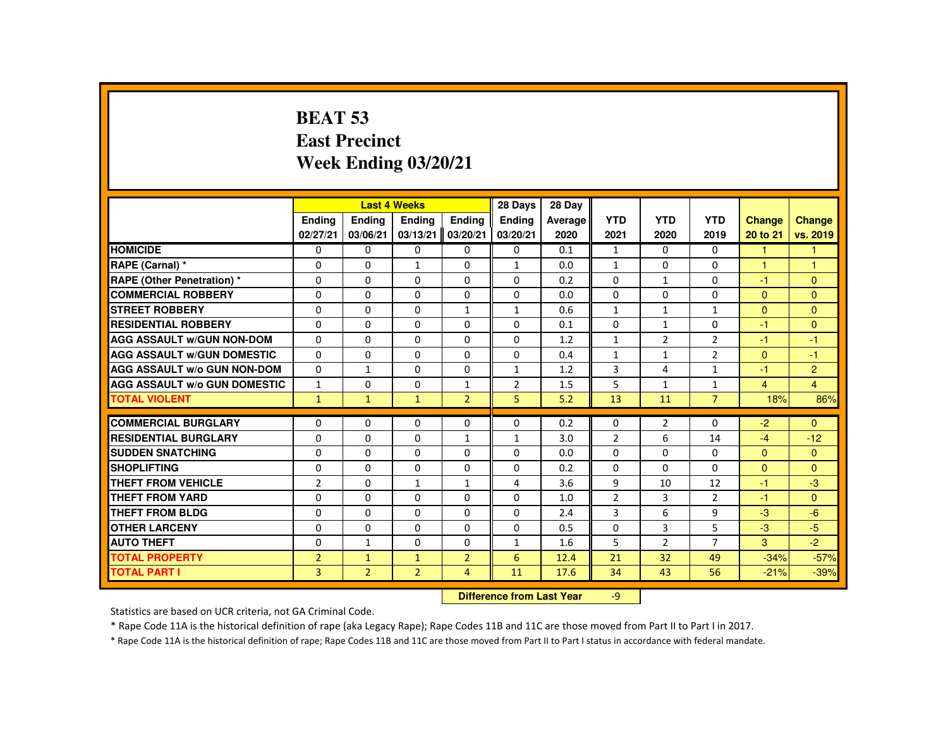# **BEAT 53 East PrecinctWeek Ending 03/20/21**

|                                     |                |                       | <b>Last 4 Weeks</b> |                | 28 Days        | 28 Day                    |                |                |                |                |                |
|-------------------------------------|----------------|-----------------------|---------------------|----------------|----------------|---------------------------|----------------|----------------|----------------|----------------|----------------|
|                                     | <b>Endina</b>  | <b>Ending</b>         | <b>Ending</b>       | Ending         | <b>Endina</b>  | Average                   | <b>YTD</b>     | <b>YTD</b>     | <b>YTD</b>     | <b>Change</b>  | Change         |
|                                     | 02/27/21       | 03/06/21              | 03/13/21            | 03/20/21       | 03/20/21       | 2020                      | 2021           | 2020           | 2019           | 20 to 21       | vs. 2019       |
| <b>HOMICIDE</b>                     | $\Omega$       | $\Omega$              | $\Omega$            | $\Omega$       | 0              | 0.1                       | $\mathbf{1}$   | $\Omega$       | $\Omega$       | $\mathbf{1}$   | $\mathbf{1}$   |
| RAPE (Carnal) *                     | $\mathbf{0}$   | $\Omega$              | $\mathbf{1}$        | $\Omega$       | $\mathbf{1}$   | 0.0                       | $\mathbf{1}$   | 0              | $\Omega$       | 1              | $\mathbf{1}$   |
| RAPE (Other Penetration) *          | $\Omega$       | $\Omega$              | $\Omega$            | $\Omega$       | $\Omega$       | 0.2                       | $\Omega$       | 1              | $\Omega$       | $-1$           | $\Omega$       |
| <b>COMMERCIAL ROBBERY</b>           | $\Omega$       | $\Omega$              | $\Omega$            | $\Omega$       | 0              | 0.0                       | 0              | $\Omega$       | 0              | $\overline{0}$ | $\mathbf{0}$   |
| <b>STREET ROBBERY</b>               | $\Omega$       | $\Omega$              | $\Omega$            | $\mathbf{1}$   | $\mathbf{1}$   | 0.6                       | $\mathbf{1}$   | $\mathbf{1}$   | $\mathbf{1}$   | $\Omega$       | $\Omega$       |
| <b>RESIDENTIAL ROBBERY</b>          | $\mathbf{0}$   | $\Omega$              | $\mathbf{0}$        | 0              | 0              | 0.1                       | 0              | 1              | 0              | -1             | $\mathbf{0}$   |
| <b>AGG ASSAULT w/GUN NON-DOM</b>    | $\Omega$       | $\Omega$              | $\Omega$            | $\Omega$       | $\Omega$       | 1.2                       | $\mathbf{1}$   | $\overline{2}$ | $\overline{2}$ | -1             | $-1$           |
| <b>AGG ASSAULT W/GUN DOMESTIC</b>   | $\Omega$       | $\Omega$              | $\Omega$            | $\Omega$       | $\Omega$       | 0.4                       | $\mathbf{1}$   | $\mathbf{1}$   | $\overline{2}$ | $\Omega$       | $-1$           |
| AGG ASSAULT w/o GUN NON-DOM         | $\Omega$       | $\mathbf{1}$          | $\Omega$            | $\Omega$       | $\mathbf{1}$   | 1.2                       | 3              | 4              | $\mathbf{1}$   | $-1$           | $\overline{2}$ |
| <b>AGG ASSAULT W/o GUN DOMESTIC</b> | $\mathbf{1}$   | $\Omega$              | $\mathbf{0}$        | $\mathbf{1}$   | $\overline{2}$ | 1.5                       | 5              | $\mathbf{1}$   | $\mathbf{1}$   | $\overline{4}$ | $\overline{4}$ |
| <b>TOTAL VIOLENT</b>                | $\mathbf{1}$   | $\mathbf{\mathbf{1}}$ | $\mathbf{1}$        | 2 <sup>1</sup> | 5              | 5.2                       | 13             | 11             | $\overline{7}$ | 18%            | 86%            |
| <b>COMMERCIAL BURGLARY</b>          | $\Omega$       | $\Omega$              | $\Omega$            | $\Omega$       | $\Omega$       | 0.2                       | $\Omega$       | $\overline{2}$ | $\Omega$       | $-2$           | $\Omega$       |
| <b>RESIDENTIAL BURGLARY</b>         | 0              | $\Omega$              | $\Omega$            | $\mathbf{1}$   | $\mathbf{1}$   | 3.0                       | $\overline{2}$ | 6              | 14             | $-4$           | $-12$          |
| <b>SUDDEN SNATCHING</b>             | $\Omega$       | $\Omega$              | $\Omega$            | $\Omega$       | $\Omega$       | 0.0                       | $\Omega$       | $\Omega$       | $\Omega$       | $\mathbf{0}$   | $\mathbf{0}$   |
| <b>SHOPLIFTING</b>                  | $\Omega$       | $\Omega$              | $\Omega$            | $\Omega$       | $\Omega$       | 0.2                       | $\Omega$       | $\Omega$       | $\Omega$       | $\Omega$       | $\Omega$       |
| <b>THEFT FROM VEHICLE</b>           | $\overline{2}$ | $\Omega$              | $\mathbf{1}$        | $\mathbf{1}$   | 4              | 3.6                       | 9              | 10             | 12             | $-1$           | $-3$           |
| <b>THEFT FROM YARD</b>              | $\Omega$       | $\Omega$              | $\Omega$            | $\Omega$       | $\Omega$       | 1.0                       | $\overline{2}$ | 3              | $\overline{2}$ | $-1$           | $\Omega$       |
| <b>THEFT FROM BLDG</b>              | $\mathbf{0}$   | $\Omega$              | $\mathbf{0}$        | $\mathbf{0}$   | 0              | 2.4                       | 3              | 6              | 9              | $-3$           | $-6$           |
| <b>OTHER LARCENY</b>                | $\Omega$       | $\Omega$              | $\Omega$            | $\Omega$       | $\Omega$       | 0.5                       | $\Omega$       | 3              | 5              | $-3$           | $-5$           |
| <b>AUTO THEFT</b>                   | $\Omega$       | $\mathbf{1}$          | $\Omega$            | $\Omega$       | $\mathbf{1}$   | 1.6                       | 5              | $\overline{2}$ | $\overline{7}$ | 3              | $-2$           |
| <b>TOTAL PROPERTY</b>               | $\overline{2}$ | $\mathbf{1}$          | $\mathbf{1}$        | $\overline{2}$ | 6              | 12.4                      | 21             | 32             | 49             | $-34%$         | $-57%$         |
| <b>TOTAL PART I</b>                 | 3              | $\overline{2}$        | $\overline{2}$      | $\overline{4}$ | 11             | 17.6                      | 34             | 43             | 56             | $-21%$         | $-39%$         |
|                                     |                |                       |                     |                |                | Difference from Loot Voor |                |                |                |                |                |

 **Difference from Last Year**r -9

Statistics are based on UCR criteria, not GA Criminal Code.

\* Rape Code 11A is the historical definition of rape (aka Legacy Rape); Rape Codes 11B and 11C are those moved from Part II to Part I in 2017.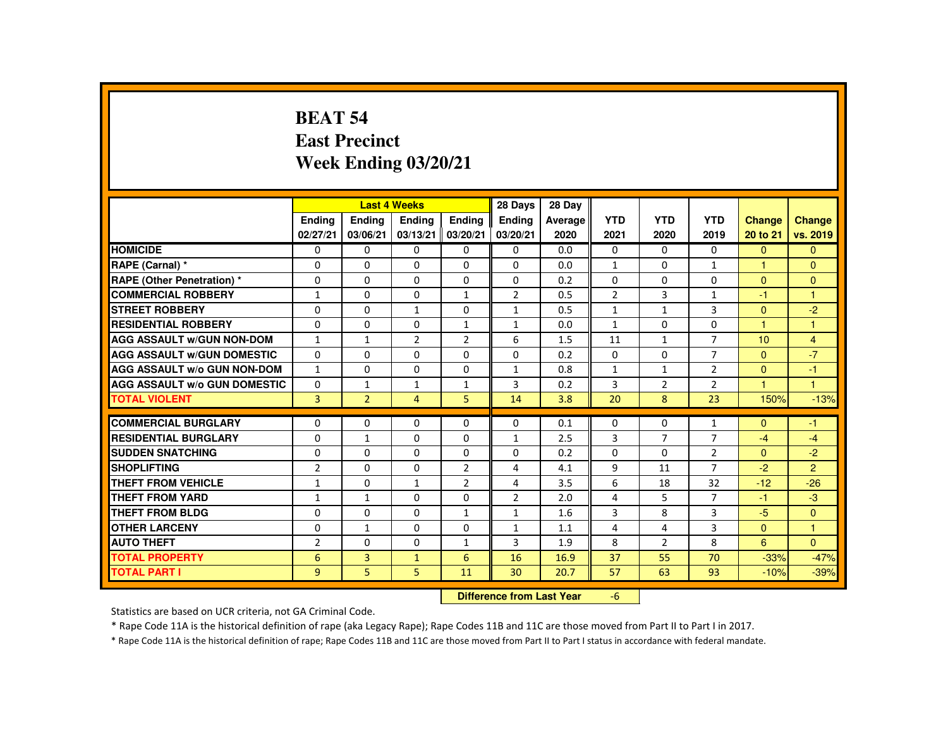#### **BEAT 54 East PrecinctWeek Ending 03/20/21**

|                                     |                |                | <b>Last 4 Weeks</b> |                | 28 Days                   | 28 Day     |                |                |                |                      |                |
|-------------------------------------|----------------|----------------|---------------------|----------------|---------------------------|------------|----------------|----------------|----------------|----------------------|----------------|
|                                     | <b>Endina</b>  | Ending         | Ending              | <b>Endina</b>  | <b>Endina</b>             | Average    | <b>YTD</b>     | <b>YTD</b>     | <b>YTD</b>     | <b>Change</b>        | Change         |
|                                     | 02/27/21       | 03/06/21       | 03/13/21            | 03/20/21       | 03/20/21                  | 2020       | 2021           | 2020           | 2019           | 20 to 21             | vs. 2019       |
| <b>HOMICIDE</b>                     | $\Omega$       | $\Omega$       | $\Omega$            | $\Omega$       | 0                         | 0.0        | 0              | $\Omega$       | $\Omega$       | $\Omega$             | $\Omega$       |
| RAPE (Carnal) *                     | 0              | $\Omega$       | $\Omega$            | $\Omega$       | $\Omega$                  | 0.0        | $\mathbf{1}$   | $\Omega$       | $\mathbf{1}$   |                      | $\mathbf{0}$   |
| <b>RAPE (Other Penetration) *</b>   | $\Omega$       | $\Omega$       | $\Omega$            | $\Omega$       | $\Omega$                  | 0.2        | $\Omega$       | $\Omega$       | $\Omega$       | $\Omega$             | $\Omega$       |
| <b>COMMERCIAL ROBBERY</b>           | $\mathbf{1}$   | 0              | 0                   | $\mathbf{1}$   | $\overline{2}$            | 0.5        | $\overline{2}$ | 3              | $\mathbf{1}$   | -1                   | $\overline{1}$ |
| <b>STREET ROBBERY</b>               | $\Omega$       | $\Omega$       | $\mathbf{1}$        | $\Omega$       | $\mathbf{1}$              | 0.5        | $\mathbf{1}$   | $\mathbf{1}$   | 3              | $\Omega$             | $-2$           |
| <b>RESIDENTIAL ROBBERY</b>          | 0              | 0              | 0                   | $\mathbf{1}$   | 1                         | 0.0        | $\mathbf{1}$   | 0              | 0              | $\mathbf{1}$         | $\overline{1}$ |
| <b>AGG ASSAULT W/GUN NON-DOM</b>    | $\mathbf{1}$   | $\mathbf{1}$   | $\overline{2}$      | $\overline{2}$ | 6                         | 1.5        | 11             | $\mathbf{1}$   | $\overline{7}$ | 10                   | $\overline{4}$ |
| <b>AGG ASSAULT W/GUN DOMESTIC</b>   | $\Omega$       | $\Omega$       | $\Omega$            | $\Omega$       | $\Omega$                  | 0.2        | $\Omega$       | $\Omega$       | $\overline{7}$ | $\Omega$             | $-7$           |
| <b>AGG ASSAULT W/o GUN NON-DOM</b>  | $\mathbf{1}$   | $\Omega$       | $\Omega$            | $\Omega$       | $\mathbf{1}$              | 0.8        | $\mathbf{1}$   | $\mathbf{1}$   | $\overline{2}$ | $\Omega$             | $-1$           |
| <b>AGG ASSAULT W/o GUN DOMESTIC</b> | $\Omega$       | $\mathbf{1}$   | $\mathbf{1}$        | $\mathbf{1}$   | $\overline{3}$            | 0.2        | $\overline{3}$ | $\overline{2}$ | $\overline{2}$ | $\blacktriangleleft$ | $\overline{1}$ |
| <b>TOTAL VIOLENT</b>                | $\overline{3}$ | $\overline{2}$ | $\overline{4}$      | 5              | 14                        | 3.8        | 20             | 8              | 23             | 150%                 | $-13%$         |
| <b>COMMERCIAL BURGLARY</b>          | $\Omega$       | $\Omega$       | $\Omega$            | $\Omega$       | $\Omega$                  | 0.1        | $\Omega$       | 0              | $\mathbf{1}$   | $\Omega$             | $-1$           |
| <b>RESIDENTIAL BURGLARY</b>         | $\Omega$       | $\mathbf{1}$   | $\Omega$            | $\Omega$       | $\mathbf{1}$              | 2.5        | 3              | $\overline{7}$ | $\overline{7}$ | $-4$                 | $-4$           |
| <b>SUDDEN SNATCHING</b>             | $\Omega$       | $\Omega$       | $\Omega$            | 0              | $\Omega$                  | 0.2        | $\Omega$       | $\Omega$       | $\overline{2}$ | $\mathbf{0}$         | $-2$           |
| <b>SHOPLIFTING</b>                  |                | $\Omega$       | $\Omega$            |                | 4                         |            | 9              |                | $\overline{7}$ | $-2$                 | $\overline{2}$ |
| <b>THEFT FROM VEHICLE</b>           | $\overline{2}$ | $\Omega$       | $\mathbf{1}$        | $\overline{2}$ | 4                         | 4.1<br>3.5 | 6              | 11<br>18       | 32             | $-12$                | $-26$          |
|                                     | $\mathbf{1}$   |                |                     | $\overline{2}$ |                           |            |                |                | $\overline{7}$ |                      |                |
| <b>THEFT FROM YARD</b>              | $\mathbf{1}$   | $\mathbf{1}$   | $\Omega$            | $\Omega$       | $\overline{2}$            | 2.0        | 4              | 5              |                | $-1$                 | $-3$           |
| <b>THEFT FROM BLDG</b>              | 0              | $\Omega$       | $\Omega$            | $\mathbf{1}$   | 1                         | 1.6        | 3              | 8              | 3              | $-5$                 | $\mathbf{0}$   |
| <b>OTHER LARCENY</b>                | $\Omega$       | $\mathbf{1}$   | $\Omega$            | $\Omega$       | 1                         | 1.1        | 4              | 4              | 3              | $\Omega$             | $\mathbf{1}$   |
| <b>AUTO THEFT</b>                   | $\overline{2}$ | $\Omega$       | $\Omega$            | $\mathbf{1}$   | 3                         | 1.9        | 8              | $\overline{2}$ | 8              | 6                    | $\Omega$       |
| <b>TOTAL PROPERTY</b>               | 6              | $\overline{3}$ | $\mathbf{1}$        | 6              | 16                        | 16.9       | 37             | 55             | 70             | $-33%$               | $-47%$         |
| <b>TOTAL PART I</b>                 | 9              | 5              | 5                   | 11             | 30                        | 20.7       | 57             | 63             | 93             | $-10%$               | $-39%$         |
|                                     |                |                |                     |                | Difference from Loot Voor |            | $\epsilon$     |                |                |                      |                |

 **Difference from Last Year**r -6

Statistics are based on UCR criteria, not GA Criminal Code.

\* Rape Code 11A is the historical definition of rape (aka Legacy Rape); Rape Codes 11B and 11C are those moved from Part II to Part I in 2017.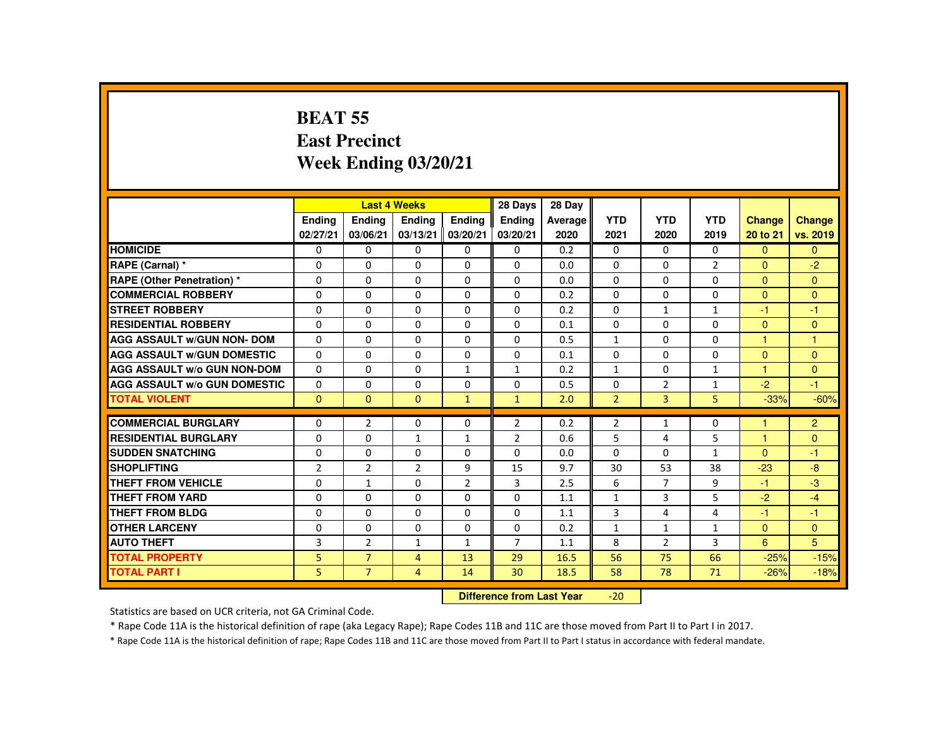#### **BEAT 55 East PrecinctWeek Ending 03/20/21**

|                                     |               |                | <b>Last 4 Weeks</b> |                | 28 Days                   | 28 Day  |                |                |                |                |                      |
|-------------------------------------|---------------|----------------|---------------------|----------------|---------------------------|---------|----------------|----------------|----------------|----------------|----------------------|
|                                     | <b>Ending</b> | <b>Endina</b>  | <b>Ending</b>       | <b>Endina</b>  | Ending                    | Average | <b>YTD</b>     | <b>YTD</b>     | <b>YTD</b>     | Change         | <b>Change</b>        |
|                                     | 02/27/21      | 03/06/21       | 03/13/21            | 03/20/21       | 03/20/21                  | 2020    | 2021           | 2020           | 2019           | 20 to 21       | vs. 2019             |
| <b>HOMICIDE</b>                     | $\Omega$      | $\Omega$       | $\mathbf{0}$        | $\mathbf{0}$   | 0                         | 0.2     | $\mathbf{0}$   | $\mathbf{0}$   | $\Omega$       | $\mathbf{0}$   | $\Omega$             |
| RAPE (Carnal) *                     | 0             | $\Omega$       | $\Omega$            | $\Omega$       | $\Omega$                  | 0.0     | $\Omega$       | 0              | $\overline{2}$ | $\mathbf{0}$   | $-2$                 |
| RAPE (Other Penetration) *          | $\Omega$      | $\Omega$       | $\Omega$            | $\Omega$       | $\Omega$                  | 0.0     | $\Omega$       | $\Omega$       | $\Omega$       | $\Omega$       | $\mathbf{0}$         |
| <b>COMMERCIAL ROBBERY</b>           | 0             | $\Omega$       | $\Omega$            | $\Omega$       | $\Omega$                  | 0.2     | $\Omega$       | $\Omega$       | $\Omega$       | $\Omega$       | $\mathbf{0}$         |
| <b>STREET ROBBERY</b>               | $\Omega$      | $\Omega$       | $\Omega$            | $\Omega$       | $\Omega$                  | 0.2     | $\Omega$       | $\mathbf{1}$   | $\mathbf{1}$   | $-1$           | $-1$                 |
| <b>RESIDENTIAL ROBBERY</b>          | 0             | $\Omega$       | $\Omega$            | 0              | $\Omega$                  | 0.1     | $\Omega$       | $\Omega$       | $\Omega$       | $\mathbf{0}$   | $\mathbf{0}$         |
| <b>AGG ASSAULT W/GUN NON- DOM</b>   | $\Omega$      | $\Omega$       | $\Omega$            | $\Omega$       | $\Omega$                  | 0.5     | $\mathbf{1}$   | $\Omega$       | $\Omega$       | $\mathbf{1}$   | $\blacktriangleleft$ |
| <b>AGG ASSAULT W/GUN DOMESTIC</b>   | $\Omega$      | $\Omega$       | $\Omega$            | $\Omega$       | $\Omega$                  | 0.1     | $\Omega$       | $\Omega$       | $\Omega$       | $\Omega$       | $\mathbf{0}$         |
| <b>AGG ASSAULT w/o GUN NON-DOM</b>  | $\Omega$      | $\Omega$       | $\Omega$            | $\mathbf{1}$   | $\mathbf{1}$              | 0.2     | $\mathbf{1}$   | $\Omega$       | $\mathbf{1}$   | $\mathbf{1}$   | $\mathbf{0}$         |
| <b>AGG ASSAULT W/o GUN DOMESTIC</b> | $\Omega$      | $\Omega$       | $\Omega$            | $\Omega$       | $\Omega$                  | 0.5     | $\Omega$       | $\overline{2}$ | $\mathbf{1}$   | $-2$           | $-1$                 |
| <b>TOTAL VIOLENT</b>                | $\mathbf{0}$  | $\Omega$       | $\mathbf{0}$        | $\mathbf{1}$   | $\mathbf{1}$              | 2.0     | $\overline{2}$ | 3              | 5              | $-33%$         | $-60%$               |
|                                     |               |                |                     |                |                           |         |                |                |                |                |                      |
| <b>COMMERCIAL BURGLARY</b>          | 0             | $\overline{2}$ | $\mathbf{0}$        | $\mathbf{0}$   | $\overline{2}$            | 0.2     | $\overline{2}$ | $\mathbf{1}$   | 0              | $\mathbf{1}$   | $\overline{2}$       |
| <b>RESIDENTIAL BURGLARY</b>         | $\Omega$      | $\Omega$       | $\mathbf{1}$        | $\mathbf{1}$   | $\overline{2}$            | 0.6     | 5              | 4              | 5              | $\mathbf{1}$   | $\Omega$             |
| <b>SUDDEN SNATCHING</b>             | 0             | $\Omega$       | $\Omega$            | $\mathbf{0}$   | $\Omega$                  | 0.0     | $\Omega$       | $\mathbf{0}$   | $\mathbf{1}$   | $\mathbf{0}$   | $-1$                 |
| <b>SHOPLIFTING</b>                  | 2             | $\overline{2}$ | 2                   | 9              | 15                        | 9.7     | 30             | 53             | 38             | $-23$          | $-8$                 |
| <b>THEFT FROM VEHICLE</b>           | $\Omega$      | $\mathbf{1}$   | $\Omega$            | $\overline{2}$ | 3                         | 2.5     | 6              | $\overline{7}$ | 9              | $-1$           | $-3$                 |
| <b>THEFT FROM YARD</b>              | $\Omega$      | $\Omega$       | $\Omega$            | $\Omega$       | $\Omega$                  | 1.1     | $\mathbf{1}$   | 3              | 5              | $-2$           | $-4$                 |
| THEFT FROM BLDG                     | 0             | $\Omega$       | $\Omega$            | $\Omega$       | 0                         | 1.1     | 3              | 4              | 4              | $-1$           | $-1$                 |
| <b>OTHER LARCENY</b>                | $\Omega$      | $\Omega$       | $\Omega$            | $\Omega$       | 0                         | 0.2     | $\mathbf{1}$   | $\mathbf{1}$   | $\mathbf{1}$   | $\overline{0}$ | $\mathbf{0}$         |
| <b>AUTO THEFT</b>                   | 3             | $\overline{2}$ | $\mathbf{1}$        | $\mathbf{1}$   | $\overline{7}$            | 1.1     | 8              | 2              | 3              | 6              | 5                    |
| <b>TOTAL PROPERTY</b>               | 5.            | $\overline{7}$ | $\overline{4}$      | 13             | 29                        | 16.5    | 56             | 75             | 66             | $-25%$         | $-15%$               |
| <b>TOTAL PART I</b>                 | 5.            | $7^{\circ}$    | 4                   | 14             | 30                        | 18.5    | 58             | 78             | 71             | $-26%$         | $-18%$               |
|                                     |               |                |                     |                | Difference from Load Vacc |         | $20^{\circ}$   |                |                |                |                      |

 **Difference from Last Year**-20

Statistics are based on UCR criteria, not GA Criminal Code.

\* Rape Code 11A is the historical definition of rape (aka Legacy Rape); Rape Codes 11B and 11C are those moved from Part II to Part I in 2017.